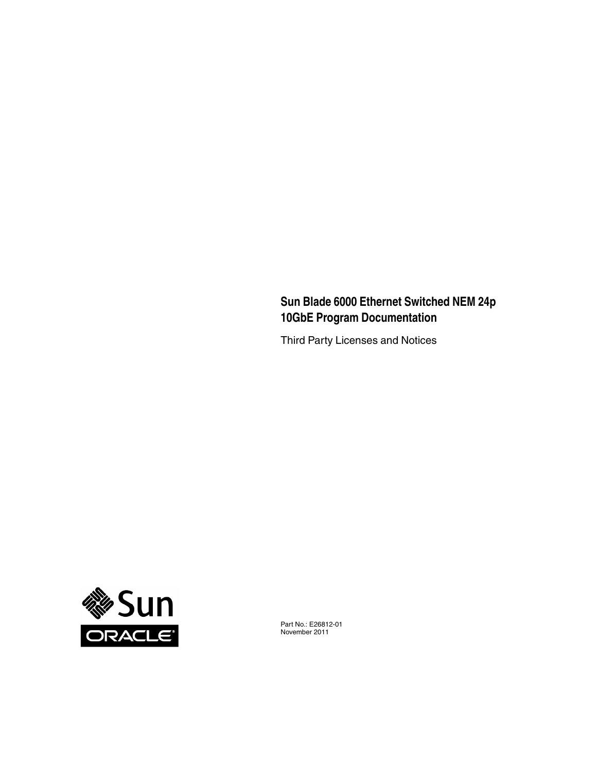### **Sun Blade 6000 Ethernet Switched NEM 24p 10GbE Program Documentation**

Third Party Licenses and Notices



Part No.: E26812-01 November 2011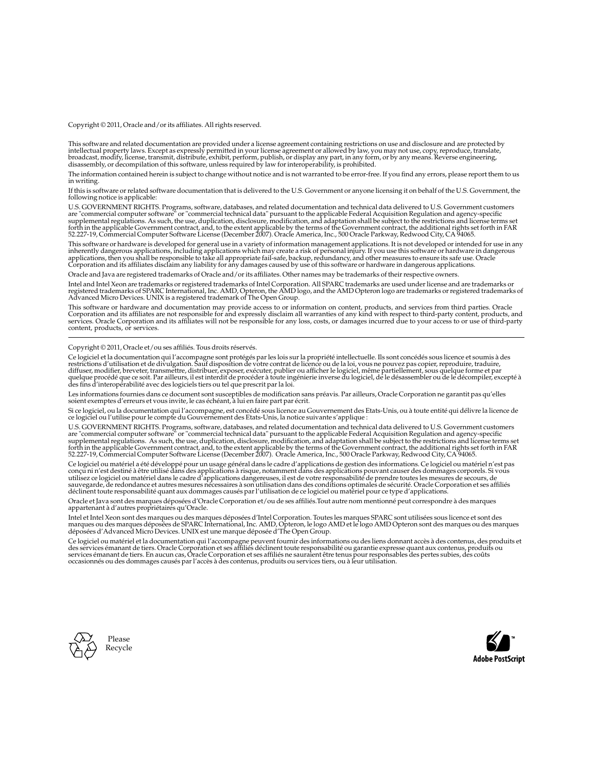Copyright © 2011, Oracle and/or its affiliates. All rights reserved.

This software and related documentation are provided under a license agreement containing restrictions on use and disclosure and are protected by intellectual property laws. Except as expressly permitted in your license agreement or allowed by law, you may not use, copy, reproduce, translate,<br>broadcast, modify, license, transmit, distribute, exhibit, perform, publis disassembly, or decompilation of this software, unless required by law for interoperability, is prohibited.

The information contained herein is subject to change without notice and is not warranted to be error-free. If you find any errors, please report them to us in writing.

If this is software or related software documentation that is delivered to the U.S. Government or anyone licensing it on behalf of the U.S. Government, the following notice is applicable:

U.S. GOVERNMENT RIGHTS. Programs, software, databases, and related documentation and technical data delivered to U.S. Government customers are "commercial computer software" or "commercial technical data" pursuant to the applicable Federal Acquisition Regulation and agency-specific supplemental regulations. As such, the use, duplication, disclosure, modification, and adaptation shall be subject to the restrictions and license terms set forth in the applicable Government contract, and, to the extent applicable by the terms of the Government contract, the additional rights set forth in FAR<br>52.227-19, Commercial Computer Software License (December 2007). Or

This software or hardware is developed for general use in a variety of information management applications. It is not developed or intended for use in any<br>inherently dangerous applications, including applications which may Corporation and its affiliates disclaim any liability for any damages caused by use of this software or hardware in dangerous applications.

Oracle and Java are registered trademarks of Oracle and/or its affiliates. Other names may be trademarks of their respective owners.

Intel and Intel Xeon are trademarks or registered trademarks of Intel Corporation. All SPARC trademarks are used under license and are trademarks or registered trademarks of SPARC International, Inc. AMD, Opteron, the AMD logo, and the AMD Opteron logo are trademarks or registered trademarks of<br>Advanced Micro Devices. UNIX is a registered trademark of The Open Group.

This software or hardware and documentation may provide access to or information on content, products, and services from third parties. Oracle Corporation and its affiliates are not responsible for and expressly disclaim all warranties of any kind with respect to third-party content, products, and services. Oracle Corporation and its affiliates will not be responsible for any loss, costs, or damages incurred due to your access to or use of third-party content, products, or services.

#### Copyright © 2011, Oracle et/ou ses affiliés. Tous droits réservés.

Ce logiciel et la documentation qui l'accompagne sont protégés par les lois sur la propriété intellectuelle. Ils sont concédés sous licence et soumis à des<br>restrictions d'utilisation et de divulgation. Sauf disposition de

Les informations fournies dans ce document sont susceptibles de modification sans préavis. Par ailleurs, Oracle Corporation ne garantit pas qu'elles soient exemptes d'erreurs et vous invite, le cas échéant, à lui en faire part par écrit.

Si ce logiciel, ou la documentation qui l'accompagne, est concédé sous licence au Gouvernement des Etats-Unis, ou à toute entité qui délivre la licence de ce logiciel ou l'utilise pour le compte du Gouvernement des Etats-Unis, la notice suivante s'applique :

U.S. GOVERNMENT RIGHTS. Programs, software, databases, and related documentation and technical data delivered to U.S. Government customers are "commercial computer software" or "commercial technical data" pursuant to the applicable Federal Acquisition Regulation and agency-specific<br>supplemental regulations. As such, the use, duplication, disclosure, modificat 52.227-19, Commercial Computer Software License (December 2007). Oracle America, Inc., 500 Oracle Parkway, Redwood City, CA 94065.

Ce logiciel ou matériel a été développé pour un usage général dans le cadre d'applications de gestion des informations. Ce logiciel ou matériel n'est pas<br>conçu ni n'est destiné à être utilisé dans des applications à risque utilisez ce logiciel ou matériel dans le cadre d'applications dangereuses, il est de votre responsabilité de prendre toutes les mesures de secours, de<br>sauvegarde, de redondance et autres mesures nécessaires à son utilisati déclinent toute responsabilité quant aux dommages causés par l'utilisation de ce logiciel ou matériel pour ce type d'applications.

Oracle et Java sont des marques déposées d'Oracle Corporation et/ou de ses affiliés.Tout autre nom mentionné peut correspondre à des marques appartenant à d'autres propriétaires qu'Oracle.

Intel et Intel Xeon sont des marques ou des marques déposées d'Intel Corporation. Toutes les marques SPARC sont utilisées sous licence et sont des marques ou des marques déposées de SPARC International, Inc. AMD, Opteron, le logo AMD et le logo AMD Opteron sont des marques ou des marques déposées d'Advanced Micro Devices. UNIX est une marque déposée d'The Open Group.

Ce logiciel ou matériel et la documentation qui l'accompagne peuvent fournir des informations ou des liens donnant accès à des contenus, des produits et<br>des services émanant de tiers. Oracle Corporation et ses affiliés déc services émanant de tiers. En aucun cas, Oracle Corporation et ses affiliés ne sauraient être tenus pour responsables des pertes subies, des coûts occasionnés ou des dommages causés par l'accès à des contenus, produits ou services tiers, ou à leur utilisation.



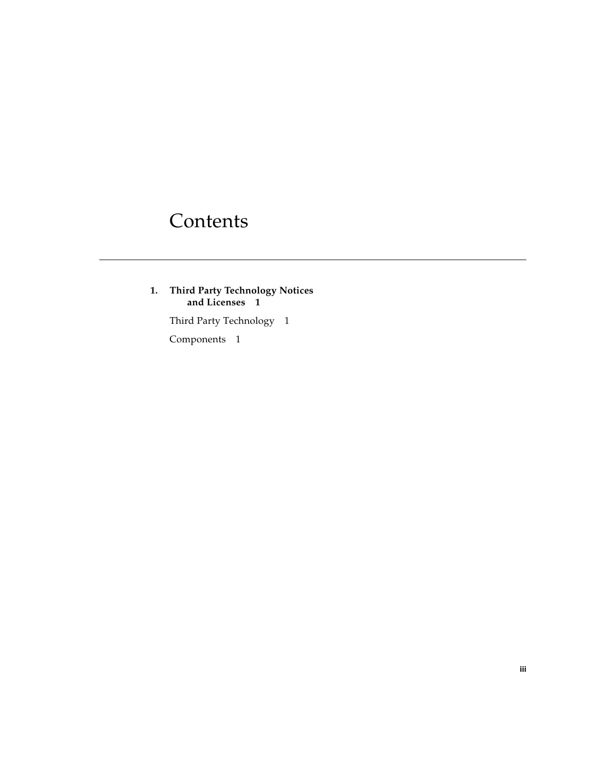# **Contents**

### **1. [Third Party Technology Notices](#page-4-0) [and Licenses 1](#page-4-0)**

[Third Party Technology 1](#page-4-1)

[Components 1](#page-4-2)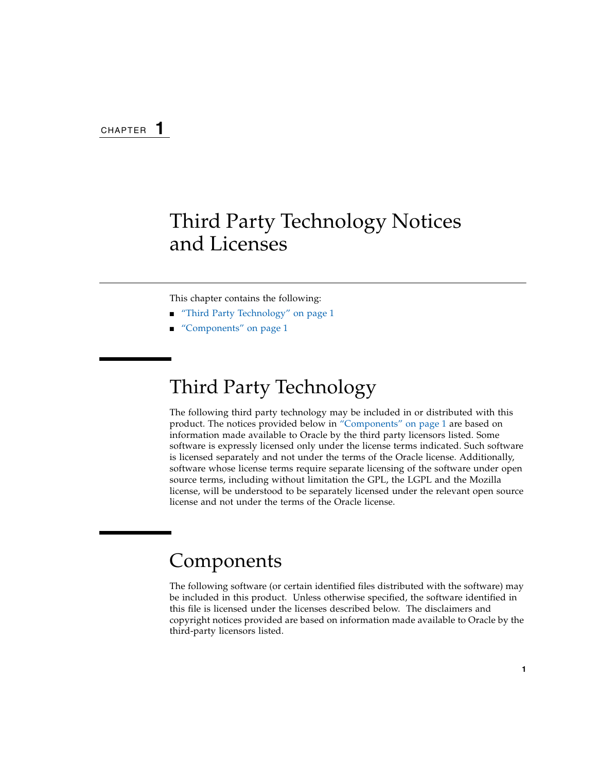CHAPTER **1**

# <span id="page-4-0"></span>Third Party Technology Notices and Licenses

This chapter contains the following:

- ["Third Party Technology" on page 1](#page-4-1)
- ["Components" on page 1](#page-4-2)

# <span id="page-4-1"></span>Third Party Technology

The following third party technology may be included in or distributed with this product. The notices provided below in ["Components" on page 1](#page-4-2) are based on information made available to Oracle by the third party licensors listed. Some software is expressly licensed only under the license terms indicated. Such software is licensed separately and not under the terms of the Oracle license. Additionally, software whose license terms require separate licensing of the software under open source terms, including without limitation the GPL, the LGPL and the Mozilla license, will be understood to be separately licensed under the relevant open source license and not under the terms of the Oracle license.

## <span id="page-4-2"></span>Components

The following software (or certain identified files distributed with the software) may be included in this product. Unless otherwise specified, the software identified in this file is licensed under the licenses described below. The disclaimers and copyright notices provided are based on information made available to Oracle by the third-party licensors listed.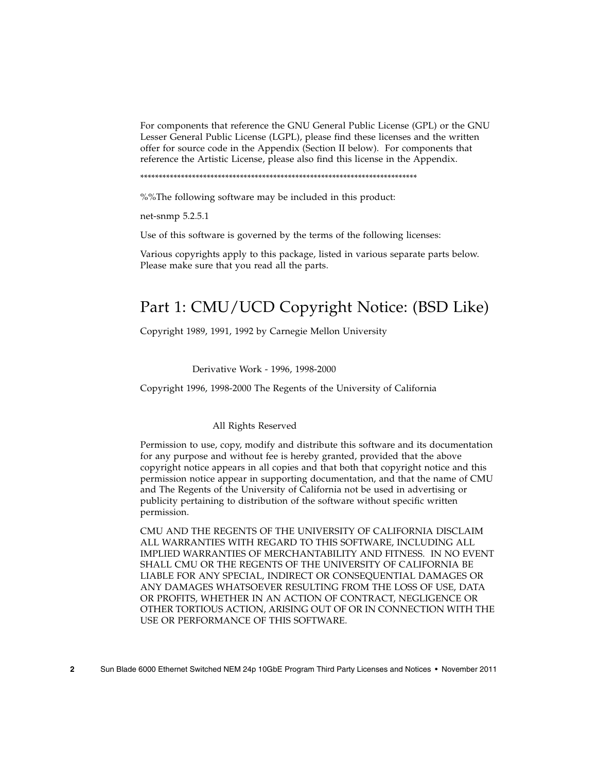For components that reference the GNU General Public License (GPL) or the GNU Lesser General Public License (LGPL), please find these licenses and the written offer for source code in the Appendix (Section II below). For components that reference the Artistic License, please also find this license in the Appendix.

\*\*\*\*\*\*\*\*\*\*\*\*\*\*\*\*\*\*\*\*\*\*\*\*\*\*\*\*\*\*\*\*\*\*\*\*\*\*\*\*\*\*\*\*\*\*\*\*\*\*\*\*\*\*\*\*\*\*\*\*\*\*\*\*\*\*\*\*\*\*\*\*\*\*\*

%%The following software may be included in this product:

net-snmp 5.2.5.1

Use of this software is governed by the terms of the following licenses:

Various copyrights apply to this package, listed in various separate parts below. Please make sure that you read all the parts.

### Part 1: CMU/UCD Copyright Notice: (BSD Like)

Copyright 1989, 1991, 1992 by Carnegie Mellon University

Derivative Work - 1996, 1998-2000

Copyright 1996, 1998-2000 The Regents of the University of California

All Rights Reserved

Permission to use, copy, modify and distribute this software and its documentation for any purpose and without fee is hereby granted, provided that the above copyright notice appears in all copies and that both that copyright notice and this permission notice appear in supporting documentation, and that the name of CMU and The Regents of the University of California not be used in advertising or publicity pertaining to distribution of the software without specific written permission.

CMU AND THE REGENTS OF THE UNIVERSITY OF CALIFORNIA DISCLAIM ALL WARRANTIES WITH REGARD TO THIS SOFTWARE, INCLUDING ALL IMPLIED WARRANTIES OF MERCHANTABILITY AND FITNESS. IN NO EVENT SHALL CMU OR THE REGENTS OF THE UNIVERSITY OF CALIFORNIA BE LIABLE FOR ANY SPECIAL, INDIRECT OR CONSEQUENTIAL DAMAGES OR ANY DAMAGES WHATSOEVER RESULTING FROM THE LOSS OF USE, DATA OR PROFITS, WHETHER IN AN ACTION OF CONTRACT, NEGLIGENCE OR OTHER TORTIOUS ACTION, ARISING OUT OF OR IN CONNECTION WITH THE USE OR PERFORMANCE OF THIS SOFTWARE.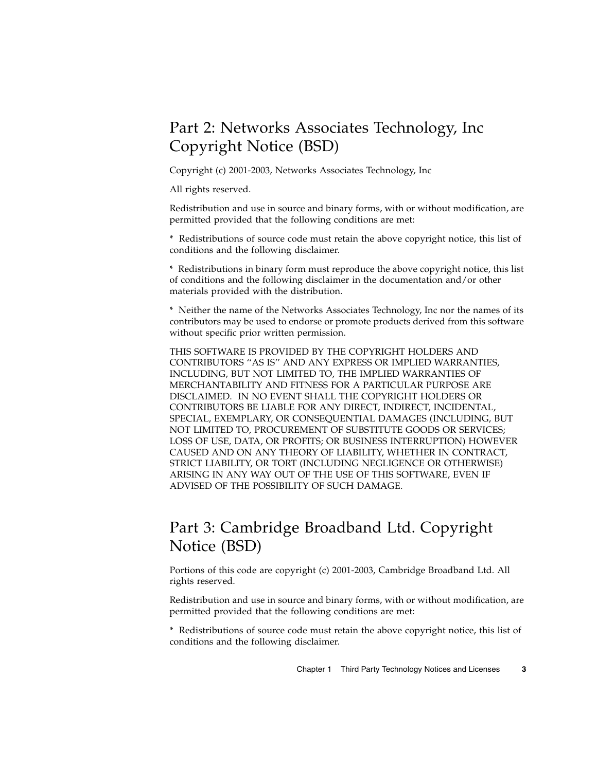### Part 2: Networks Associates Technology, Inc Copyright Notice (BSD)

Copyright (c) 2001-2003, Networks Associates Technology, Inc

All rights reserved.

Redistribution and use in source and binary forms, with or without modification, are permitted provided that the following conditions are met:

\* Redistributions of source code must retain the above copyright notice, this list of conditions and the following disclaimer.

\* Redistributions in binary form must reproduce the above copyright notice, this list of conditions and the following disclaimer in the documentation and/or other materials provided with the distribution.

\* Neither the name of the Networks Associates Technology, Inc nor the names of its contributors may be used to endorse or promote products derived from this software without specific prior written permission.

THIS SOFTWARE IS PROVIDED BY THE COPYRIGHT HOLDERS AND CONTRIBUTORS ''AS IS'' AND ANY EXPRESS OR IMPLIED WARRANTIES, INCLUDING, BUT NOT LIMITED TO, THE IMPLIED WARRANTIES OF MERCHANTABILITY AND FITNESS FOR A PARTICULAR PURPOSE ARE DISCLAIMED. IN NO EVENT SHALL THE COPYRIGHT HOLDERS OR CONTRIBUTORS BE LIABLE FOR ANY DIRECT, INDIRECT, INCIDENTAL, SPECIAL, EXEMPLARY, OR CONSEQUENTIAL DAMAGES (INCLUDING, BUT NOT LIMITED TO, PROCUREMENT OF SUBSTITUTE GOODS OR SERVICES; LOSS OF USE, DATA, OR PROFITS; OR BUSINESS INTERRUPTION) HOWEVER CAUSED AND ON ANY THEORY OF LIABILITY, WHETHER IN CONTRACT, STRICT LIABILITY, OR TORT (INCLUDING NEGLIGENCE OR OTHERWISE) ARISING IN ANY WAY OUT OF THE USE OF THIS SOFTWARE, EVEN IF ADVISED OF THE POSSIBILITY OF SUCH DAMAGE.

## Part 3: Cambridge Broadband Ltd. Copyright Notice (BSD)

Portions of this code are copyright (c) 2001-2003, Cambridge Broadband Ltd. All rights reserved.

Redistribution and use in source and binary forms, with or without modification, are permitted provided that the following conditions are met:

\* Redistributions of source code must retain the above copyright notice, this list of conditions and the following disclaimer.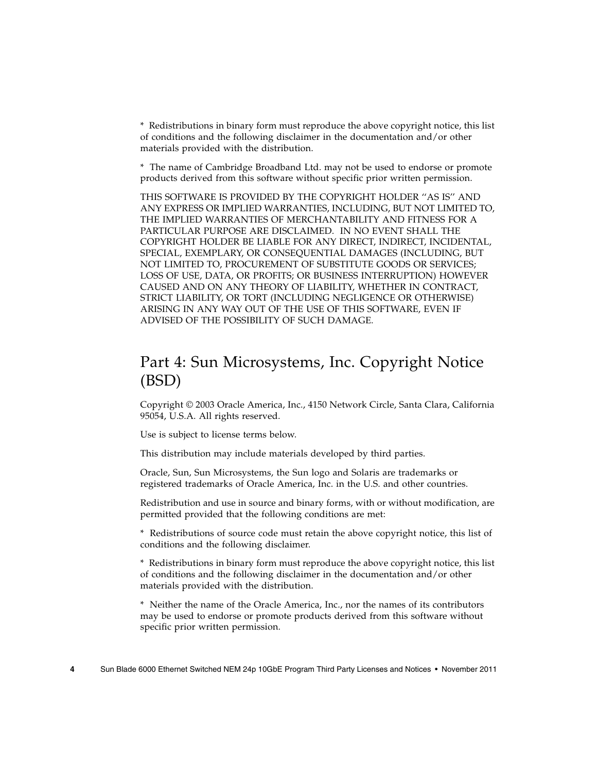\* Redistributions in binary form must reproduce the above copyright notice, this list of conditions and the following disclaimer in the documentation and/or other materials provided with the distribution.

\* The name of Cambridge Broadband Ltd. may not be used to endorse or promote products derived from this software without specific prior written permission.

THIS SOFTWARE IS PROVIDED BY THE COPYRIGHT HOLDER ''AS IS'' AND ANY EXPRESS OR IMPLIED WARRANTIES, INCLUDING, BUT NOT LIMITED TO, THE IMPLIED WARRANTIES OF MERCHANTABILITY AND FITNESS FOR A PARTICULAR PURPOSE ARE DISCLAIMED. IN NO EVENT SHALL THE COPYRIGHT HOLDER BE LIABLE FOR ANY DIRECT, INDIRECT, INCIDENTAL, SPECIAL, EXEMPLARY, OR CONSEQUENTIAL DAMAGES (INCLUDING, BUT NOT LIMITED TO, PROCUREMENT OF SUBSTITUTE GOODS OR SERVICES; LOSS OF USE, DATA, OR PROFITS; OR BUSINESS INTERRUPTION) HOWEVER CAUSED AND ON ANY THEORY OF LIABILITY, WHETHER IN CONTRACT, STRICT LIABILITY, OR TORT (INCLUDING NEGLIGENCE OR OTHERWISE) ARISING IN ANY WAY OUT OF THE USE OF THIS SOFTWARE, EVEN IF ADVISED OF THE POSSIBILITY OF SUCH DAMAGE.

### Part 4: Sun Microsystems, Inc. Copyright Notice (BSD)

Copyright © 2003 Oracle America, Inc., 4150 Network Circle, Santa Clara, California 95054, U.S.A. All rights reserved.

Use is subject to license terms below.

This distribution may include materials developed by third parties.

Oracle, Sun, Sun Microsystems, the Sun logo and Solaris are trademarks or registered trademarks of Oracle America, Inc. in the U.S. and other countries.

Redistribution and use in source and binary forms, with or without modification, are permitted provided that the following conditions are met:

\* Redistributions of source code must retain the above copyright notice, this list of conditions and the following disclaimer.

\* Redistributions in binary form must reproduce the above copyright notice, this list of conditions and the following disclaimer in the documentation and/or other materials provided with the distribution.

\* Neither the name of the Oracle America, Inc., nor the names of its contributors may be used to endorse or promote products derived from this software without specific prior written permission.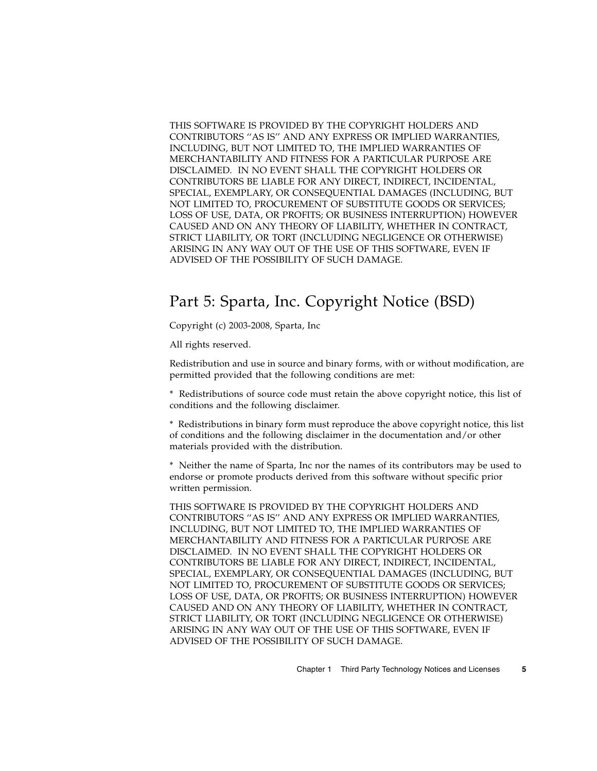THIS SOFTWARE IS PROVIDED BY THE COPYRIGHT HOLDERS AND CONTRIBUTORS ''AS IS'' AND ANY EXPRESS OR IMPLIED WARRANTIES, INCLUDING, BUT NOT LIMITED TO, THE IMPLIED WARRANTIES OF MERCHANTABILITY AND FITNESS FOR A PARTICULAR PURPOSE ARE DISCLAIMED. IN NO EVENT SHALL THE COPYRIGHT HOLDERS OR CONTRIBUTORS BE LIABLE FOR ANY DIRECT, INDIRECT, INCIDENTAL, SPECIAL, EXEMPLARY, OR CONSEQUENTIAL DAMAGES (INCLUDING, BUT NOT LIMITED TO, PROCUREMENT OF SUBSTITUTE GOODS OR SERVICES; LOSS OF USE, DATA, OR PROFITS; OR BUSINESS INTERRUPTION) HOWEVER CAUSED AND ON ANY THEORY OF LIABILITY, WHETHER IN CONTRACT, STRICT LIABILITY, OR TORT (INCLUDING NEGLIGENCE OR OTHERWISE) ARISING IN ANY WAY OUT OF THE USE OF THIS SOFTWARE, EVEN IF ADVISED OF THE POSSIBILITY OF SUCH DAMAGE.

### Part 5: Sparta, Inc. Copyright Notice (BSD)

Copyright (c) 2003-2008, Sparta, Inc

All rights reserved.

Redistribution and use in source and binary forms, with or without modification, are permitted provided that the following conditions are met:

\* Redistributions of source code must retain the above copyright notice, this list of conditions and the following disclaimer.

\* Redistributions in binary form must reproduce the above copyright notice, this list of conditions and the following disclaimer in the documentation and/or other materials provided with the distribution.

\* Neither the name of Sparta, Inc nor the names of its contributors may be used to endorse or promote products derived from this software without specific prior written permission.

THIS SOFTWARE IS PROVIDED BY THE COPYRIGHT HOLDERS AND CONTRIBUTORS ''AS IS'' AND ANY EXPRESS OR IMPLIED WARRANTIES, INCLUDING, BUT NOT LIMITED TO, THE IMPLIED WARRANTIES OF MERCHANTABILITY AND FITNESS FOR A PARTICULAR PURPOSE ARE DISCLAIMED. IN NO EVENT SHALL THE COPYRIGHT HOLDERS OR CONTRIBUTORS BE LIABLE FOR ANY DIRECT, INDIRECT, INCIDENTAL, SPECIAL, EXEMPLARY, OR CONSEQUENTIAL DAMAGES (INCLUDING, BUT NOT LIMITED TO, PROCUREMENT OF SUBSTITUTE GOODS OR SERVICES; LOSS OF USE, DATA, OR PROFITS; OR BUSINESS INTERRUPTION) HOWEVER CAUSED AND ON ANY THEORY OF LIABILITY, WHETHER IN CONTRACT, STRICT LIABILITY, OR TORT (INCLUDING NEGLIGENCE OR OTHERWISE) ARISING IN ANY WAY OUT OF THE USE OF THIS SOFTWARE, EVEN IF ADVISED OF THE POSSIBILITY OF SUCH DAMAGE.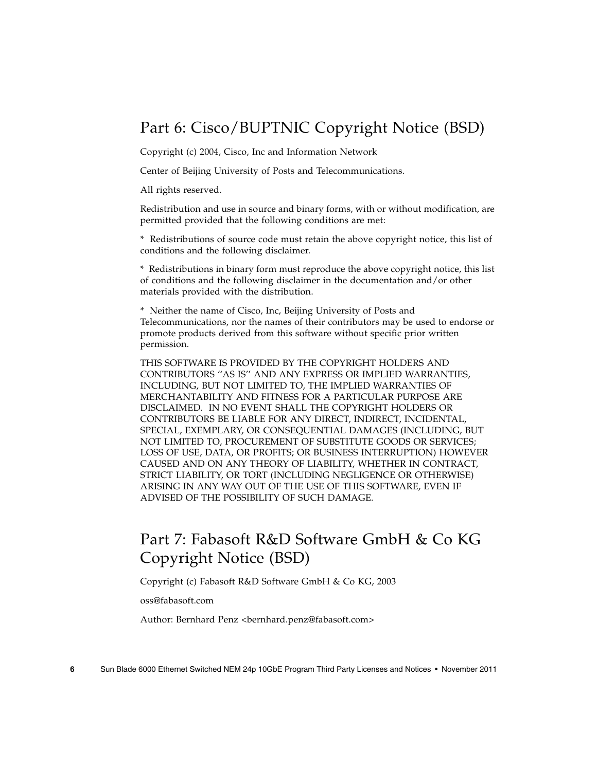## Part 6: Cisco/BUPTNIC Copyright Notice (BSD)

Copyright (c) 2004, Cisco, Inc and Information Network

Center of Beijing University of Posts and Telecommunications.

All rights reserved.

Redistribution and use in source and binary forms, with or without modification, are permitted provided that the following conditions are met:

\* Redistributions of source code must retain the above copyright notice, this list of conditions and the following disclaimer.

\* Redistributions in binary form must reproduce the above copyright notice, this list of conditions and the following disclaimer in the documentation and/or other materials provided with the distribution.

\* Neither the name of Cisco, Inc, Beijing University of Posts and Telecommunications, nor the names of their contributors may be used to endorse or promote products derived from this software without specific prior written permission.

THIS SOFTWARE IS PROVIDED BY THE COPYRIGHT HOLDERS AND CONTRIBUTORS ''AS IS'' AND ANY EXPRESS OR IMPLIED WARRANTIES, INCLUDING, BUT NOT LIMITED TO, THE IMPLIED WARRANTIES OF MERCHANTABILITY AND FITNESS FOR A PARTICULAR PURPOSE ARE DISCLAIMED. IN NO EVENT SHALL THE COPYRIGHT HOLDERS OR CONTRIBUTORS BE LIABLE FOR ANY DIRECT, INDIRECT, INCIDENTAL, SPECIAL, EXEMPLARY, OR CONSEQUENTIAL DAMAGES (INCLUDING, BUT NOT LIMITED TO, PROCUREMENT OF SUBSTITUTE GOODS OR SERVICES; LOSS OF USE, DATA, OR PROFITS; OR BUSINESS INTERRUPTION) HOWEVER CAUSED AND ON ANY THEORY OF LIABILITY, WHETHER IN CONTRACT, STRICT LIABILITY, OR TORT (INCLUDING NEGLIGENCE OR OTHERWISE) ARISING IN ANY WAY OUT OF THE USE OF THIS SOFTWARE, EVEN IF ADVISED OF THE POSSIBILITY OF SUCH DAMAGE.

### Part 7: Fabasoft R&D Software GmbH & Co KG Copyright Notice (BSD)

Copyright (c) Fabasoft R&D Software GmbH & Co KG, 2003

oss@fabasoft.com

Author: Bernhard Penz <bernhard.penz@fabasoft.com>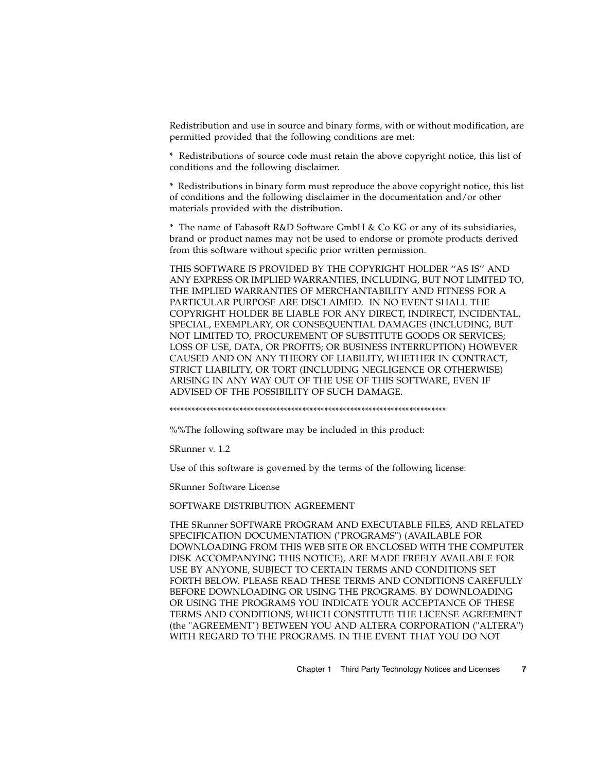Redistribution and use in source and binary forms, with or without modification, are permitted provided that the following conditions are met:

\* Redistributions of source code must retain the above copyright notice, this list of conditions and the following disclaimer.

\* Redistributions in binary form must reproduce the above copyright notice, this list of conditions and the following disclaimer in the documentation and/or other materials provided with the distribution.

\* The name of Fabasoft R&D Software GmbH & Co KG or any of its subsidiaries, brand or product names may not be used to endorse or promote products derived from this software without specific prior written permission.

THIS SOFTWARE IS PROVIDED BY THE COPYRIGHT HOLDER ''AS IS'' AND ANY EXPRESS OR IMPLIED WARRANTIES, INCLUDING, BUT NOT LIMITED TO, THE IMPLIED WARRANTIES OF MERCHANTABILITY AND FITNESS FOR A PARTICULAR PURPOSE ARE DISCLAIMED. IN NO EVENT SHALL THE COPYRIGHT HOLDER BE LIABLE FOR ANY DIRECT, INDIRECT, INCIDENTAL, SPECIAL, EXEMPLARY, OR CONSEQUENTIAL DAMAGES (INCLUDING, BUT NOT LIMITED TO, PROCUREMENT OF SUBSTITUTE GOODS OR SERVICES; LOSS OF USE, DATA, OR PROFITS; OR BUSINESS INTERRUPTION) HOWEVER CAUSED AND ON ANY THEORY OF LIABILITY, WHETHER IN CONTRACT, STRICT LIABILITY, OR TORT (INCLUDING NEGLIGENCE OR OTHERWISE) ARISING IN ANY WAY OUT OF THE USE OF THIS SOFTWARE, EVEN IF ADVISED OF THE POSSIBILITY OF SUCH DAMAGE.

#### \*\*\*\*\*\*\*\*\*\*\*\*\*\*\*\*\*\*\*\*\*\*\*\*\*\*\*\*\*\*\*\*\*\*\*\*\*\*\*\*\*\*\*\*\*\*\*\*\*\*\*\*\*\*\*\*\*\*\*\*\*\*\*\*\*\*\*\*\*\*\*\*\*\*\*

%%The following software may be included in this product:

SRunner v. 1.2

Use of this software is governed by the terms of the following license:

SRunner Software License

#### SOFTWARE DISTRIBUTION AGREEMENT

THE SRunner SOFTWARE PROGRAM AND EXECUTABLE FILES, AND RELATED SPECIFICATION DOCUMENTATION ("PROGRAMS") (AVAILABLE FOR DOWNLOADING FROM THIS WEB SITE OR ENCLOSED WITH THE COMPUTER DISK ACCOMPANYING THIS NOTICE), ARE MADE FREELY AVAILABLE FOR USE BY ANYONE, SUBJECT TO CERTAIN TERMS AND CONDITIONS SET FORTH BELOW. PLEASE READ THESE TERMS AND CONDITIONS CAREFULLY BEFORE DOWNLOADING OR USING THE PROGRAMS. BY DOWNLOADING OR USING THE PROGRAMS YOU INDICATE YOUR ACCEPTANCE OF THESE TERMS AND CONDITIONS, WHICH CONSTITUTE THE LICENSE AGREEMENT (the "AGREEMENT") BETWEEN YOU AND ALTERA CORPORATION ("ALTERA") WITH REGARD TO THE PROGRAMS. IN THE EVENT THAT YOU DO NOT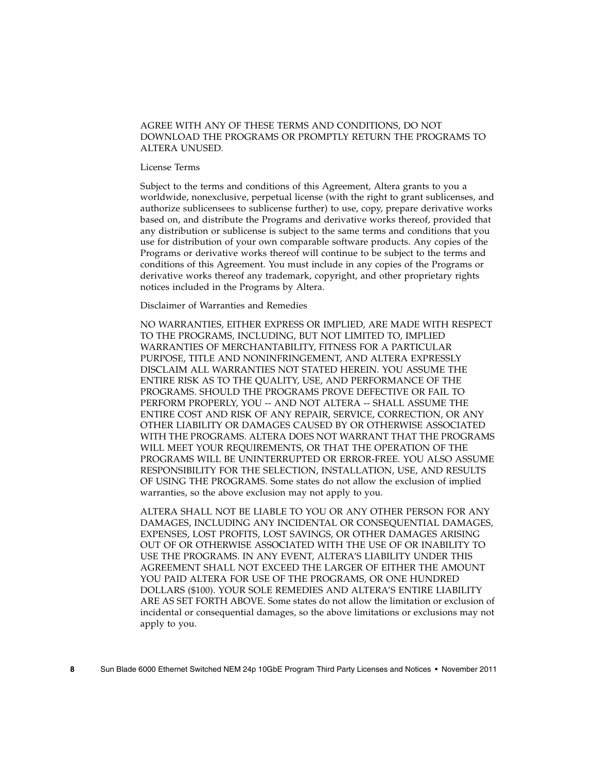### AGREE WITH ANY OF THESE TERMS AND CONDITIONS, DO NOT DOWNLOAD THE PROGRAMS OR PROMPTLY RETURN THE PROGRAMS TO ALTERA UNUSED.

#### License Terms

Subject to the terms and conditions of this Agreement, Altera grants to you a worldwide, nonexclusive, perpetual license (with the right to grant sublicenses, and authorize sublicensees to sublicense further) to use, copy, prepare derivative works based on, and distribute the Programs and derivative works thereof, provided that any distribution or sublicense is subject to the same terms and conditions that you use for distribution of your own comparable software products. Any copies of the Programs or derivative works thereof will continue to be subject to the terms and conditions of this Agreement. You must include in any copies of the Programs or derivative works thereof any trademark, copyright, and other proprietary rights notices included in the Programs by Altera.

Disclaimer of Warranties and Remedies

NO WARRANTIES, EITHER EXPRESS OR IMPLIED, ARE MADE WITH RESPECT TO THE PROGRAMS, INCLUDING, BUT NOT LIMITED TO, IMPLIED WARRANTIES OF MERCHANTABILITY, FITNESS FOR A PARTICULAR PURPOSE, TITLE AND NONINFRINGEMENT, AND ALTERA EXPRESSLY DISCLAIM ALL WARRANTIES NOT STATED HEREIN. YOU ASSUME THE ENTIRE RISK AS TO THE QUALITY, USE, AND PERFORMANCE OF THE PROGRAMS. SHOULD THE PROGRAMS PROVE DEFECTIVE OR FAIL TO PERFORM PROPERLY, YOU -- AND NOT ALTERA -- SHALL ASSUME THE ENTIRE COST AND RISK OF ANY REPAIR, SERVICE, CORRECTION, OR ANY OTHER LIABILITY OR DAMAGES CAUSED BY OR OTHERWISE ASSOCIATED WITH THE PROGRAMS. ALTERA DOES NOT WARRANT THAT THE PROGRAMS WILL MEET YOUR REQUIREMENTS, OR THAT THE OPERATION OF THE PROGRAMS WILL BE UNINTERRUPTED OR ERROR-FREE. YOU ALSO ASSUME RESPONSIBILITY FOR THE SELECTION, INSTALLATION, USE, AND RESULTS OF USING THE PROGRAMS. Some states do not allow the exclusion of implied warranties, so the above exclusion may not apply to you.

ALTERA SHALL NOT BE LIABLE TO YOU OR ANY OTHER PERSON FOR ANY DAMAGES, INCLUDING ANY INCIDENTAL OR CONSEQUENTIAL DAMAGES, EXPENSES, LOST PROFITS, LOST SAVINGS, OR OTHER DAMAGES ARISING OUT OF OR OTHERWISE ASSOCIATED WITH THE USE OF OR INABILITY TO USE THE PROGRAMS. IN ANY EVENT, ALTERA'S LIABILITY UNDER THIS AGREEMENT SHALL NOT EXCEED THE LARGER OF EITHER THE AMOUNT YOU PAID ALTERA FOR USE OF THE PROGRAMS, OR ONE HUNDRED DOLLARS (\$100). YOUR SOLE REMEDIES AND ALTERA'S ENTIRE LIABILITY ARE AS SET FORTH ABOVE. Some states do not allow the limitation or exclusion of incidental or consequential damages, so the above limitations or exclusions may not apply to you.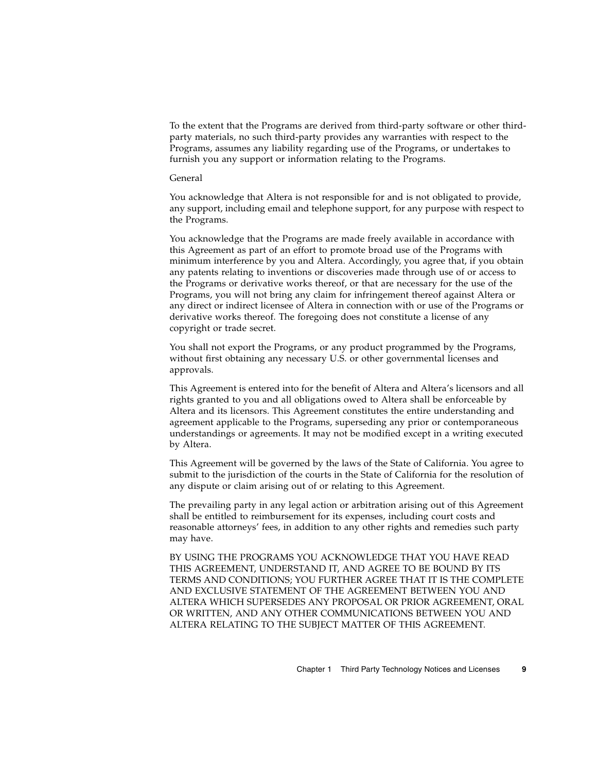To the extent that the Programs are derived from third-party software or other thirdparty materials, no such third-party provides any warranties with respect to the Programs, assumes any liability regarding use of the Programs, or undertakes to furnish you any support or information relating to the Programs.

#### General

You acknowledge that Altera is not responsible for and is not obligated to provide, any support, including email and telephone support, for any purpose with respect to the Programs.

You acknowledge that the Programs are made freely available in accordance with this Agreement as part of an effort to promote broad use of the Programs with minimum interference by you and Altera. Accordingly, you agree that, if you obtain any patents relating to inventions or discoveries made through use of or access to the Programs or derivative works thereof, or that are necessary for the use of the Programs, you will not bring any claim for infringement thereof against Altera or any direct or indirect licensee of Altera in connection with or use of the Programs or derivative works thereof. The foregoing does not constitute a license of any copyright or trade secret.

You shall not export the Programs, or any product programmed by the Programs, without first obtaining any necessary U.S. or other governmental licenses and approvals.

This Agreement is entered into for the benefit of Altera and Altera's licensors and all rights granted to you and all obligations owed to Altera shall be enforceable by Altera and its licensors. This Agreement constitutes the entire understanding and agreement applicable to the Programs, superseding any prior or contemporaneous understandings or agreements. It may not be modified except in a writing executed by Altera.

This Agreement will be governed by the laws of the State of California. You agree to submit to the jurisdiction of the courts in the State of California for the resolution of any dispute or claim arising out of or relating to this Agreement.

The prevailing party in any legal action or arbitration arising out of this Agreement shall be entitled to reimbursement for its expenses, including court costs and reasonable attorneys' fees, in addition to any other rights and remedies such party may have.

BY USING THE PROGRAMS YOU ACKNOWLEDGE THAT YOU HAVE READ THIS AGREEMENT, UNDERSTAND IT, AND AGREE TO BE BOUND BY ITS TERMS AND CONDITIONS; YOU FURTHER AGREE THAT IT IS THE COMPLETE AND EXCLUSIVE STATEMENT OF THE AGREEMENT BETWEEN YOU AND ALTERA WHICH SUPERSEDES ANY PROPOSAL OR PRIOR AGREEMENT, ORAL OR WRITTEN, AND ANY OTHER COMMUNICATIONS BETWEEN YOU AND ALTERA RELATING TO THE SUBJECT MATTER OF THIS AGREEMENT.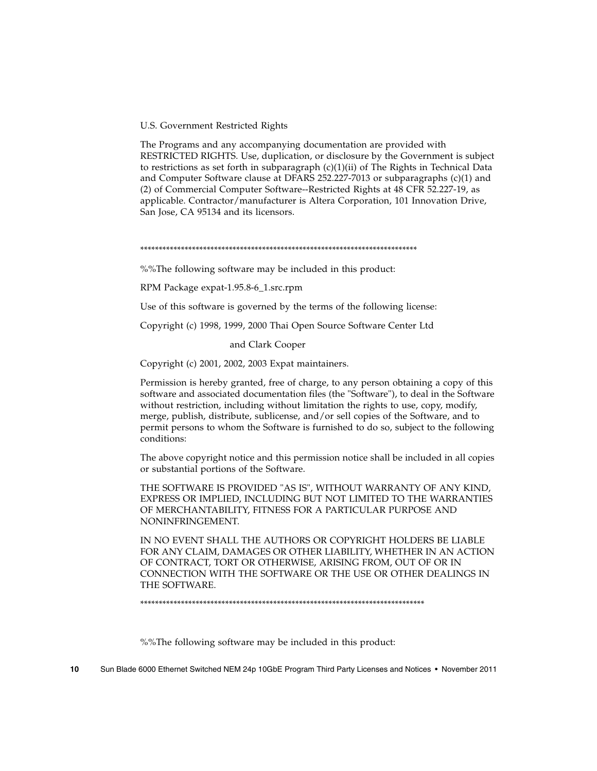#### U.S. Government Restricted Rights

The Programs and any accompanying documentation are provided with RESTRICTED RIGHTS. Use, duplication, or disclosure by the Government is subject to restrictions as set forth in subparagraph  $(c)(1)(ii)$  of The Rights in Technical Data and Computer Software clause at DFARS 252.227-7013 or subparagraphs (c)(1) and (2) of Commercial Computer Software--Restricted Rights at 48 CFR 52.227-19, as applicable. Contractor/manufacturer is Altera Corporation, 101 Innovation Drive, San Jose, CA 95134 and its licensors.

\*\*\*\*\*\*\*\*\*\*\*\*\*\*\*\*\*\*\*\*\*\*\*\*\*\*\*\*\*\*\*\*\*\*\*\*\*\*\*\*\*\*\*\*\*\*\*\*\*\*\*\*\*\*\*\*\*\*\*\*\*\*\*\*\*\*\*\*\*\*\*\*\*\*\*

%%The following software may be included in this product:

RPM Package expat-1.95.8-6\_1.src.rpm

Use of this software is governed by the terms of the following license:

Copyright (c) 1998, 1999, 2000 Thai Open Source Software Center Ltd

and Clark Cooper

Copyright (c) 2001, 2002, 2003 Expat maintainers.

Permission is hereby granted, free of charge, to any person obtaining a copy of this software and associated documentation files (the "Software"), to deal in the Software without restriction, including without limitation the rights to use, copy, modify, merge, publish, distribute, sublicense, and/or sell copies of the Software, and to permit persons to whom the Software is furnished to do so, subject to the following conditions:

The above copyright notice and this permission notice shall be included in all copies or substantial portions of the Software.

THE SOFTWARE IS PROVIDED "AS IS", WITHOUT WARRANTY OF ANY KIND, EXPRESS OR IMPLIED, INCLUDING BUT NOT LIMITED TO THE WARRANTIES OF MERCHANTABILITY, FITNESS FOR A PARTICULAR PURPOSE AND NONINFRINGEMENT.

IN NO EVENT SHALL THE AUTHORS OR COPYRIGHT HOLDERS BE LIABLE FOR ANY CLAIM, DAMAGES OR OTHER LIABILITY, WHETHER IN AN ACTION OF CONTRACT, TORT OR OTHERWISE, ARISING FROM, OUT OF OR IN CONNECTION WITH THE SOFTWARE OR THE USE OR OTHER DEALINGS IN THE SOFTWARE.

\*\*\*\*\*\*\*\*\*\*\*\*\*\*\*\*\*\*\*\*\*\*\*\*\*\*\*\*\*\*\*\*\*\*\*\*\*\*\*\*\*\*\*\*\*\*\*\*\*\*\*\*\*\*\*\*\*\*\*\*\*\*\*\*\*\*\*\*\*\*\*\*\*\*\*\*\*

%%The following software may be included in this product: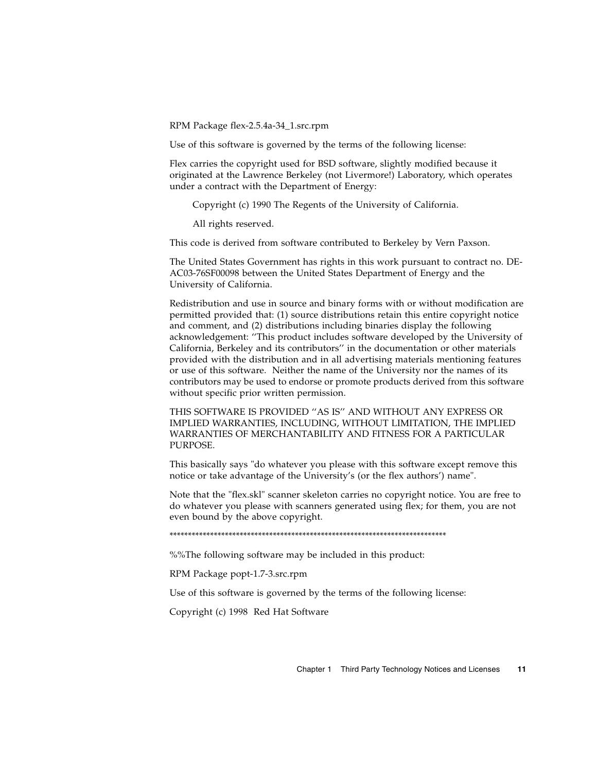RPM Package flex-2.5.4a-34\_1.src.rpm

Use of this software is governed by the terms of the following license:

Flex carries the copyright used for BSD software, slightly modified because it originated at the Lawrence Berkeley (not Livermore!) Laboratory, which operates under a contract with the Department of Energy:

Copyright (c) 1990 The Regents of the University of California.

All rights reserved.

This code is derived from software contributed to Berkeley by Vern Paxson.

The United States Government has rights in this work pursuant to contract no. DE-AC03-76SF00098 between the United States Department of Energy and the University of California.

Redistribution and use in source and binary forms with or without modification are permitted provided that: (1) source distributions retain this entire copyright notice and comment, and (2) distributions including binaries display the following acknowledgement: ''This product includes software developed by the University of California, Berkeley and its contributors'' in the documentation or other materials provided with the distribution and in all advertising materials mentioning features or use of this software. Neither the name of the University nor the names of its contributors may be used to endorse or promote products derived from this software without specific prior written permission.

THIS SOFTWARE IS PROVIDED ''AS IS'' AND WITHOUT ANY EXPRESS OR IMPLIED WARRANTIES, INCLUDING, WITHOUT LIMITATION, THE IMPLIED WARRANTIES OF MERCHANTABILITY AND FITNESS FOR A PARTICULAR PURPOSE.

This basically says "do whatever you please with this software except remove this notice or take advantage of the University's (or the flex authors') name".

Note that the "flex.skl" scanner skeleton carries no copyright notice. You are free to do whatever you please with scanners generated using flex; for them, you are not even bound by the above copyright.

\*\*\*\*\*\*\*\*\*\*\*\*\*\*\*\*\*\*\*\*\*\*\*\*\*\*\*\*\*\*\*\*\*\*\*\*\*\*\*\*\*\*\*\*\*\*\*\*\*\*\*\*\*\*\*\*\*\*\*\*\*\*\*\*\*\*\*\*\*\*\*\*\*\*\*

%%The following software may be included in this product:

RPM Package popt-1.7-3.src.rpm

Use of this software is governed by the terms of the following license:

Copyright (c) 1998 Red Hat Software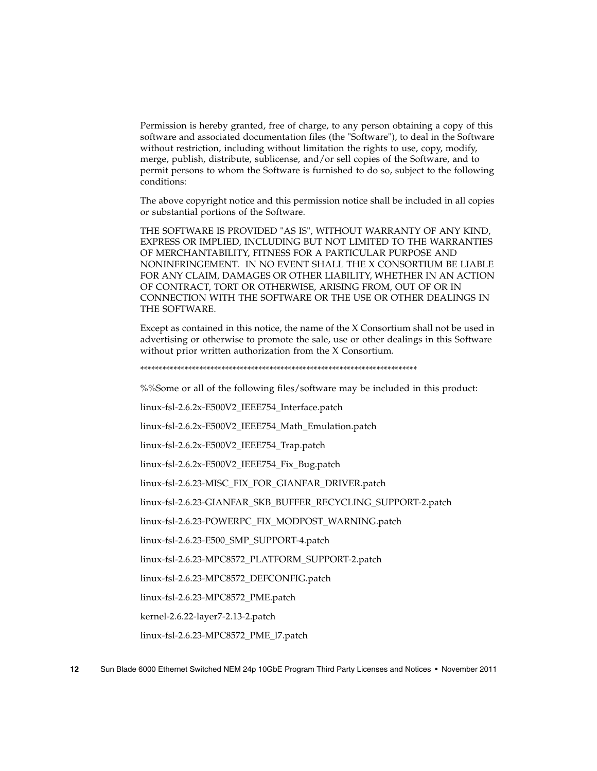Permission is hereby granted, free of charge, to any person obtaining a copy of this software and associated documentation files (the "Software"), to deal in the Software without restriction, including without limitation the rights to use, copy, modify, merge, publish, distribute, sublicense, and/or sell copies of the Software, and to permit persons to whom the Software is furnished to do so, subject to the following conditions:

The above copyright notice and this permission notice shall be included in all copies or substantial portions of the Software.

THE SOFTWARE IS PROVIDED "AS IS", WITHOUT WARRANTY OF ANY KIND, EXPRESS OR IMPLIED, INCLUDING BUT NOT LIMITED TO THE WARRANTIES OF MERCHANTABILITY, FITNESS FOR A PARTICULAR PURPOSE AND NONINFRINGEMENT. IN NO EVENT SHALL THE X CONSORTIUM BE LIABLE FOR ANY CLAIM, DAMAGES OR OTHER LIABILITY, WHETHER IN AN ACTION OF CONTRACT, TORT OR OTHERWISE, ARISING FROM, OUT OF OR IN CONNECTION WITH THE SOFTWARE OR THE USE OR OTHER DEALINGS IN THE SOFTWARE.

Except as contained in this notice, the name of the X Consortium shall not be used in advertising or otherwise to promote the sale, use or other dealings in this Software without prior written authorization from the X Consortium.

```
***************************************************************************
```
%%Some or all of the following files/software may be included in this product:

linux-fsl-2.6.2x-E500V2\_IEEE754\_Interface.patch

linux-fsl-2.6.2x-E500V2\_IEEE754\_Math\_Emulation.patch

linux-fsl-2.6.2x-E500V2\_IEEE754\_Trap.patch

linux-fsl-2.6.2x-E500V2\_IEEE754\_Fix\_Bug.patch

linux-fsl-2.6.23-MISC\_FIX\_FOR\_GIANFAR\_DRIVER.patch

linux-fsl-2.6.23-GIANFAR\_SKB\_BUFFER\_RECYCLING\_SUPPORT-2.patch

linux-fsl-2.6.23-POWERPC\_FIX\_MODPOST\_WARNING.patch

linux-fsl-2.6.23-E500\_SMP\_SUPPORT-4.patch

linux-fsl-2.6.23-MPC8572\_PLATFORM\_SUPPORT-2.patch

linux-fsl-2.6.23-MPC8572\_DEFCONFIG.patch

linux-fsl-2.6.23-MPC8572\_PME.patch

kernel-2.6.22-layer7-2.13-2.patch

linux-fsl-2.6.23-MPC8572\_PME\_l7.patch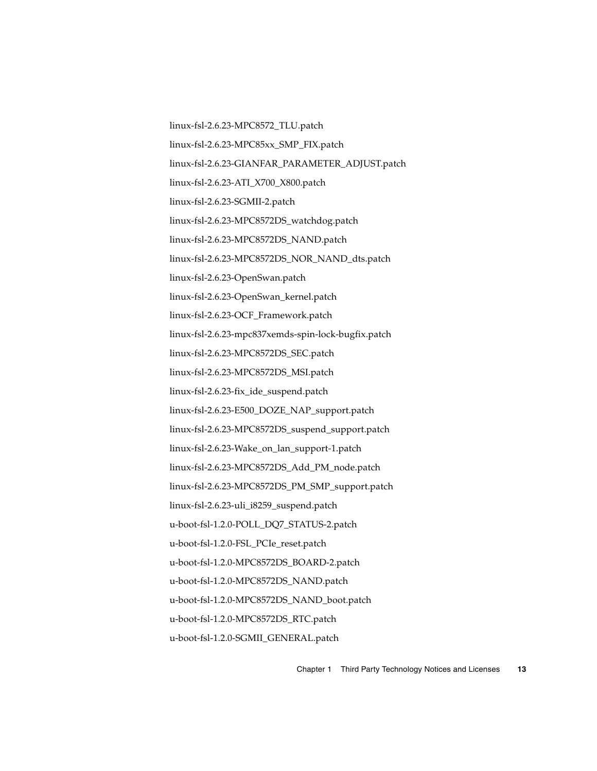linux-fsl-2.6.23-MPC8572\_TLU.patch

linux-fsl-2.6.23-MPC85xx\_SMP\_FIX.patch

linux-fsl-2.6.23-GIANFAR\_PARAMETER\_ADJUST.patch

linux-fsl-2.6.23-ATI\_X700\_X800.patch

linux-fsl-2.6.23-SGMII-2.patch

linux-fsl-2.6.23-MPC8572DS\_watchdog.patch

linux-fsl-2.6.23-MPC8572DS\_NAND.patch

linux-fsl-2.6.23-MPC8572DS\_NOR\_NAND\_dts.patch

linux-fsl-2.6.23-OpenSwan.patch

linux-fsl-2.6.23-OpenSwan\_kernel.patch

linux-fsl-2.6.23-OCF\_Framework.patch

linux-fsl-2.6.23-mpc837xemds-spin-lock-bugfix.patch

linux-fsl-2.6.23-MPC8572DS\_SEC.patch

linux-fsl-2.6.23-MPC8572DS\_MSI.patch

linux-fsl-2.6.23-fix\_ide\_suspend.patch

linux-fsl-2.6.23-E500\_DOZE\_NAP\_support.patch

linux-fsl-2.6.23-MPC8572DS\_suspend\_support.patch

linux-fsl-2.6.23-Wake\_on\_lan\_support-1.patch

linux-fsl-2.6.23-MPC8572DS\_Add\_PM\_node.patch

linux-fsl-2.6.23-MPC8572DS\_PM\_SMP\_support.patch

linux-fsl-2.6.23-uli\_i8259\_suspend.patch

u-boot-fsl-1.2.0-POLL\_DQ7\_STATUS-2.patch

u-boot-fsl-1.2.0-FSL\_PCIe\_reset.patch

u-boot-fsl-1.2.0-MPC8572DS\_BOARD-2.patch

u-boot-fsl-1.2.0-MPC8572DS\_NAND.patch

u-boot-fsl-1.2.0-MPC8572DS\_NAND\_boot.patch

u-boot-fsl-1.2.0-MPC8572DS\_RTC.patch

u-boot-fsl-1.2.0-SGMII\_GENERAL.patch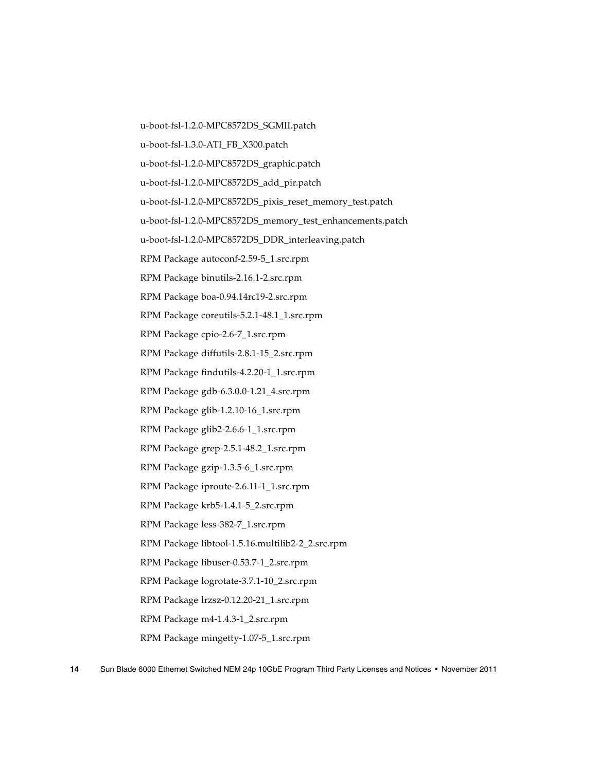- u-boot-fsl-1.2.0-MPC8572DS\_SGMII.patch
- u-boot-fsl-1.3.0-ATI\_FB\_X300.patch
- u-boot-fsl-1.2.0-MPC8572DS\_graphic.patch
- u-boot-fsl-1.2.0-MPC8572DS\_add\_pir.patch
- u-boot-fsl-1.2.0-MPC8572DS\_pixis\_reset\_memory\_test.patch
- u-boot-fsl-1.2.0-MPC8572DS\_memory\_test\_enhancements.patch
- u-boot-fsl-1.2.0-MPC8572DS\_DDR\_interleaving.patch
- RPM Package autoconf-2.59-5\_1.src.rpm
- RPM Package binutils-2.16.1-2.src.rpm
- RPM Package boa-0.94.14rc19-2.src.rpm
- RPM Package coreutils-5.2.1-48.1\_1.src.rpm
- RPM Package cpio-2.6-7\_1.src.rpm
- RPM Package diffutils-2.8.1-15\_2.src.rpm
- RPM Package findutils-4.2.20-1\_1.src.rpm
- RPM Package gdb-6.3.0.0-1.21\_4.src.rpm
- RPM Package glib-1.2.10-16\_1.src.rpm
- RPM Package glib2-2.6.6-1\_1.src.rpm
- RPM Package grep-2.5.1-48.2\_1.src.rpm
- RPM Package gzip-1.3.5-6\_1.src.rpm
- RPM Package iproute-2.6.11-1\_1.src.rpm
- RPM Package krb5-1.4.1-5\_2.src.rpm
- RPM Package less-382-7\_1.src.rpm
- RPM Package libtool-1.5.16.multilib2-2\_2.src.rpm
- RPM Package libuser-0.53.7-1\_2.src.rpm
- RPM Package logrotate-3.7.1-10\_2.src.rpm
- RPM Package lrzsz-0.12.20-21\_1.src.rpm
- RPM Package m4-1.4.3-1\_2.src.rpm
- RPM Package mingetty-1.07-5\_1.src.rpm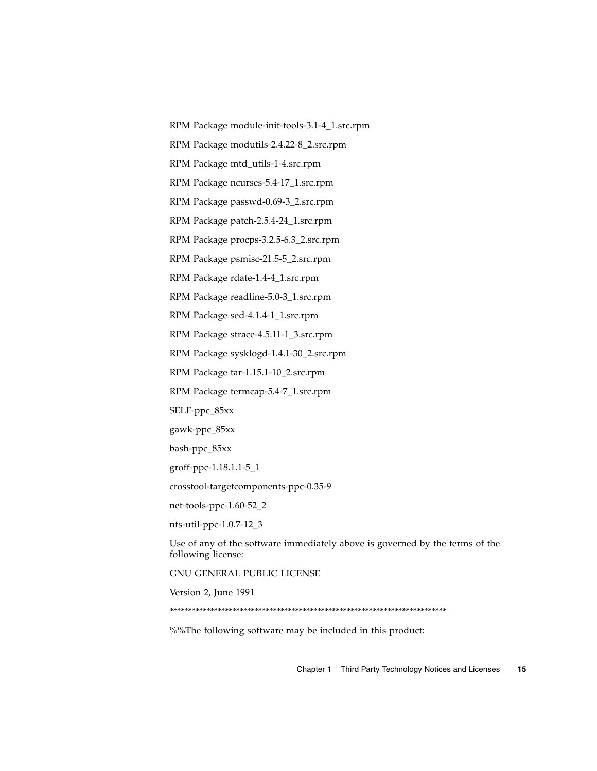RPM Package module-init-tools-3.1-4\_1.src.rpm

RPM Package modutils-2.4.22-8\_2.src.rpm

RPM Package mtd\_utils-1-4.src.rpm

RPM Package ncurses-5.4-17\_1.src.rpm

RPM Package passwd-0.69-3\_2.src.rpm

RPM Package patch-2.5.4-24\_1.src.rpm

RPM Package procps-3.2.5-6.3\_2.src.rpm

RPM Package psmisc-21.5-5\_2.src.rpm

RPM Package rdate-1.4-4\_1.src.rpm

RPM Package readline-5.0-3\_1.src.rpm

RPM Package sed-4.1.4-1\_1.src.rpm

RPM Package strace-4.5.11-1\_3.src.rpm

RPM Package sysklogd-1.4.1-30\_2.src.rpm

RPM Package tar-1.15.1-10\_2.src.rpm

RPM Package termcap-5.4-7\_1.src.rpm

SELF-ppc\_85xx

gawk-ppc\_85xx

bash-ppc\_85xx

groff-ppc-1.18.1.1-5\_1

crosstool-targetcomponents-ppc-0.35-9

net-tools-ppc-1.60-52\_2

nfs-util-ppc-1.0.7-12\_3

Use of any of the software immediately above is governed by the terms of the following license:

GNU GENERAL PUBLIC LICENSE

Version 2, June 1991

\*\*\*\*\*\*\*\*\*\*\*\*\*\*\*\*\*\*\*\*\*\*\*\*\*\*\*\*\*\*\*\*\*\*\*\*\*\*\*\*\*\*\*\*\*\*\*\*\*\*\*\*\*\*\*\*\*\*\*\*\*\*\*\*\*\*\*\*\*\*\*\*\*\*\*

%%The following software may be included in this product: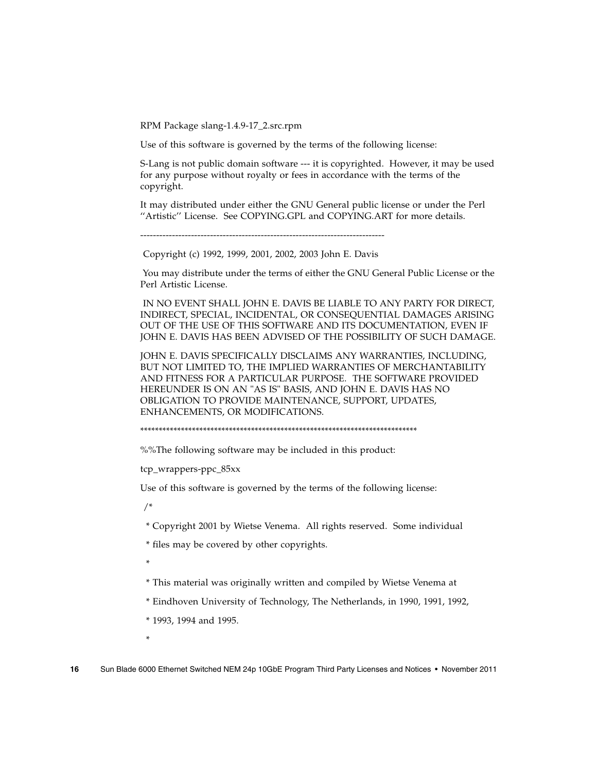RPM Package slang-1.4.9-17\_2.src.rpm

Use of this software is governed by the terms of the following license:

S-Lang is not public domain software --- it is copyrighted. However, it may be used for any purpose without royalty or fees in accordance with the terms of the copyright.

It may distributed under either the GNU General public license or under the Perl ''Artistic'' License. See COPYING.GPL and COPYING.ART for more details.

-----------------------------------------------------------------------------

Copyright (c) 1992, 1999, 2001, 2002, 2003 John E. Davis

You may distribute under the terms of either the GNU General Public License or the Perl Artistic License.

IN NO EVENT SHALL JOHN E. DAVIS BE LIABLE TO ANY PARTY FOR DIRECT, INDIRECT, SPECIAL, INCIDENTAL, OR CONSEQUENTIAL DAMAGES ARISING OUT OF THE USE OF THIS SOFTWARE AND ITS DOCUMENTATION, EVEN IF JOHN E. DAVIS HAS BEEN ADVISED OF THE POSSIBILITY OF SUCH DAMAGE.

JOHN E. DAVIS SPECIFICALLY DISCLAIMS ANY WARRANTIES, INCLUDING, BUT NOT LIMITED TO, THE IMPLIED WARRANTIES OF MERCHANTABILITY AND FITNESS FOR A PARTICULAR PURPOSE. THE SOFTWARE PROVIDED HEREUNDER IS ON AN "AS IS" BASIS, AND JOHN E. DAVIS HAS NO OBLIGATION TO PROVIDE MAINTENANCE, SUPPORT, UPDATES, ENHANCEMENTS, OR MODIFICATIONS.

\*\*\*\*\*\*\*\*\*\*\*\*\*\*\*\*\*\*\*\*\*\*\*\*\*\*\*\*\*\*\*\*\*\*\*\*\*\*\*\*\*\*\*\*\*\*\*\*\*\*\*\*\*\*\*\*\*\*\*\*\*\*\*\*\*\*\*\*\*\*\*\*\*\*\*

%%The following software may be included in this product:

tcp\_wrappers-ppc\_85xx

Use of this software is governed by the terms of the following license:

/\*

\* Copyright 2001 by Wietse Venema. All rights reserved. Some individual

\* files may be covered by other copyrights.

\*

\* This material was originally written and compiled by Wietse Venema at

\* Eindhoven University of Technology, The Netherlands, in 1990, 1991, 1992,

- \* 1993, 1994 and 1995.
- \*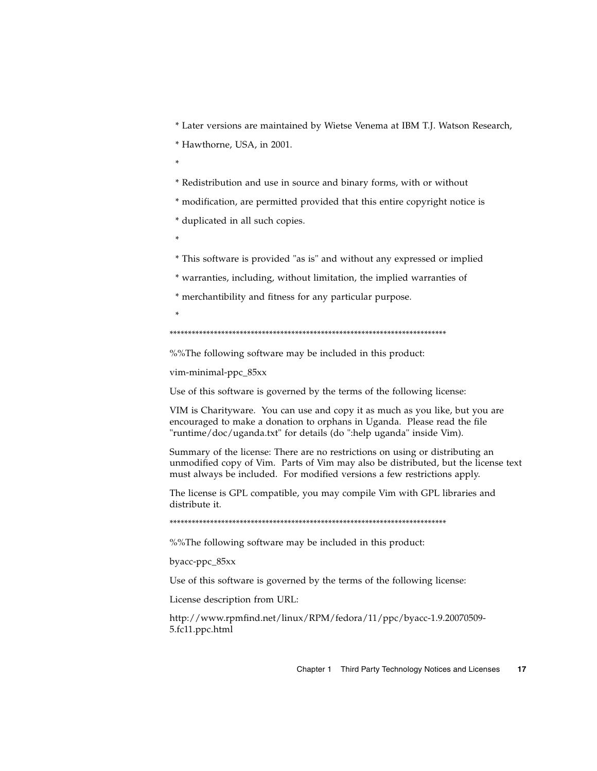\* Later versions are maintained by Wietse Venema at IBM T.J. Watson Research, \* Hawthorne, USA, in 2001.

\*

\* Redistribution and use in source and binary forms, with or without

\* modification, are permitted provided that this entire copyright notice is

\* duplicated in all such copies.

\*

\* This software is provided "as is" and without any expressed or implied

\* warranties, including, without limitation, the implied warranties of

\* merchantibility and fitness for any particular purpose.

\*

\*\*\*\*\*\*\*\*\*\*\*\*\*\*\*\*\*\*\*\*\*\*\*\*\*\*\*\*\*\*\*\*\*\*\*\*\*\*\*\*\*\*\*\*\*\*\*\*\*\*\*\*\*\*\*\*\*\*\*\*\*\*\*\*\*\*\*\*\*\*\*\*\*\*\*

%%The following software may be included in this product:

vim-minimal-ppc\_85xx

Use of this software is governed by the terms of the following license:

VIM is Charityware. You can use and copy it as much as you like, but you are encouraged to make a donation to orphans in Uganda. Please read the file "runtime/doc/uganda.txt" for details (do ":help uganda" inside Vim).

Summary of the license: There are no restrictions on using or distributing an unmodified copy of Vim. Parts of Vim may also be distributed, but the license text must always be included. For modified versions a few restrictions apply.

The license is GPL compatible, you may compile Vim with GPL libraries and distribute it.

\*\*\*\*\*\*\*\*\*\*\*\*\*\*\*\*\*\*\*\*\*\*\*\*\*\*\*\*\*\*\*\*\*\*\*\*\*\*\*\*\*\*\*\*\*\*\*\*\*\*\*\*\*\*\*\*\*\*\*\*\*\*\*\*\*\*\*\*\*\*\*\*\*\*\*

%%The following software may be included in this product:

byacc-ppc\_85xx

Use of this software is governed by the terms of the following license:

License description from URL:

http://www.rpmfind.net/linux/RPM/fedora/11/ppc/byacc-1.9.20070509- 5.fc11.ppc.html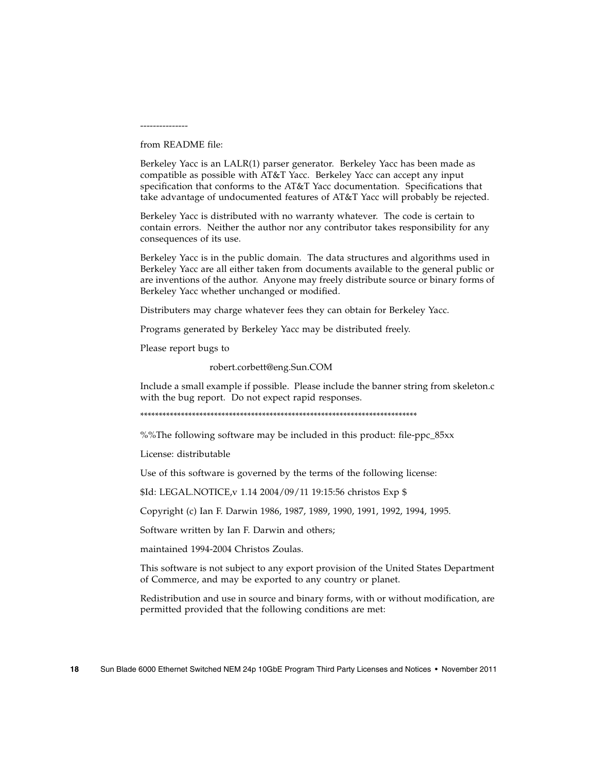---------------

from README file:

Berkeley Yacc is an LALR(1) parser generator. Berkeley Yacc has been made as compatible as possible with AT&T Yacc. Berkeley Yacc can accept any input specification that conforms to the AT&T Yacc documentation. Specifications that take advantage of undocumented features of AT&T Yacc will probably be rejected.

Berkeley Yacc is distributed with no warranty whatever. The code is certain to contain errors. Neither the author nor any contributor takes responsibility for any consequences of its use.

Berkeley Yacc is in the public domain. The data structures and algorithms used in Berkeley Yacc are all either taken from documents available to the general public or are inventions of the author. Anyone may freely distribute source or binary forms of Berkeley Yacc whether unchanged or modified.

Distributers may charge whatever fees they can obtain for Berkeley Yacc.

Programs generated by Berkeley Yacc may be distributed freely.

Please report bugs to

robert.corbett@eng.Sun.COM

Include a small example if possible. Please include the banner string from skeleton.c with the bug report. Do not expect rapid responses.

\*\*\*\*\*\*\*\*\*\*\*\*\*\*\*\*\*\*\*\*\*\*\*\*\*\*\*\*\*\*\*\*\*\*\*\*\*\*\*\*\*\*\*\*\*\*\*\*\*\*\*\*\*\*\*\*\*\*\*\*\*\*\*\*\*\*\*\*\*\*\*\*\*\*\*

%%The following software may be included in this product: file-ppc\_85xx

License: distributable

Use of this software is governed by the terms of the following license:

\$Id: LEGAL.NOTICE,v 1.14 2004/09/11 19:15:56 christos Exp \$

Copyright (c) Ian F. Darwin 1986, 1987, 1989, 1990, 1991, 1992, 1994, 1995.

Software written by Ian F. Darwin and others;

maintained 1994-2004 Christos Zoulas.

This software is not subject to any export provision of the United States Department of Commerce, and may be exported to any country or planet.

Redistribution and use in source and binary forms, with or without modification, are permitted provided that the following conditions are met: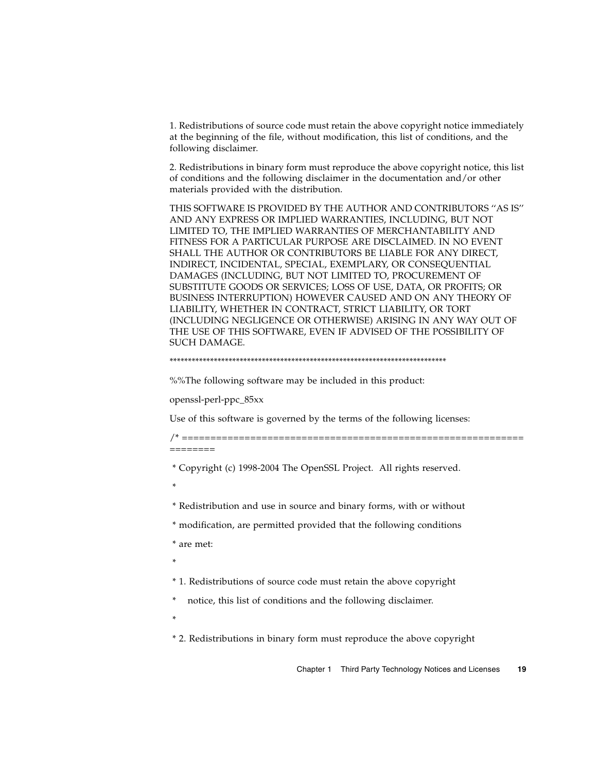1. Redistributions of source code must retain the above copyright notice immediately at the beginning of the file, without modification, this list of conditions, and the following disclaimer.

2. Redistributions in binary form must reproduce the above copyright notice, this list of conditions and the following disclaimer in the documentation and/or other materials provided with the distribution.

THIS SOFTWARE IS PROVIDED BY THE AUTHOR AND CONTRIBUTORS ''AS IS'' AND ANY EXPRESS OR IMPLIED WARRANTIES, INCLUDING, BUT NOT LIMITED TO, THE IMPLIED WARRANTIES OF MERCHANTABILITY AND FITNESS FOR A PARTICULAR PURPOSE ARE DISCLAIMED. IN NO EVENT SHALL THE AUTHOR OR CONTRIBUTORS BE LIABLE FOR ANY DIRECT, INDIRECT, INCIDENTAL, SPECIAL, EXEMPLARY, OR CONSEQUENTIAL DAMAGES (INCLUDING, BUT NOT LIMITED TO, PROCUREMENT OF SUBSTITUTE GOODS OR SERVICES; LOSS OF USE, DATA, OR PROFITS; OR BUSINESS INTERRUPTION) HOWEVER CAUSED AND ON ANY THEORY OF LIABILITY, WHETHER IN CONTRACT, STRICT LIABILITY, OR TORT (INCLUDING NEGLIGENCE OR OTHERWISE) ARISING IN ANY WAY OUT OF THE USE OF THIS SOFTWARE, EVEN IF ADVISED OF THE POSSIBILITY OF SUCH DAMAGE.

#### \*\*\*\*\*\*\*\*\*\*\*\*\*\*\*\*\*\*\*\*\*\*\*\*\*\*\*\*\*\*\*\*\*\*\*\*\*\*\*\*\*\*\*\*\*\*\*\*\*\*\*\*\*\*\*\*\*\*\*\*\*\*\*\*\*\*\*\*\*\*\*\*\*\*\*

%%The following software may be included in this product:

openssl-perl-ppc\_85xx

Use of this software is governed by the terms of the following licenses:

/\* ============================================================ ========

\* Copyright (c) 1998-2004 The OpenSSL Project. All rights reserved.

\*

\* Redistribution and use in source and binary forms, with or without

\* modification, are permitted provided that the following conditions

\* are met:

\*

\* 1. Redistributions of source code must retain the above copyright

\* notice, this list of conditions and the following disclaimer.

\*

\* 2. Redistributions in binary form must reproduce the above copyright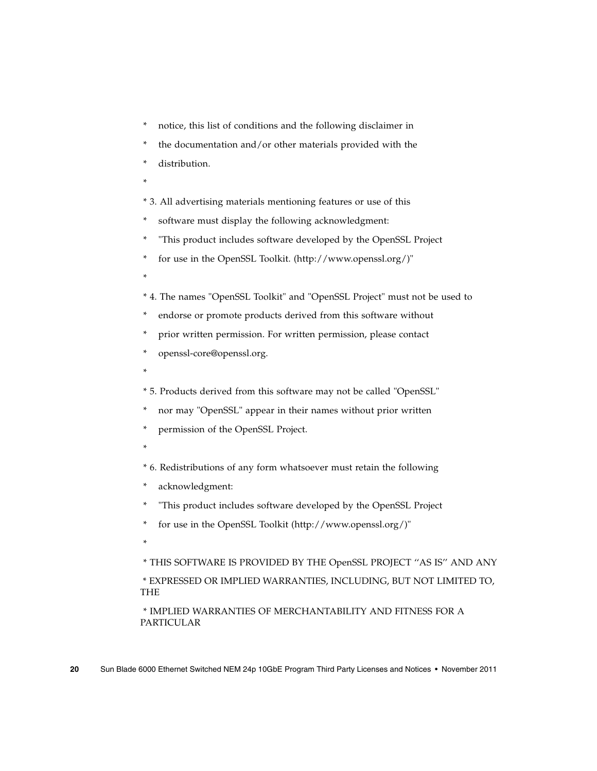- \* notice, this list of conditions and the following disclaimer in
- \* the documentation and/or other materials provided with the
- \* distribution.
- \*
- \* 3. All advertising materials mentioning features or use of this
- software must display the following acknowledgment:
- \* "This product includes software developed by the OpenSSL Project
- \* for use in the OpenSSL Toolkit. (http://www.openssl.org/)"
- \*
- \* 4. The names "OpenSSL Toolkit" and "OpenSSL Project" must not be used to
- \* endorse or promote products derived from this software without
- \* prior written permission. For written permission, please contact
- openssl-core@openssl.org.
- \*
- \* 5. Products derived from this software may not be called "OpenSSL"
- \* nor may "OpenSSL" appear in their names without prior written
- \* permission of the OpenSSL Project.
- \*
- \* 6. Redistributions of any form whatsoever must retain the following
- \* acknowledgment:
- "This product includes software developed by the OpenSSL Project
- \* for use in the OpenSSL Toolkit (http://www.openssl.org/)"
- \*

\* THIS SOFTWARE IS PROVIDED BY THE OpenSSL PROJECT ''AS IS'' AND ANY \* EXPRESSED OR IMPLIED WARRANTIES, INCLUDING, BUT NOT LIMITED TO, THE

\* IMPLIED WARRANTIES OF MERCHANTABILITY AND FITNESS FOR A PARTICULAR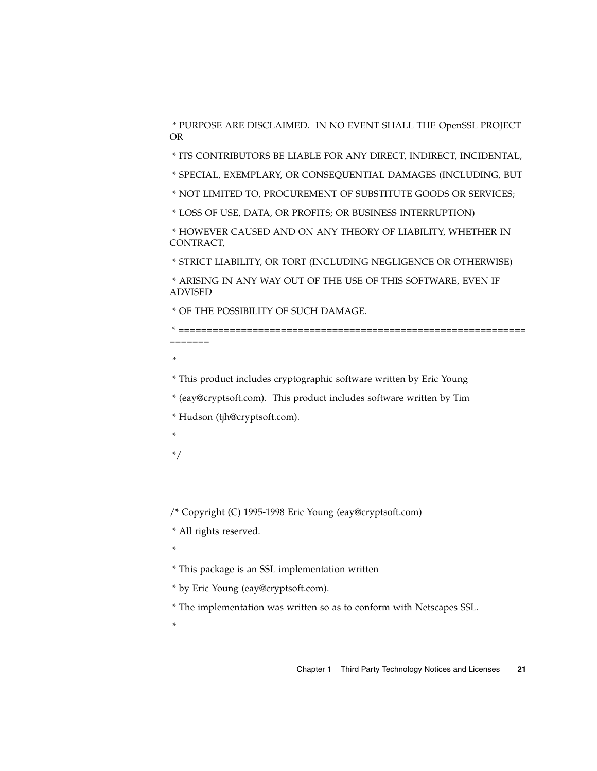\* PURPOSE ARE DISCLAIMED. IN NO EVENT SHALL THE OpenSSL PROJECT OR

\* ITS CONTRIBUTORS BE LIABLE FOR ANY DIRECT, INDIRECT, INCIDENTAL,

\* SPECIAL, EXEMPLARY, OR CONSEQUENTIAL DAMAGES (INCLUDING, BUT

\* NOT LIMITED TO, PROCUREMENT OF SUBSTITUTE GOODS OR SERVICES;

\* LOSS OF USE, DATA, OR PROFITS; OR BUSINESS INTERRUPTION)

\* HOWEVER CAUSED AND ON ANY THEORY OF LIABILITY, WHETHER IN CONTRACT,

\* STRICT LIABILITY, OR TORT (INCLUDING NEGLIGENCE OR OTHERWISE)

\* ARISING IN ANY WAY OUT OF THE USE OF THIS SOFTWARE, EVEN IF ADVISED

\* OF THE POSSIBILITY OF SUCH DAMAGE.

\* ============================================================= =======

\*

\* This product includes cryptographic software written by Eric Young

\* (eay@cryptsoft.com). This product includes software written by Tim

\* Hudson (tjh@cryptsoft.com).

- \*
- \*/

/\* Copyright (C) 1995-1998 Eric Young (eay@cryptsoft.com)

\* All rights reserved.

\*

\* This package is an SSL implementation written

\* by Eric Young (eay@cryptsoft.com).

\* The implementation was written so as to conform with Netscapes SSL.

\*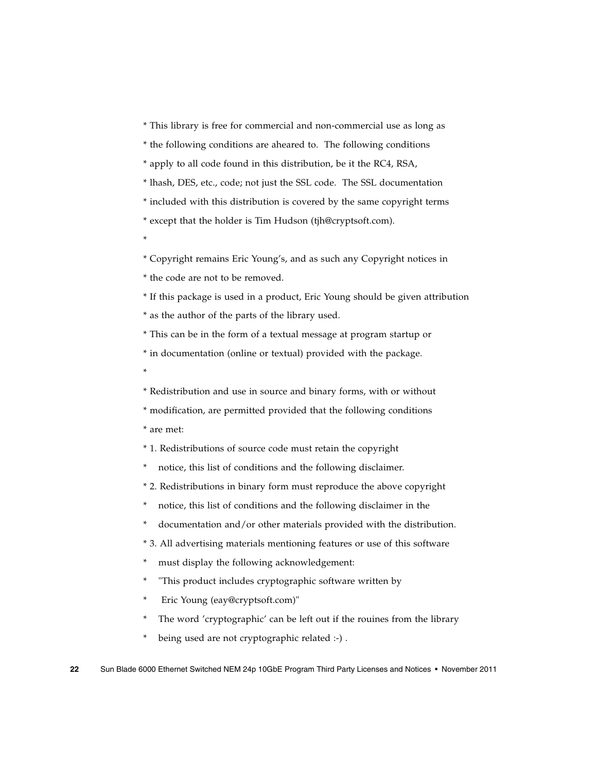\* This library is free for commercial and non-commercial use as long as \* the following conditions are aheared to. The following conditions \* apply to all code found in this distribution, be it the RC4, RSA, \* lhash, DES, etc., code; not just the SSL code. The SSL documentation \* included with this distribution is covered by the same copyright terms \* except that the holder is Tim Hudson (tjh@cryptsoft.com).

\*

\* Copyright remains Eric Young's, and as such any Copyright notices in \* the code are not to be removed.

\* If this package is used in a product, Eric Young should be given attribution \* as the author of the parts of the library used.

\* This can be in the form of a textual message at program startup or \* in documentation (online or textual) provided with the package.

\*

\* Redistribution and use in source and binary forms, with or without \* modification, are permitted provided that the following conditions \* are met:

\* 1. Redistributions of source code must retain the copyright

\* notice, this list of conditions and the following disclaimer.

\* 2. Redistributions in binary form must reproduce the above copyright

\* notice, this list of conditions and the following disclaimer in the

documentation and/or other materials provided with the distribution.

\* 3. All advertising materials mentioning features or use of this software

\* must display the following acknowledgement:

\* "This product includes cryptographic software written by

\* Eric Young (eay@cryptsoft.com)"

\* The word 'cryptographic' can be left out if the rouines from the library

being used are not cryptographic related :-).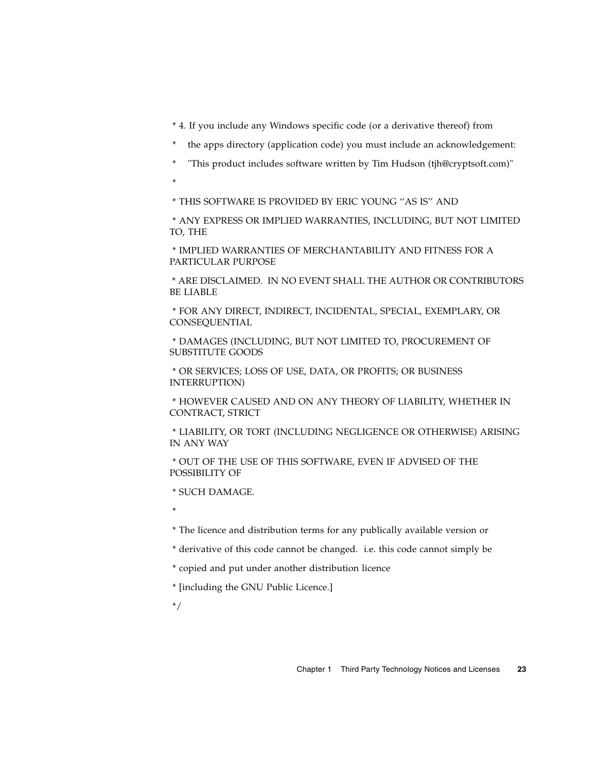\* 4. If you include any Windows specific code (or a derivative thereof) from

- \* the apps directory (application code) you must include an acknowledgement:
- \* "This product includes software written by Tim Hudson (tjh@cryptsoft.com)"
- \*

\* THIS SOFTWARE IS PROVIDED BY ERIC YOUNG ''AS IS'' AND

\* ANY EXPRESS OR IMPLIED WARRANTIES, INCLUDING, BUT NOT LIMITED TO, THE

\* IMPLIED WARRANTIES OF MERCHANTABILITY AND FITNESS FOR A PARTICULAR PURPOSE

\* ARE DISCLAIMED. IN NO EVENT SHALL THE AUTHOR OR CONTRIBUTORS BE LIABLE

\* FOR ANY DIRECT, INDIRECT, INCIDENTAL, SPECIAL, EXEMPLARY, OR CONSEQUENTIAL

\* DAMAGES (INCLUDING, BUT NOT LIMITED TO, PROCUREMENT OF SUBSTITUTE GOODS

\* OR SERVICES; LOSS OF USE, DATA, OR PROFITS; OR BUSINESS INTERRUPTION)

\* HOWEVER CAUSED AND ON ANY THEORY OF LIABILITY, WHETHER IN CONTRACT, STRICT

\* LIABILITY, OR TORT (INCLUDING NEGLIGENCE OR OTHERWISE) ARISING IN ANY WAY

\* OUT OF THE USE OF THIS SOFTWARE, EVEN IF ADVISED OF THE POSSIBILITY OF

\* SUCH DAMAGE.

\*

\* The licence and distribution terms for any publically available version or

\* derivative of this code cannot be changed. i.e. this code cannot simply be

\* copied and put under another distribution licence

\* [including the GNU Public Licence.]

\*/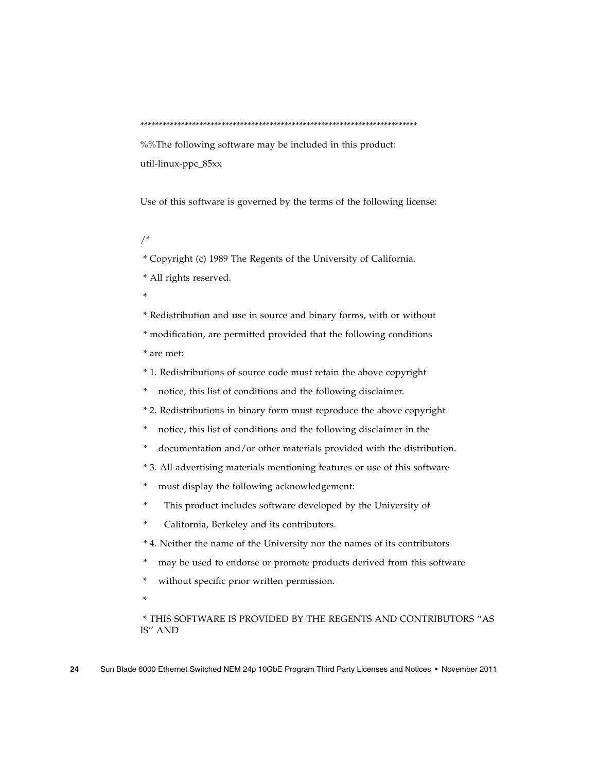\*\*\*\*\*\*\*\*\*\*\*\*\*\*\*\*\*\*\*\*\*\*\*\*\*\*\*\*\*\*\*\*\*\*\*\*\*\*\*\*\*\*\*\*\*\*\*\*\*\*\*\*\*\*\*\*\*\*\*\*\*\*\*\*\*\*\*\*\*\*\*\*\*\*\*

%%The following software may be included in this product: util-linux-ppc\_85xx

Use of this software is governed by the terms of the following license:

#### /\*

\* Copyright (c) 1989 The Regents of the University of California.

- \* All rights reserved.
- \*

\* Redistribution and use in source and binary forms, with or without \* modification, are permitted provided that the following conditions \* are met:

\* 1. Redistributions of source code must retain the above copyright

\* notice, this list of conditions and the following disclaimer.

\* 2. Redistributions in binary form must reproduce the above copyright

- \* notice, this list of conditions and the following disclaimer in the
- \* documentation and/or other materials provided with the distribution.
- \* 3. All advertising materials mentioning features or use of this software
- \* must display the following acknowledgement:
- This product includes software developed by the University of
- California, Berkeley and its contributors.

\* 4. Neither the name of the University nor the names of its contributors

- \* may be used to endorse or promote products derived from this software
- \* without specific prior written permission.
- \*

\* THIS SOFTWARE IS PROVIDED BY THE REGENTS AND CONTRIBUTORS ''AS IS'' AND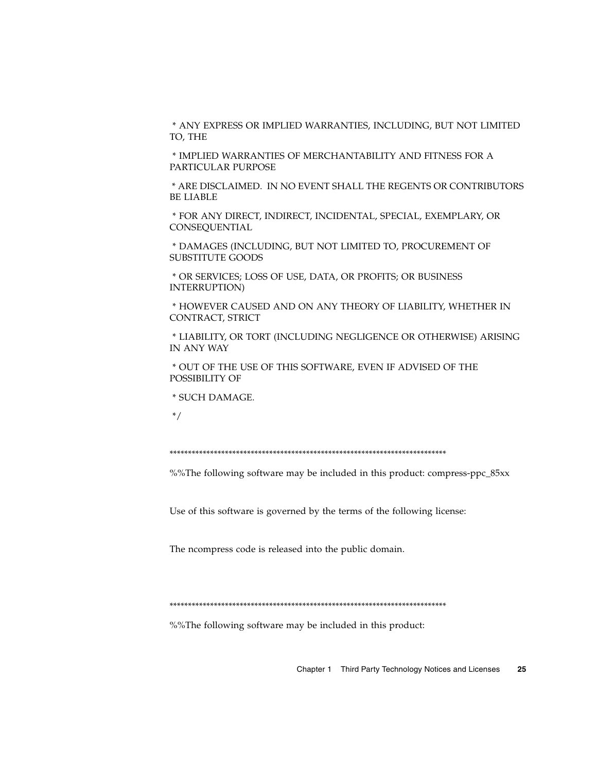\* ANY EXPRESS OR IMPLIED WARRANTIES, INCLUDING, BUT NOT LIMITED TO, THE

\* IMPLIED WARRANTIES OF MERCHANTABILITY AND FITNESS FOR A PARTICULAR PURPOSE

\* ARE DISCLAIMED. IN NO EVENT SHALL THE REGENTS OR CONTRIBUTORS BE LIABLE

\* FOR ANY DIRECT, INDIRECT, INCIDENTAL, SPECIAL, EXEMPLARY, OR CONSEQUENTIAL

\* DAMAGES (INCLUDING, BUT NOT LIMITED TO, PROCUREMENT OF SUBSTITUTE GOODS

\* OR SERVICES; LOSS OF USE, DATA, OR PROFITS; OR BUSINESS INTERRUPTION)

\* HOWEVER CAUSED AND ON ANY THEORY OF LIABILITY, WHETHER IN CONTRACT, STRICT

\* LIABILITY, OR TORT (INCLUDING NEGLIGENCE OR OTHERWISE) ARISING IN ANY WAY

\* OUT OF THE USE OF THIS SOFTWARE, EVEN IF ADVISED OF THE POSSIBILITY OF

\* SUCH DAMAGE.

\*/

\*\*\*\*\*\*\*\*\*\*\*\*\*\*\*\*\*\*\*\*\*\*\*\*\*\*\*\*\*\*\*\*\*\*\*\*\*\*\*\*\*\*\*\*\*\*\*\*\*\*\*\*\*\*\*\*\*\*\*\*\*\*\*\*\*\*\*\*\*\*\*\*\*\*\*

%%The following software may be included in this product: compress-ppc\_85xx

Use of this software is governed by the terms of the following license:

The ncompress code is released into the public domain.

\*\*\*\*\*\*\*\*\*\*\*\*\*\*\*\*\*\*\*\*\*\*\*\*\*\*\*\*\*\*\*\*\*\*\*\*\*\*\*\*\*\*\*\*\*\*\*\*\*\*\*\*\*\*\*\*\*\*\*\*\*\*\*\*\*\*\*\*\*\*\*\*\*\*\*

%%The following software may be included in this product: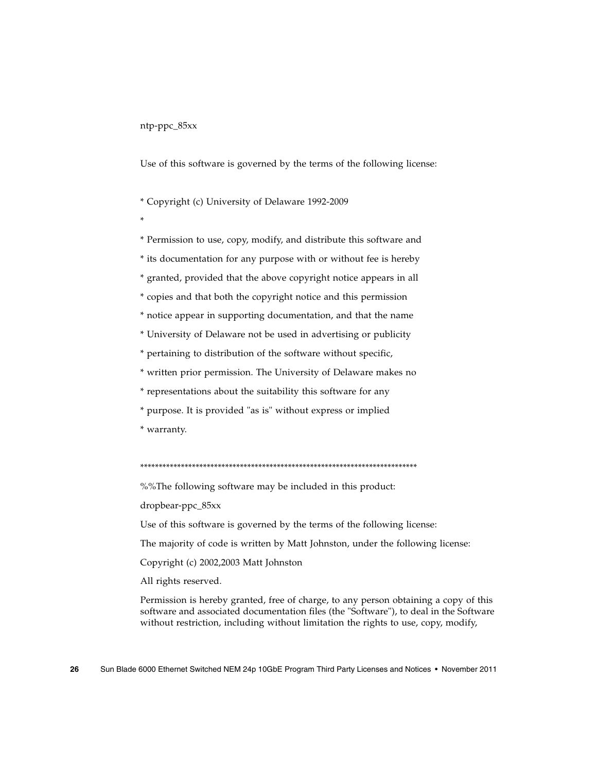#### ntp-ppc\_85xx

Use of this software is governed by the terms of the following license:

\* Copyright (c) University of Delaware 1992-2009

\*

\* Permission to use, copy, modify, and distribute this software and \* its documentation for any purpose with or without fee is hereby \* granted, provided that the above copyright notice appears in all \* copies and that both the copyright notice and this permission \* notice appear in supporting documentation, and that the name \* University of Delaware not be used in advertising or publicity \* pertaining to distribution of the software without specific, \* written prior permission. The University of Delaware makes no \* representations about the suitability this software for any \* purpose. It is provided "as is" without express or implied \* warranty.

\*\*\*\*\*\*\*\*\*\*\*\*\*\*\*\*\*\*\*\*\*\*\*\*\*\*\*\*\*\*\*\*\*\*\*\*\*\*\*\*\*\*\*\*\*\*\*\*\*\*\*\*\*\*\*\*\*\*\*\*\*\*\*\*\*\*\*\*\*\*\*\*\*\*\*

%%The following software may be included in this product:

dropbear-ppc\_85xx

Use of this software is governed by the terms of the following license:

The majority of code is written by Matt Johnston, under the following license:

Copyright (c) 2002,2003 Matt Johnston

All rights reserved.

Permission is hereby granted, free of charge, to any person obtaining a copy of this software and associated documentation files (the "Software"), to deal in the Software without restriction, including without limitation the rights to use, copy, modify,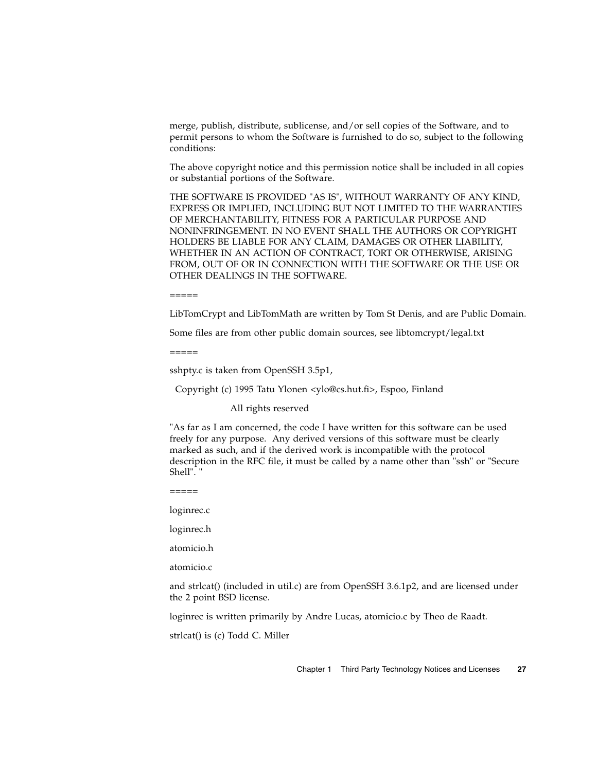merge, publish, distribute, sublicense, and/or sell copies of the Software, and to permit persons to whom the Software is furnished to do so, subject to the following conditions:

The above copyright notice and this permission notice shall be included in all copies or substantial portions of the Software.

THE SOFTWARE IS PROVIDED "AS IS", WITHOUT WARRANTY OF ANY KIND, EXPRESS OR IMPLIED, INCLUDING BUT NOT LIMITED TO THE WARRANTIES OF MERCHANTABILITY, FITNESS FOR A PARTICULAR PURPOSE AND NONINFRINGEMENT. IN NO EVENT SHALL THE AUTHORS OR COPYRIGHT HOLDERS BE LIABLE FOR ANY CLAIM, DAMAGES OR OTHER LIABILITY, WHETHER IN AN ACTION OF CONTRACT, TORT OR OTHERWISE, ARISING FROM, OUT OF OR IN CONNECTION WITH THE SOFTWARE OR THE USE OR OTHER DEALINGS IN THE SOFTWARE.

 $=====$ 

LibTomCrypt and LibTomMath are written by Tom St Denis, and are Public Domain.

Some files are from other public domain sources, see libtomcrypt/legal.txt

=====

sshpty.c is taken from OpenSSH 3.5p1,

Copyright (c) 1995 Tatu Ylonen <ylo@cs.hut.fi>, Espoo, Finland

All rights reserved

"As far as I am concerned, the code I have written for this software can be used freely for any purpose. Any derived versions of this software must be clearly marked as such, and if the derived work is incompatible with the protocol description in the RFC file, it must be called by a name other than "ssh" or "Secure Shell". "

 $=$  $=$  $=$  $=$  $=$  $=$ 

loginrec.c

loginrec.h

atomicio.h

atomicio.c

and strlcat() (included in util.c) are from OpenSSH 3.6.1p2, and are licensed under the 2 point BSD license.

loginrec is written primarily by Andre Lucas, atomicio.c by Theo de Raadt.

strlcat() is (c) Todd C. Miller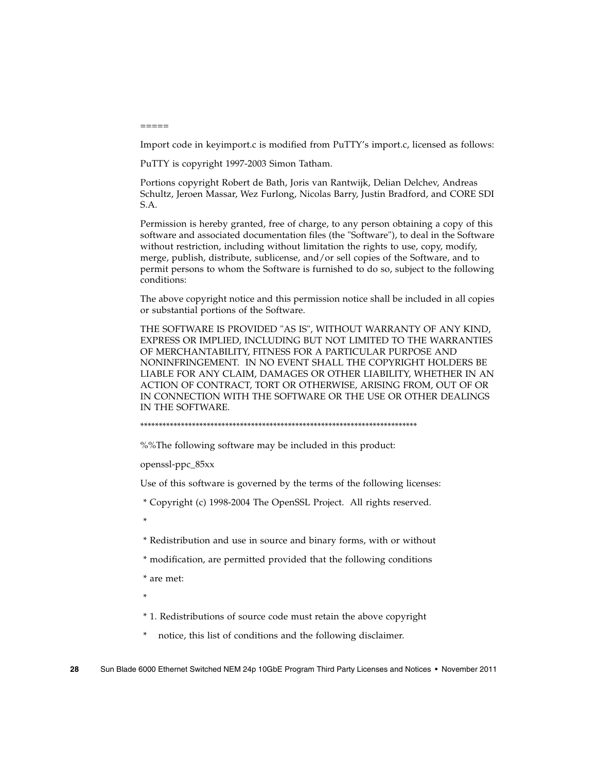=====

Import code in keyimport.c is modified from PuTTY's import.c, licensed as follows:

PuTTY is copyright 1997-2003 Simon Tatham.

Portions copyright Robert de Bath, Joris van Rantwijk, Delian Delchev, Andreas Schultz, Jeroen Massar, Wez Furlong, Nicolas Barry, Justin Bradford, and CORE SDI S.A.

Permission is hereby granted, free of charge, to any person obtaining a copy of this software and associated documentation files (the "Software"), to deal in the Software without restriction, including without limitation the rights to use, copy, modify, merge, publish, distribute, sublicense, and/or sell copies of the Software, and to permit persons to whom the Software is furnished to do so, subject to the following conditions:

The above copyright notice and this permission notice shall be included in all copies or substantial portions of the Software.

THE SOFTWARE IS PROVIDED "AS IS", WITHOUT WARRANTY OF ANY KIND, EXPRESS OR IMPLIED, INCLUDING BUT NOT LIMITED TO THE WARRANTIES OF MERCHANTABILITY, FITNESS FOR A PARTICULAR PURPOSE AND NONINFRINGEMENT. IN NO EVENT SHALL THE COPYRIGHT HOLDERS BE LIABLE FOR ANY CLAIM, DAMAGES OR OTHER LIABILITY, WHETHER IN AN ACTION OF CONTRACT, TORT OR OTHERWISE, ARISING FROM, OUT OF OR IN CONNECTION WITH THE SOFTWARE OR THE USE OR OTHER DEALINGS IN THE SOFTWARE.

\*\*\*\*\*\*\*\*\*\*\*\*\*\*\*\*\*\*\*\*\*\*\*\*\*\*\*\*\*\*\*\*\*\*\*\*\*\*\*\*\*\*\*\*\*\*\*\*\*\*\*\*\*\*\*\*\*\*\*\*\*\*\*\*\*\*\*\*\*\*\*\*\*\*\*

%%The following software may be included in this product:

openssl-ppc\_85xx

Use of this software is governed by the terms of the following licenses:

\* Copyright (c) 1998-2004 The OpenSSL Project. All rights reserved.

\*

\* Redistribution and use in source and binary forms, with or without

\* modification, are permitted provided that the following conditions

\* are met:

\*

\* 1. Redistributions of source code must retain the above copyright

\* notice, this list of conditions and the following disclaimer.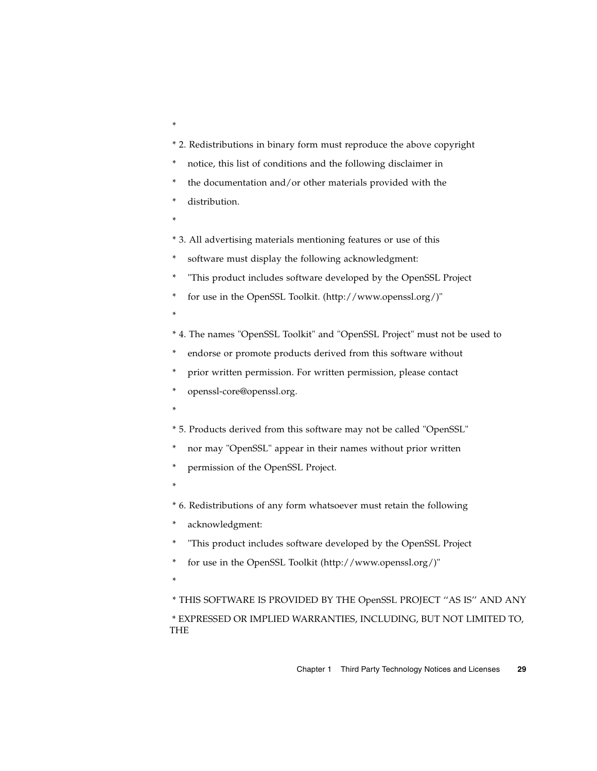\*

\* 2. Redistributions in binary form must reproduce the above copyright

- \* notice, this list of conditions and the following disclaimer in
- \* the documentation and/or other materials provided with the
- \* distribution.
- \*

\* 3. All advertising materials mentioning features or use of this

- software must display the following acknowledgment:
- \* "This product includes software developed by the OpenSSL Project
- for use in the OpenSSL Toolkit. (http://www.openssl.org/)"
- \*

\* 4. The names "OpenSSL Toolkit" and "OpenSSL Project" must not be used to

- endorse or promote products derived from this software without
- prior written permission. For written permission, please contact
- openssl-core@openssl.org.
- \*

\* 5. Products derived from this software may not be called "OpenSSL"

- \* nor may "OpenSSL" appear in their names without prior written
- \* permission of the OpenSSL Project.
- \*

\* 6. Redistributions of any form whatsoever must retain the following

- \* acknowledgment:
- \* "This product includes software developed by the OpenSSL Project
- \* for use in the OpenSSL Toolkit (http://www.openssl.org/)"
- \*

\* THIS SOFTWARE IS PROVIDED BY THE OpenSSL PROJECT ''AS IS'' AND ANY \* EXPRESSED OR IMPLIED WARRANTIES, INCLUDING, BUT NOT LIMITED TO, THE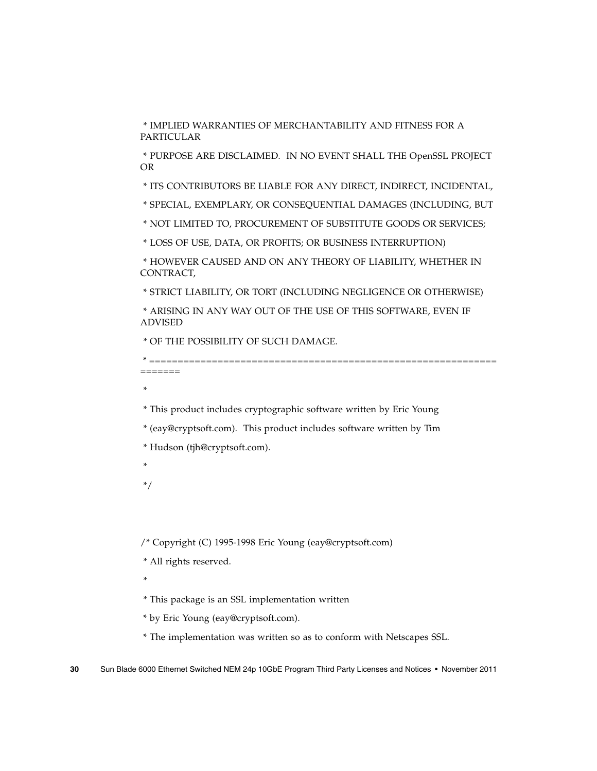\* IMPLIED WARRANTIES OF MERCHANTABILITY AND FITNESS FOR A PARTICULAR

\* PURPOSE ARE DISCLAIMED. IN NO EVENT SHALL THE OpenSSL PROJECT OR

\* ITS CONTRIBUTORS BE LIABLE FOR ANY DIRECT, INDIRECT, INCIDENTAL,

\* SPECIAL, EXEMPLARY, OR CONSEQUENTIAL DAMAGES (INCLUDING, BUT

\* NOT LIMITED TO, PROCUREMENT OF SUBSTITUTE GOODS OR SERVICES;

\* LOSS OF USE, DATA, OR PROFITS; OR BUSINESS INTERRUPTION)

\* HOWEVER CAUSED AND ON ANY THEORY OF LIABILITY, WHETHER IN CONTRACT,

\* STRICT LIABILITY, OR TORT (INCLUDING NEGLIGENCE OR OTHERWISE)

\* ARISING IN ANY WAY OUT OF THE USE OF THIS SOFTWARE, EVEN IF ADVISED

\* OF THE POSSIBILITY OF SUCH DAMAGE.

\* ============================================================= =======

\*

\* This product includes cryptographic software written by Eric Young

\* (eay@cryptsoft.com). This product includes software written by Tim

\* Hudson (tjh@cryptsoft.com).

\*

\*/

/\* Copyright (C) 1995-1998 Eric Young (eay@cryptsoft.com)

- \* All rights reserved.
- \*

\* This package is an SSL implementation written

\* by Eric Young (eay@cryptsoft.com).

\* The implementation was written so as to conform with Netscapes SSL.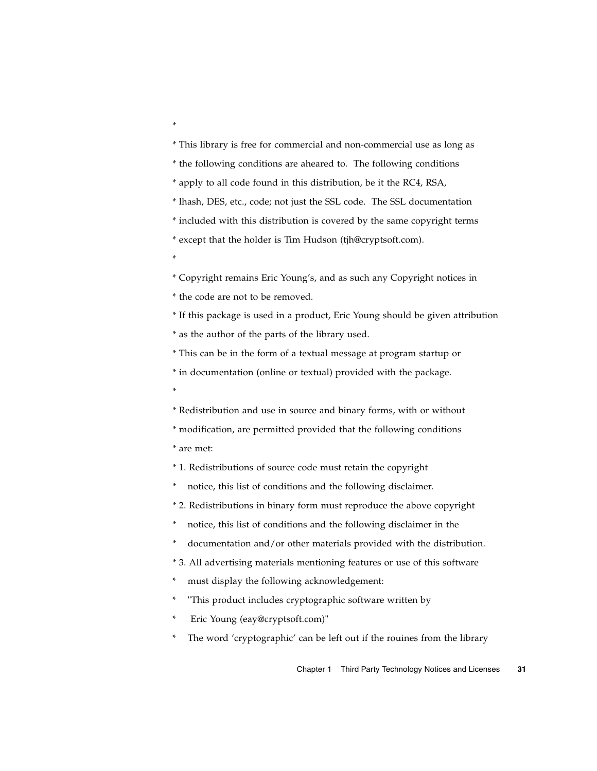\* This library is free for commercial and non-commercial use as long as \* the following conditions are aheared to. The following conditions \* apply to all code found in this distribution, be it the RC4, RSA, \* lhash, DES, etc., code; not just the SSL code. The SSL documentation \* included with this distribution is covered by the same copyright terms \* except that the holder is Tim Hudson (tjh@cryptsoft.com).

\*

\*

\* Copyright remains Eric Young's, and as such any Copyright notices in \* the code are not to be removed.

\* If this package is used in a product, Eric Young should be given attribution

\* as the author of the parts of the library used.

\* This can be in the form of a textual message at program startup or

- \* in documentation (online or textual) provided with the package.
- \*

\* Redistribution and use in source and binary forms, with or without

- \* modification, are permitted provided that the following conditions \* are met:
- \* 1. Redistributions of source code must retain the copyright
- notice, this list of conditions and the following disclaimer.
- \* 2. Redistributions in binary form must reproduce the above copyright
- notice, this list of conditions and the following disclaimer in the
- \* documentation and/or other materials provided with the distribution.
- \* 3. All advertising materials mentioning features or use of this software
- \* must display the following acknowledgement:
- \* "This product includes cryptographic software written by
- \* Eric Young (eay@cryptsoft.com)"
- \* The word 'cryptographic' can be left out if the rouines from the library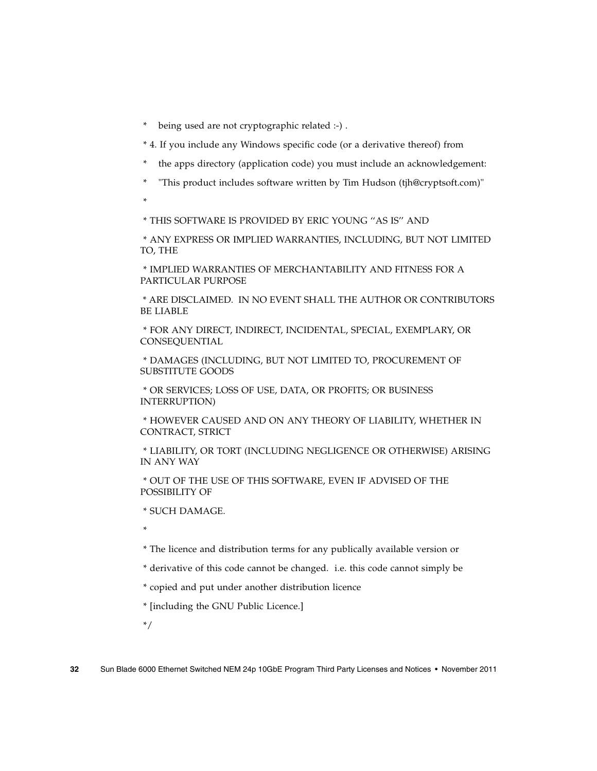\* being used are not cryptographic related :-) .

\* 4. If you include any Windows specific code (or a derivative thereof) from

- the apps directory (application code) you must include an acknowledgement:
- \* "This product includes software written by Tim Hudson (tjh@cryptsoft.com)"
- \*

\* THIS SOFTWARE IS PROVIDED BY ERIC YOUNG ''AS IS'' AND

\* ANY EXPRESS OR IMPLIED WARRANTIES, INCLUDING, BUT NOT LIMITED TO, THE

\* IMPLIED WARRANTIES OF MERCHANTABILITY AND FITNESS FOR A PARTICULAR PURPOSE

\* ARE DISCLAIMED. IN NO EVENT SHALL THE AUTHOR OR CONTRIBUTORS BE LIABLE

\* FOR ANY DIRECT, INDIRECT, INCIDENTAL, SPECIAL, EXEMPLARY, OR CONSEQUENTIAL

\* DAMAGES (INCLUDING, BUT NOT LIMITED TO, PROCUREMENT OF SUBSTITUTE GOODS

\* OR SERVICES; LOSS OF USE, DATA, OR PROFITS; OR BUSINESS INTERRUPTION)

\* HOWEVER CAUSED AND ON ANY THEORY OF LIABILITY, WHETHER IN CONTRACT, STRICT

\* LIABILITY, OR TORT (INCLUDING NEGLIGENCE OR OTHERWISE) ARISING IN ANY WAY

\* OUT OF THE USE OF THIS SOFTWARE, EVEN IF ADVISED OF THE POSSIBILITY OF

\* SUCH DAMAGE.

\*

\* The licence and distribution terms for any publically available version or

\* derivative of this code cannot be changed. i.e. this code cannot simply be

\* copied and put under another distribution licence

\* [including the GNU Public Licence.]

\*/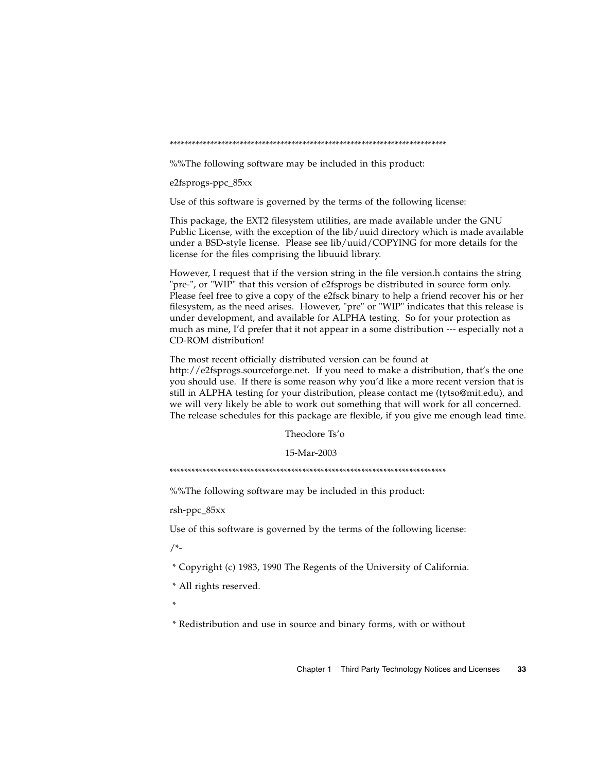%%The following software may be included in this product:

e2fsprogs-ppc 85xx

Use of this software is governed by the terms of the following license:

This package, the EXT2 filesystem utilities, are made available under the GNU Public License, with the exception of the lib/uuid directory which is made available under a BSD-style license. Please see lib/uuid/COPYING for more details for the license for the files comprising the libuuid library.

However, I request that if the version string in the file version. A contains the string "pre-", or "WIP" that this version of e2fsprogs be distributed in source form only. Please feel free to give a copy of the e2fsck binary to help a friend recover his or her filesystem, as the need arises. However, "pre" or "WIP" indicates that this release is under development, and available for ALPHA testing. So for your protection as much as mine, I'd prefer that it not appear in a some distribution --- especially not a CD-ROM distribution!

The most recent officially distributed version can be found at http://e2fsprogs.sourceforge.net. If you need to make a distribution, that's the one you should use. If there is some reason why you'd like a more recent version that is still in ALPHA testing for your distribution, please contact me (tytso@mit.edu), and we will very likely be able to work out something that will work for all concerned. The release schedules for this package are flexible, if you give me enough lead time.

Theodore Ts'o

15-Mar-2003

%%The following software may be included in this product:

rsh-ppc\_85xx

Use of this software is governed by the terms of the following license:

 $/$ \*-

\* Copyright (c) 1983, 1990 The Regents of the University of California.

\* All rights reserved.

\* Redistribution and use in source and binary forms, with or without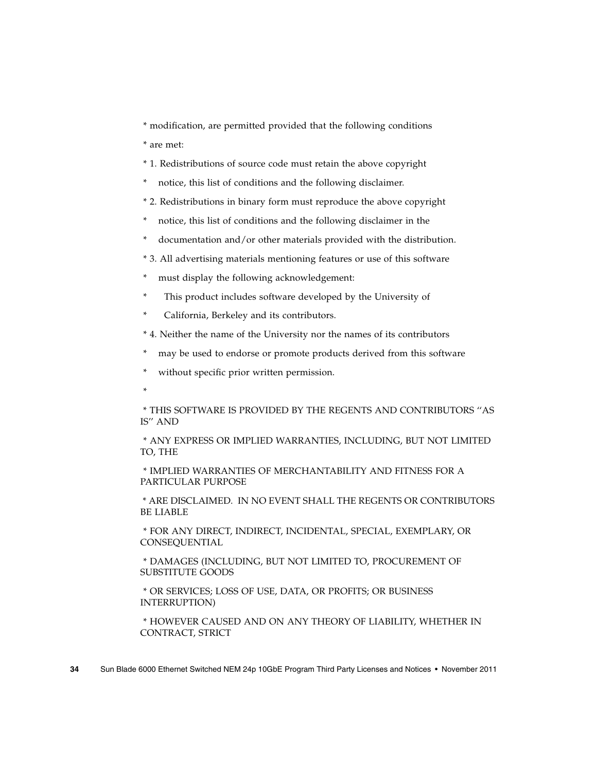\* modification, are permitted provided that the following conditions \* are met:

\* 1. Redistributions of source code must retain the above copyright

\* notice, this list of conditions and the following disclaimer.

\* 2. Redistributions in binary form must reproduce the above copyright

- \* notice, this list of conditions and the following disclaimer in the
- \* documentation and/or other materials provided with the distribution.

\* 3. All advertising materials mentioning features or use of this software

- \* must display the following acknowledgement:
- \* This product includes software developed by the University of
- California, Berkeley and its contributors.

\* 4. Neither the name of the University nor the names of its contributors

- \* may be used to endorse or promote products derived from this software
- \* without specific prior written permission.
- \*

\* THIS SOFTWARE IS PROVIDED BY THE REGENTS AND CONTRIBUTORS ''AS IS'' AND

\* ANY EXPRESS OR IMPLIED WARRANTIES, INCLUDING, BUT NOT LIMITED TO, THE

\* IMPLIED WARRANTIES OF MERCHANTABILITY AND FITNESS FOR A PARTICULAR PURPOSE

\* ARE DISCLAIMED. IN NO EVENT SHALL THE REGENTS OR CONTRIBUTORS BE LIABLE

\* FOR ANY DIRECT, INDIRECT, INCIDENTAL, SPECIAL, EXEMPLARY, OR CONSEQUENTIAL

\* DAMAGES (INCLUDING, BUT NOT LIMITED TO, PROCUREMENT OF SUBSTITUTE GOODS

\* OR SERVICES; LOSS OF USE, DATA, OR PROFITS; OR BUSINESS INTERRUPTION)

\* HOWEVER CAUSED AND ON ANY THEORY OF LIABILITY, WHETHER IN CONTRACT, STRICT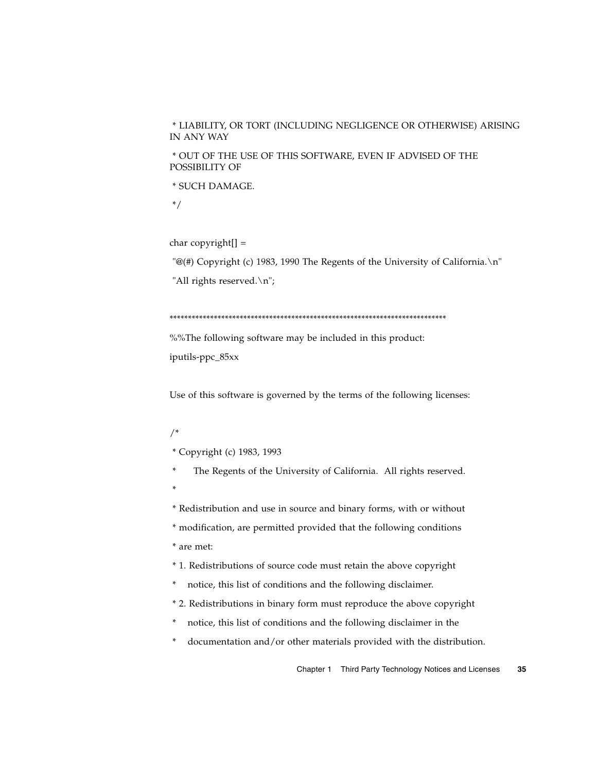\* LIABILITY, OR TORT (INCLUDING NEGLIGENCE OR OTHERWISE) ARISING IN ANY WAY

\* OUT OF THE USE OF THIS SOFTWARE, EVEN IF ADVISED OF THE POSSIBILITY OF

\* SUCH DAMAGE.

\*/

char copyright[] =

"@(#) Copyright (c) 1983, 1990 The Regents of the University of California.\n" "All rights reserved.\n";

\*\*\*\*\*\*\*\*\*\*\*\*\*\*\*\*\*\*\*\*\*\*\*\*\*\*\*\*\*\*\*\*\*\*\*\*\*\*\*\*\*\*\*\*\*\*\*\*\*\*\*\*\*\*\*\*\*\*\*\*\*\*\*\*\*\*\*\*\*\*\*\*\*\*\*

%%The following software may be included in this product:

iputils-ppc\_85xx

Use of this software is governed by the terms of the following licenses:

#### /\*

\* Copyright (c) 1983, 1993

The Regents of the University of California. All rights reserved.

\*

\* Redistribution and use in source and binary forms, with or without

\* modification, are permitted provided that the following conditions

\* are met:

\* 1. Redistributions of source code must retain the above copyright

\* notice, this list of conditions and the following disclaimer.

\* 2. Redistributions in binary form must reproduce the above copyright

- \* notice, this list of conditions and the following disclaimer in the
- \* documentation and/or other materials provided with the distribution.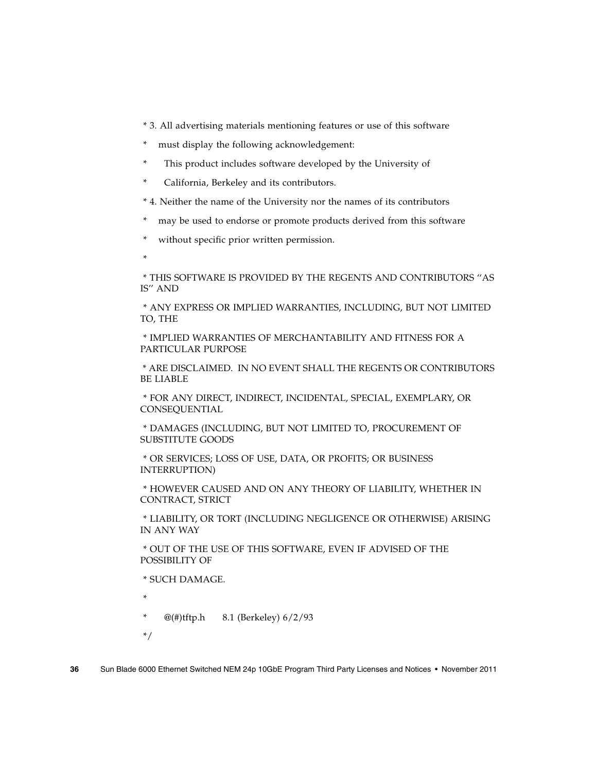\* 3. All advertising materials mentioning features or use of this software

- \* must display the following acknowledgement:
- \* This product includes software developed by the University of
- \* California, Berkeley and its contributors.

\* 4. Neither the name of the University nor the names of its contributors

\* may be used to endorse or promote products derived from this software

\* without specific prior written permission.

\*

\* THIS SOFTWARE IS PROVIDED BY THE REGENTS AND CONTRIBUTORS ''AS IS'' AND

\* ANY EXPRESS OR IMPLIED WARRANTIES, INCLUDING, BUT NOT LIMITED TO, THE

\* IMPLIED WARRANTIES OF MERCHANTABILITY AND FITNESS FOR A PARTICULAR PURPOSE

\* ARE DISCLAIMED. IN NO EVENT SHALL THE REGENTS OR CONTRIBUTORS BE LIABLE

\* FOR ANY DIRECT, INDIRECT, INCIDENTAL, SPECIAL, EXEMPLARY, OR CONSEQUENTIAL

\* DAMAGES (INCLUDING, BUT NOT LIMITED TO, PROCUREMENT OF SUBSTITUTE GOODS

\* OR SERVICES; LOSS OF USE, DATA, OR PROFITS; OR BUSINESS INTERRUPTION)

\* HOWEVER CAUSED AND ON ANY THEORY OF LIABILITY, WHETHER IN CONTRACT, STRICT

\* LIABILITY, OR TORT (INCLUDING NEGLIGENCE OR OTHERWISE) ARISING IN ANY WAY

\* OUT OF THE USE OF THIS SOFTWARE, EVEN IF ADVISED OF THE POSSIBILITY OF

\* SUCH DAMAGE.

\* @(#)tftp.h 8.1 (Berkeley) 6/2/93

\*/

\*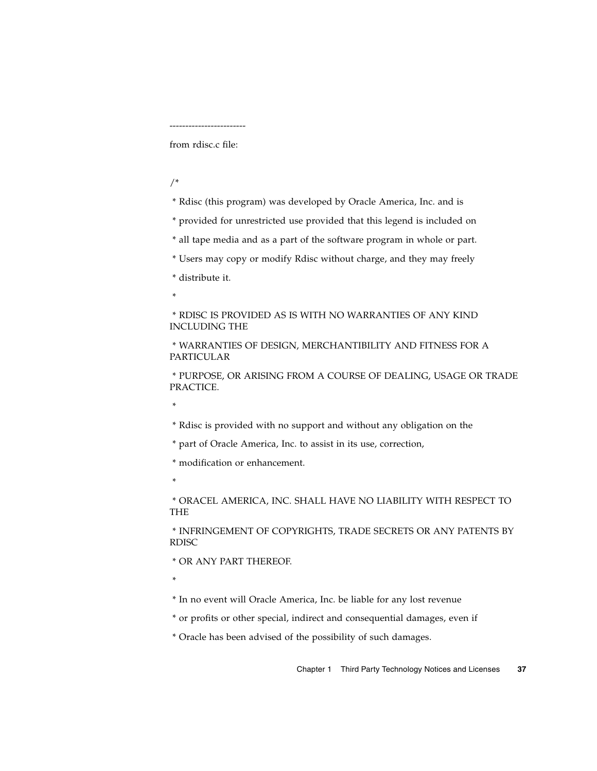------------------------

from rdisc c file:

### /\*

\* Rdisc (this program) was developed by Oracle America, Inc. and is

\* provided for unrestricted use provided that this legend is included on

\* all tape media and as a part of the software program in whole or part.

\* Users may copy or modify Rdisc without charge, and they may freely

\* distribute it.

\*

\* RDISC IS PROVIDED AS IS WITH NO WARRANTIES OF ANY KIND INCLUDING THE

\* WARRANTIES OF DESIGN, MERCHANTIBILITY AND FITNESS FOR A PARTICULAR

\* PURPOSE, OR ARISING FROM A COURSE OF DEALING, USAGE OR TRADE PRACTICE.

\*

\* Rdisc is provided with no support and without any obligation on the

\* part of Oracle America, Inc. to assist in its use, correction,

\* modification or enhancement.

\*

\* ORACEL AMERICA, INC. SHALL HAVE NO LIABILITY WITH RESPECT TO THE

\* INFRINGEMENT OF COPYRIGHTS, TRADE SECRETS OR ANY PATENTS BY RDISC

\* OR ANY PART THEREOF.

\*

\* In no event will Oracle America, Inc. be liable for any lost revenue

\* or profits or other special, indirect and consequential damages, even if

\* Oracle has been advised of the possibility of such damages.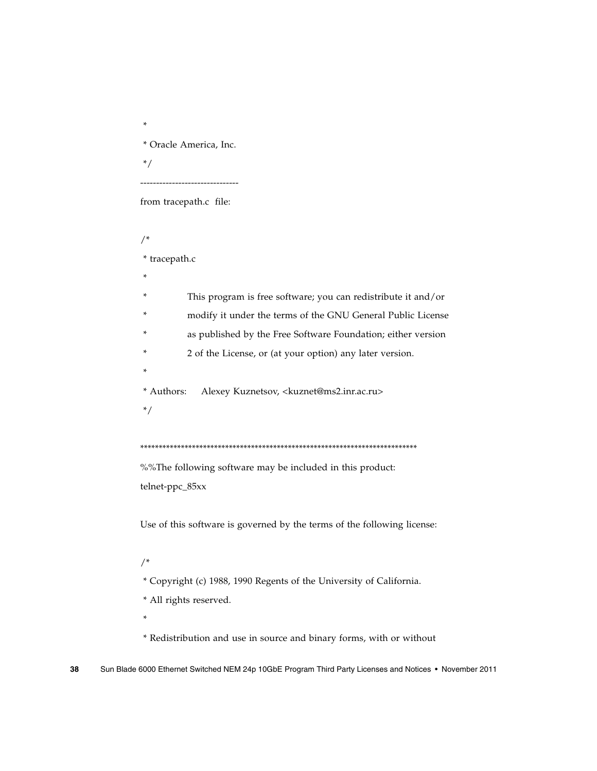\* Oracle America, Inc.

 $*$ 

 $\ast$ 

from tracepath.c file:

 $/$ \* \* tracepath.c s. s. This program is free software; you can redistribute it and/or ×. modify it under the terms of the GNU General Public License sk. as published by the Free Software Foundation; either version s. 2 of the License, or (at your option) any later version. \* Authors: Alexey Kuznetsov, <kuznet@ms2.inr.ac.ru>  $*$ /

%%The following software may be included in this product: telnet-ppc\_85xx

Use of this software is governed by the terms of the following license:

# $/$ \*

\* Copyright (c) 1988, 1990 Regents of the University of California.

- \* All rights reserved.
- 

\* Redistribution and use in source and binary forms, with or without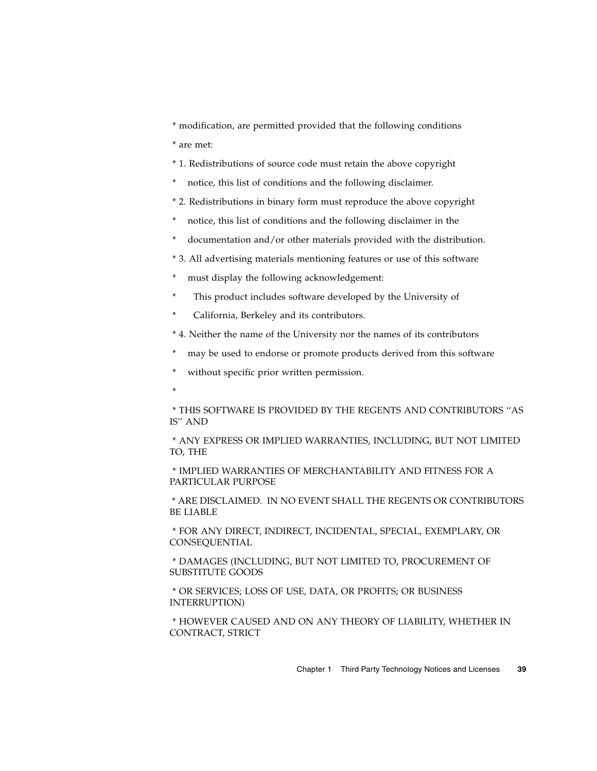\* modification, are permitted provided that the following conditions \* are met:

\* 1. Redistributions of source code must retain the above copyright

- \* notice, this list of conditions and the following disclaimer.
- \* 2. Redistributions in binary form must reproduce the above copyright
- notice, this list of conditions and the following disclaimer in the
- \* documentation and/or other materials provided with the distribution.
- \* 3. All advertising materials mentioning features or use of this software
- \* must display the following acknowledgement:
- \* This product includes software developed by the University of
- California, Berkeley and its contributors.
- \* 4. Neither the name of the University nor the names of its contributors
- \* may be used to endorse or promote products derived from this software
- without specific prior written permission.
- \*

\* THIS SOFTWARE IS PROVIDED BY THE REGENTS AND CONTRIBUTORS ''AS IS'' AND

\* ANY EXPRESS OR IMPLIED WARRANTIES, INCLUDING, BUT NOT LIMITED TO, THE

\* IMPLIED WARRANTIES OF MERCHANTABILITY AND FITNESS FOR A PARTICULAR PURPOSE

\* ARE DISCLAIMED. IN NO EVENT SHALL THE REGENTS OR CONTRIBUTORS BE LIABLE

\* FOR ANY DIRECT, INDIRECT, INCIDENTAL, SPECIAL, EXEMPLARY, OR CONSEQUENTIAL

\* DAMAGES (INCLUDING, BUT NOT LIMITED TO, PROCUREMENT OF SUBSTITUTE GOODS

\* OR SERVICES; LOSS OF USE, DATA, OR PROFITS; OR BUSINESS INTERRUPTION)

\* HOWEVER CAUSED AND ON ANY THEORY OF LIABILITY, WHETHER IN CONTRACT, STRICT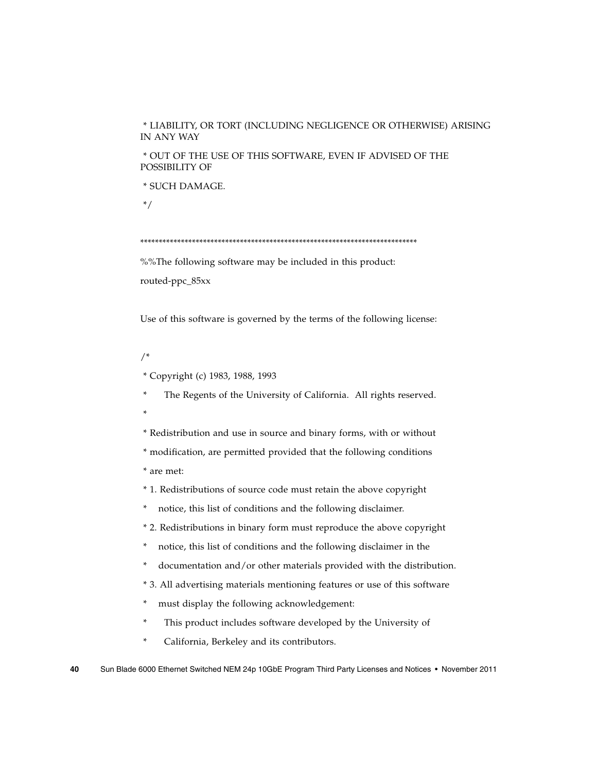\* LIABILITY, OR TORT (INCLUDING NEGLIGENCE OR OTHERWISE) ARISING IN ANY WAY

\* OUT OF THE USE OF THIS SOFTWARE, EVEN IF ADVISED OF THE POSSIBILITY OF

\* SUCH DAMAGE.

\*/

\*\*\*\*\*\*\*\*\*\*\*\*\*\*\*\*\*\*\*\*\*\*\*\*\*\*\*\*\*\*\*\*\*\*\*\*\*\*\*\*\*\*\*\*\*\*\*\*\*\*\*\*\*\*\*\*\*\*\*\*\*\*\*\*\*\*\*\*\*\*\*\*\*\*\*

%%The following software may be included in this product: routed-ppc\_85xx

Use of this software is governed by the terms of the following license:

/\* \* Copyright (c) 1983, 1988, 1993

The Regents of the University of California. All rights reserved.

\*

\* Redistribution and use in source and binary forms, with or without \* modification, are permitted provided that the following conditions \* are met:

\* 1. Redistributions of source code must retain the above copyright

\* notice, this list of conditions and the following disclaimer.

\* 2. Redistributions in binary form must reproduce the above copyright

- \* notice, this list of conditions and the following disclaimer in the
- \* documentation and/or other materials provided with the distribution.
- \* 3. All advertising materials mentioning features or use of this software
- \* must display the following acknowledgement:
- This product includes software developed by the University of
- \* California, Berkeley and its contributors.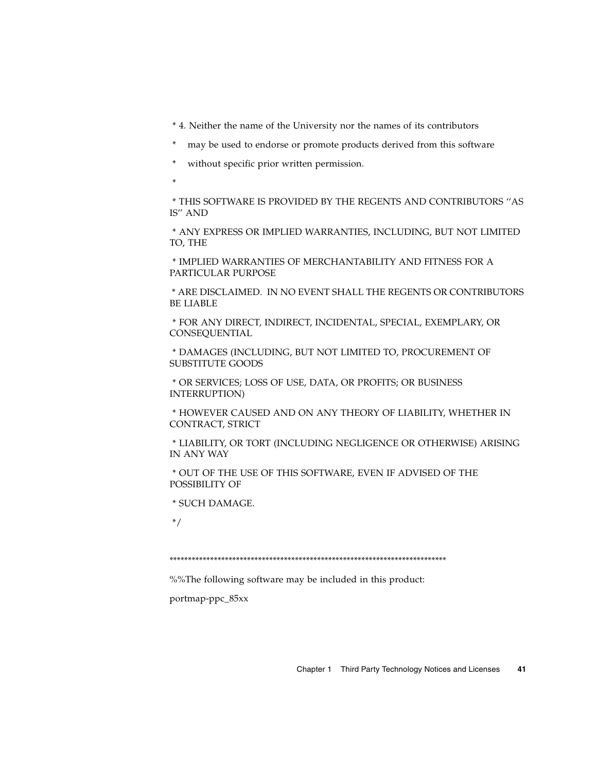- \* 4. Neither the name of the University nor the names of its contributors
- \* may be used to endorse or promote products derived from this software
- \* without specific prior written permission.
- \*

\* THIS SOFTWARE IS PROVIDED BY THE REGENTS AND CONTRIBUTORS ''AS IS'' AND

\* ANY EXPRESS OR IMPLIED WARRANTIES, INCLUDING, BUT NOT LIMITED TO, THE

\* IMPLIED WARRANTIES OF MERCHANTABILITY AND FITNESS FOR A PARTICULAR PURPOSE

\* ARE DISCLAIMED. IN NO EVENT SHALL THE REGENTS OR CONTRIBUTORS BE LIABLE

\* FOR ANY DIRECT, INDIRECT, INCIDENTAL, SPECIAL, EXEMPLARY, OR CONSEQUENTIAL

\* DAMAGES (INCLUDING, BUT NOT LIMITED TO, PROCUREMENT OF SUBSTITUTE GOODS

\* OR SERVICES; LOSS OF USE, DATA, OR PROFITS; OR BUSINESS INTERRUPTION)

\* HOWEVER CAUSED AND ON ANY THEORY OF LIABILITY, WHETHER IN CONTRACT, STRICT

\* LIABILITY, OR TORT (INCLUDING NEGLIGENCE OR OTHERWISE) ARISING IN ANY WAY

\* OUT OF THE USE OF THIS SOFTWARE, EVEN IF ADVISED OF THE POSSIBILITY OF

\* SUCH DAMAGE.

\*/

\*\*\*\*\*\*\*\*\*\*\*\*\*\*\*\*\*\*\*\*\*\*\*\*\*\*\*\*\*\*\*\*\*\*\*\*\*\*\*\*\*\*\*\*\*\*\*\*\*\*\*\*\*\*\*\*\*\*\*\*\*\*\*\*\*\*\*\*\*\*\*\*\*\*\*

%%The following software may be included in this product:

portmap-ppc\_85xx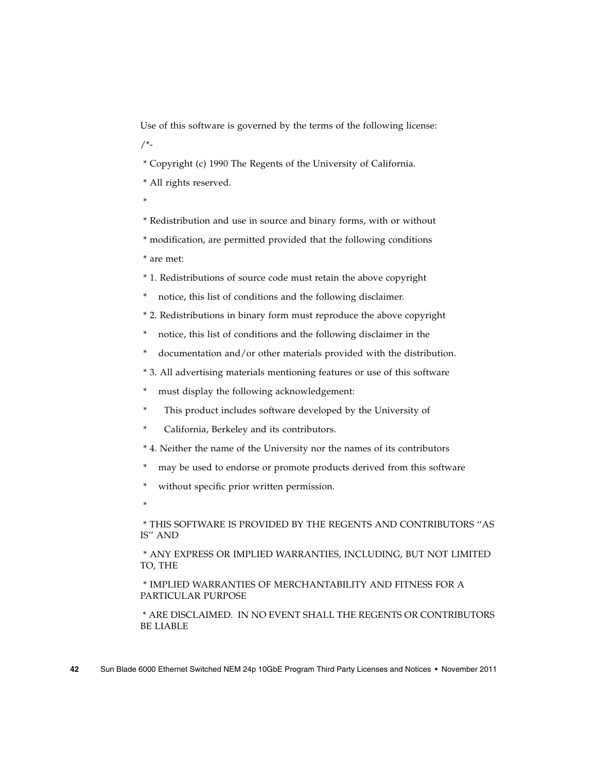Use of this software is governed by the terms of the following license: /\*-

\* Copyright (c) 1990 The Regents of the University of California.

\* All rights reserved.

\*

\* Redistribution and use in source and binary forms, with or without \* modification, are permitted provided that the following conditions

\* are met:

\* 1. Redistributions of source code must retain the above copyright

\* notice, this list of conditions and the following disclaimer.

\* 2. Redistributions in binary form must reproduce the above copyright

- \* notice, this list of conditions and the following disclaimer in the
- \* documentation and/or other materials provided with the distribution.

\* 3. All advertising materials mentioning features or use of this software

- \* must display the following acknowledgement:
- \* This product includes software developed by the University of
- \* California, Berkeley and its contributors.
- \* 4. Neither the name of the University nor the names of its contributors
- \* may be used to endorse or promote products derived from this software
- \* without specific prior written permission.
- \*

\* THIS SOFTWARE IS PROVIDED BY THE REGENTS AND CONTRIBUTORS ''AS IS'' AND

\* ANY EXPRESS OR IMPLIED WARRANTIES, INCLUDING, BUT NOT LIMITED TO, THE

\* IMPLIED WARRANTIES OF MERCHANTABILITY AND FITNESS FOR A PARTICULAR PURPOSE

\* ARE DISCLAIMED. IN NO EVENT SHALL THE REGENTS OR CONTRIBUTORS BE LIABLE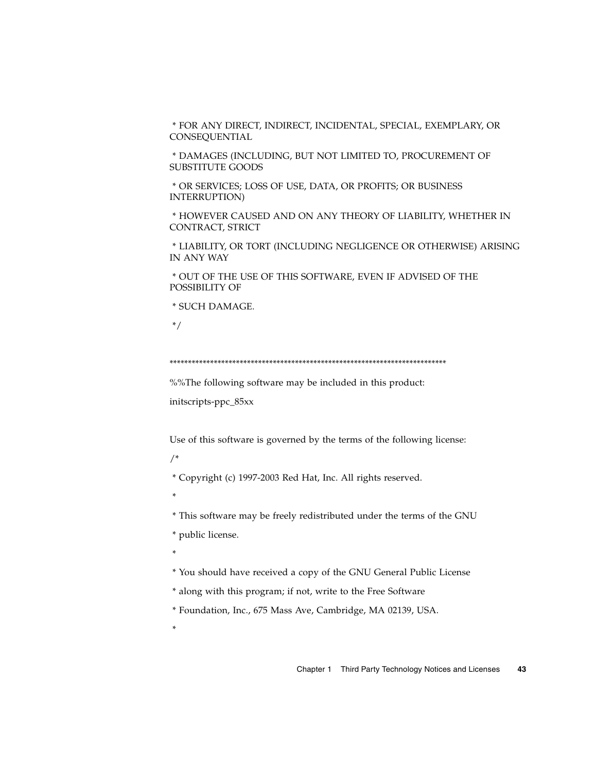\* FOR ANY DIRECT, INDIRECT, INCIDENTAL, SPECIAL, EXEMPLARY, OR CONSEQUENTIAL

\* DAMAGES (INCLUDING, BUT NOT LIMITED TO, PROCUREMENT OF SUBSTITUTE GOODS

\* OR SERVICES; LOSS OF USE, DATA, OR PROFITS; OR BUSINESS INTERRUPTION)

\* HOWEVER CAUSED AND ON ANY THEORY OF LIABILITY, WHETHER IN CONTRACT, STRICT

\* LIABILITY, OR TORT (INCLUDING NEGLIGENCE OR OTHERWISE) ARISING IN ANY WAY

\* OUT OF THE USE OF THIS SOFTWARE, EVEN IF ADVISED OF THE POSSIBILITY OF

\* SUCH DAMAGE.

\*/

\*\*\*\*\*\*\*\*\*\*\*\*\*\*\*\*\*\*\*\*\*\*\*\*\*\*\*\*\*\*\*\*\*\*\*\*\*\*\*\*\*\*\*\*\*\*\*\*\*\*\*\*\*\*\*\*\*\*\*\*\*\*\*\*\*\*\*\*\*\*\*\*\*\*\*

%%The following software may be included in this product:

initscripts-ppc\_85xx

Use of this software is governed by the terms of the following license:

/\*

\* Copyright (c) 1997-2003 Red Hat, Inc. All rights reserved.

\*

\* This software may be freely redistributed under the terms of the GNU

\* public license.

\*

\* You should have received a copy of the GNU General Public License

\* along with this program; if not, write to the Free Software

\* Foundation, Inc., 675 Mass Ave, Cambridge, MA 02139, USA.

\*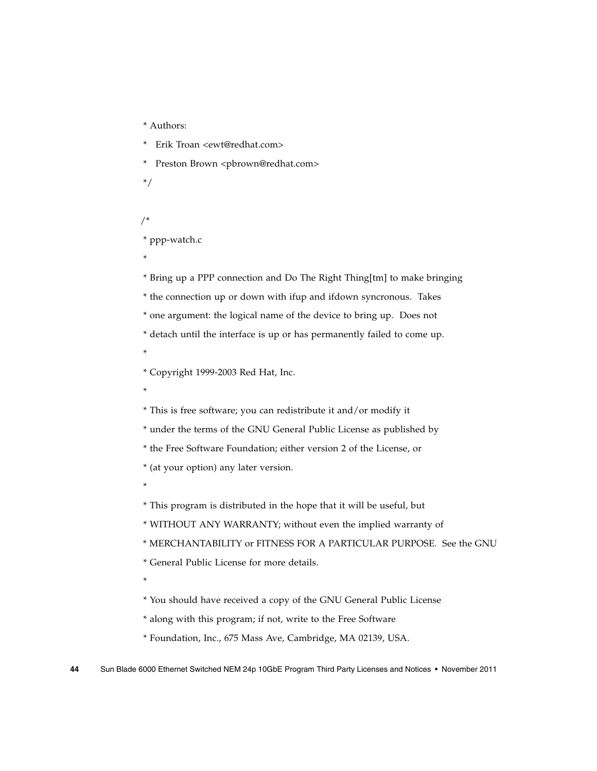\* Authors:

\* Erik Troan <ewt@redhat.com>

\* Preston Brown <pbrown@redhat.com>

\*/

/\*

\* ppp-watch.c

\*

\*

\*

\*

\* Bring up a PPP connection and Do The Right Thing[tm] to make bringing \* the connection up or down with ifup and ifdown syncronous. Takes \* one argument: the logical name of the device to bring up. Does not \* detach until the interface is up or has permanently failed to come up. \*

\* Copyright 1999-2003 Red Hat, Inc.

\* This is free software; you can redistribute it and/or modify it

\* under the terms of the GNU General Public License as published by

\* the Free Software Foundation; either version 2 of the License, or

\* (at your option) any later version.

\* This program is distributed in the hope that it will be useful, but

\* WITHOUT ANY WARRANTY; without even the implied warranty of

\* MERCHANTABILITY or FITNESS FOR A PARTICULAR PURPOSE. See the GNU

\* General Public License for more details.

\* You should have received a copy of the GNU General Public License

\* along with this program; if not, write to the Free Software

\* Foundation, Inc., 675 Mass Ave, Cambridge, MA 02139, USA.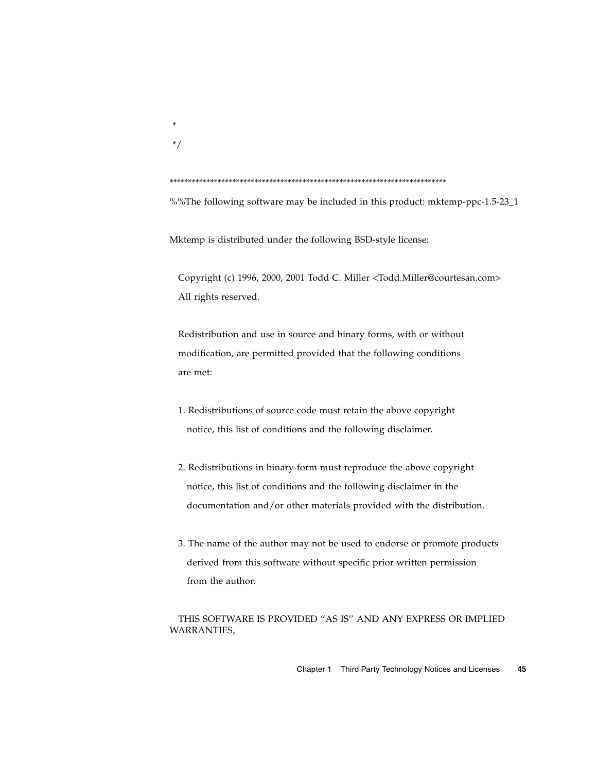\*\*\*\*\*\*\*\*\*\*\*\*\*\*\*\*\*\*\*\*\*\*\*\*\*\*\*\*\*\*\*\*\*\*\*\*\*\*\*\*\*\*\*\*\*\*\*\*\*\*\*\*\*\*\*\*\*\*\*\*\*\*\*\*\*\*\*\*\*\*\*\*\*\*\*

\*

\*/

%%The following software may be included in this product: mktemp-ppc-1.5-23\_1

Mktemp is distributed under the following BSD-style license:

Copyright (c) 1996, 2000, 2001 Todd C. Miller <Todd.Miller@courtesan.com> All rights reserved.

Redistribution and use in source and binary forms, with or without modification, are permitted provided that the following conditions are met:

- 1. Redistributions of source code must retain the above copyright notice, this list of conditions and the following disclaimer.
- 2. Redistributions in binary form must reproduce the above copyright notice, this list of conditions and the following disclaimer in the documentation and/or other materials provided with the distribution.
- 3. The name of the author may not be used to endorse or promote products derived from this software without specific prior written permission from the author.

# THIS SOFTWARE IS PROVIDED ''AS IS'' AND ANY EXPRESS OR IMPLIED WARRANTIES,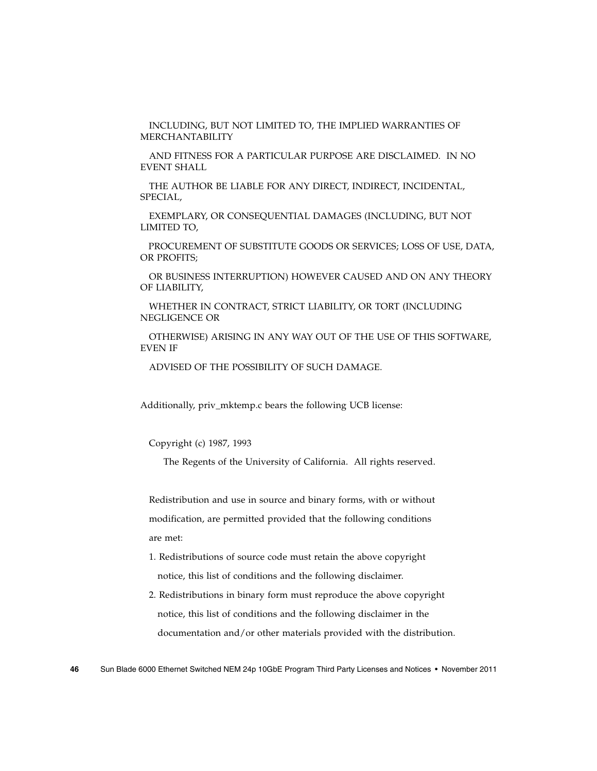INCLUDING, BUT NOT LIMITED TO, THE IMPLIED WARRANTIES OF MERCHANTABILITY

AND FITNESS FOR A PARTICULAR PURPOSE ARE DISCLAIMED. IN NO EVENT SHALL

THE AUTHOR BE LIABLE FOR ANY DIRECT, INDIRECT, INCIDENTAL, SPECIAL,

EXEMPLARY, OR CONSEQUENTIAL DAMAGES (INCLUDING, BUT NOT LIMITED TO,

PROCUREMENT OF SUBSTITUTE GOODS OR SERVICES; LOSS OF USE, DATA, OR PROFITS;

OR BUSINESS INTERRUPTION) HOWEVER CAUSED AND ON ANY THEORY OF LIABILITY,

WHETHER IN CONTRACT, STRICT LIABILITY, OR TORT (INCLUDING NEGLIGENCE OR

OTHERWISE) ARISING IN ANY WAY OUT OF THE USE OF THIS SOFTWARE, EVEN IF

ADVISED OF THE POSSIBILITY OF SUCH DAMAGE.

Additionally, priv\_mktemp.c bears the following UCB license:

Copyright (c) 1987, 1993

The Regents of the University of California. All rights reserved.

Redistribution and use in source and binary forms, with or without modification, are permitted provided that the following conditions are met:

- 1. Redistributions of source code must retain the above copyright notice, this list of conditions and the following disclaimer.
- 2. Redistributions in binary form must reproduce the above copyright notice, this list of conditions and the following disclaimer in the documentation and/or other materials provided with the distribution.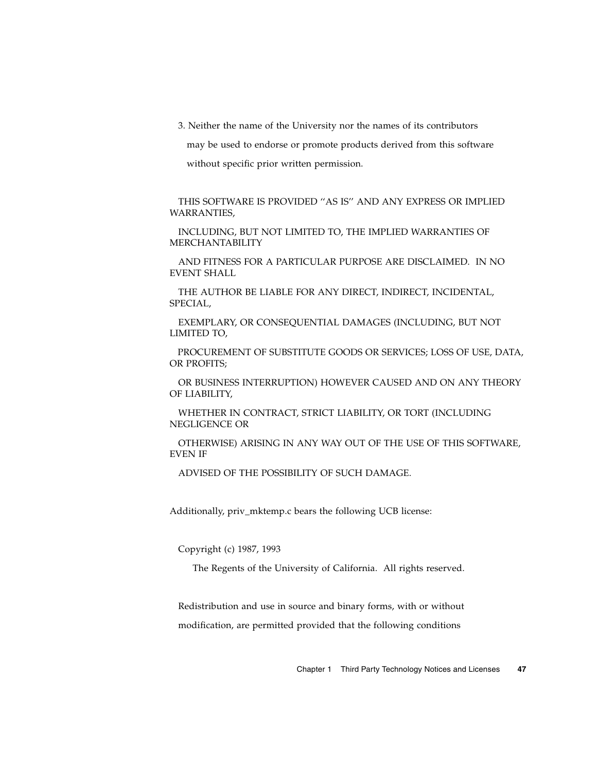3. Neither the name of the University nor the names of its contributors

may be used to endorse or promote products derived from this software

without specific prior written permission.

THIS SOFTWARE IS PROVIDED ''AS IS'' AND ANY EXPRESS OR IMPLIED WARRANTIES,

INCLUDING, BUT NOT LIMITED TO, THE IMPLIED WARRANTIES OF MERCHANTABILITY

AND FITNESS FOR A PARTICULAR PURPOSE ARE DISCLAIMED. IN NO EVENT SHALL

THE AUTHOR BE LIABLE FOR ANY DIRECT, INDIRECT, INCIDENTAL, SPECIAL,

EXEMPLARY, OR CONSEQUENTIAL DAMAGES (INCLUDING, BUT NOT LIMITED TO,

PROCUREMENT OF SUBSTITUTE GOODS OR SERVICES; LOSS OF USE, DATA, OR PROFITS;

OR BUSINESS INTERRUPTION) HOWEVER CAUSED AND ON ANY THEORY OF LIABILITY,

WHETHER IN CONTRACT, STRICT LIABILITY, OR TORT (INCLUDING NEGLIGENCE OR

OTHERWISE) ARISING IN ANY WAY OUT OF THE USE OF THIS SOFTWARE, EVEN IF

ADVISED OF THE POSSIBILITY OF SUCH DAMAGE.

Additionally, priv\_mktemp.c bears the following UCB license:

Copyright (c) 1987, 1993

The Regents of the University of California. All rights reserved.

Redistribution and use in source and binary forms, with or without modification, are permitted provided that the following conditions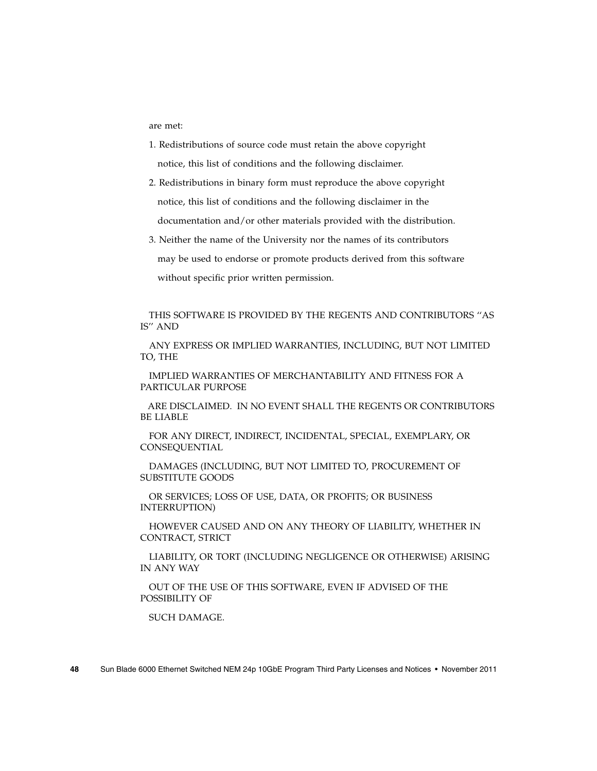are met:

- 1. Redistributions of source code must retain the above copyright notice, this list of conditions and the following disclaimer.
- 2. Redistributions in binary form must reproduce the above copyright notice, this list of conditions and the following disclaimer in the documentation and/or other materials provided with the distribution.
- 3. Neither the name of the University nor the names of its contributors may be used to endorse or promote products derived from this software without specific prior written permission.

THIS SOFTWARE IS PROVIDED BY THE REGENTS AND CONTRIBUTORS ''AS IS'' AND

ANY EXPRESS OR IMPLIED WARRANTIES, INCLUDING, BUT NOT LIMITED TO, THE

IMPLIED WARRANTIES OF MERCHANTABILITY AND FITNESS FOR A PARTICULAR PURPOSE

ARE DISCLAIMED. IN NO EVENT SHALL THE REGENTS OR CONTRIBUTORS BE LIABLE

FOR ANY DIRECT, INDIRECT, INCIDENTAL, SPECIAL, EXEMPLARY, OR **CONSEQUENTIAL** 

DAMAGES (INCLUDING, BUT NOT LIMITED TO, PROCUREMENT OF SUBSTITUTE GOODS

OR SERVICES; LOSS OF USE, DATA, OR PROFITS; OR BUSINESS INTERRUPTION)

HOWEVER CAUSED AND ON ANY THEORY OF LIABILITY, WHETHER IN CONTRACT, STRICT

LIABILITY, OR TORT (INCLUDING NEGLIGENCE OR OTHERWISE) ARISING IN ANY WAY

OUT OF THE USE OF THIS SOFTWARE, EVEN IF ADVISED OF THE POSSIBILITY OF

SUCH DAMAGE.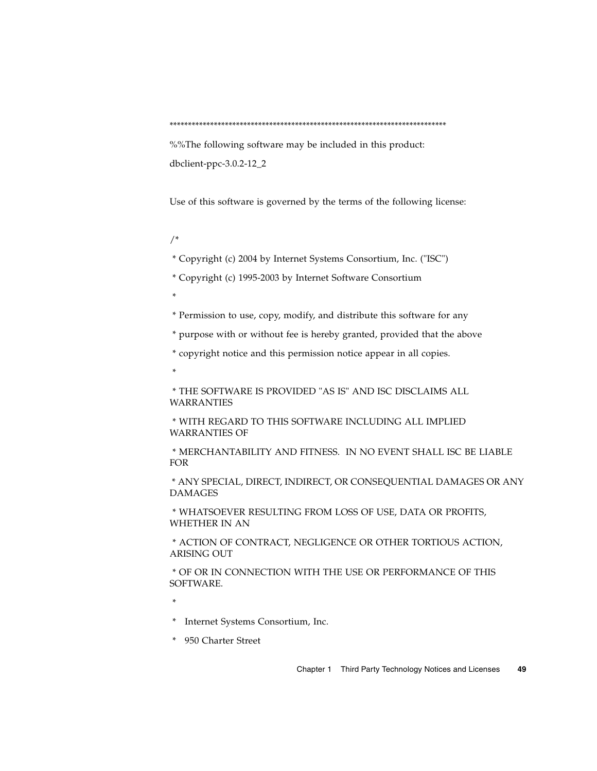\*\*\*\*\*\*\*\*\*\*\*\*\*\*\*\*\*\*\*\*\*\*\*\*\*\*\*\*\*\*\*\*\*\*\*\*\*\*\*\*\*\*\*\*\*\*\*\*\*\*\*\*\*\*\*\*\*\*\*\*\*\*\*\*\*\*\*\*\*\*\*\*\*\*\*

%%The following software may be included in this product:

dbclient-ppc-3.0.2-12\_2

Use of this software is governed by the terms of the following license:

## /\*

\* Copyright (c) 2004 by Internet Systems Consortium, Inc. ("ISC")

\* Copyright (c) 1995-2003 by Internet Software Consortium

\*

\* Permission to use, copy, modify, and distribute this software for any

\* purpose with or without fee is hereby granted, provided that the above

\* copyright notice and this permission notice appear in all copies.

\*

\* THE SOFTWARE IS PROVIDED "AS IS" AND ISC DISCLAIMS ALL WARRANTIES

\* WITH REGARD TO THIS SOFTWARE INCLUDING ALL IMPLIED WARRANTIES OF

\* MERCHANTABILITY AND FITNESS. IN NO EVENT SHALL ISC BE LIABLE FOR

\* ANY SPECIAL, DIRECT, INDIRECT, OR CONSEQUENTIAL DAMAGES OR ANY DAMAGES

\* WHATSOEVER RESULTING FROM LOSS OF USE, DATA OR PROFITS, WHETHER IN AN

\* ACTION OF CONTRACT, NEGLIGENCE OR OTHER TORTIOUS ACTION, ARISING OUT

\* OF OR IN CONNECTION WITH THE USE OR PERFORMANCE OF THIS SOFTWARE.

\*

- \* Internet Systems Consortium, Inc.
- \* 950 Charter Street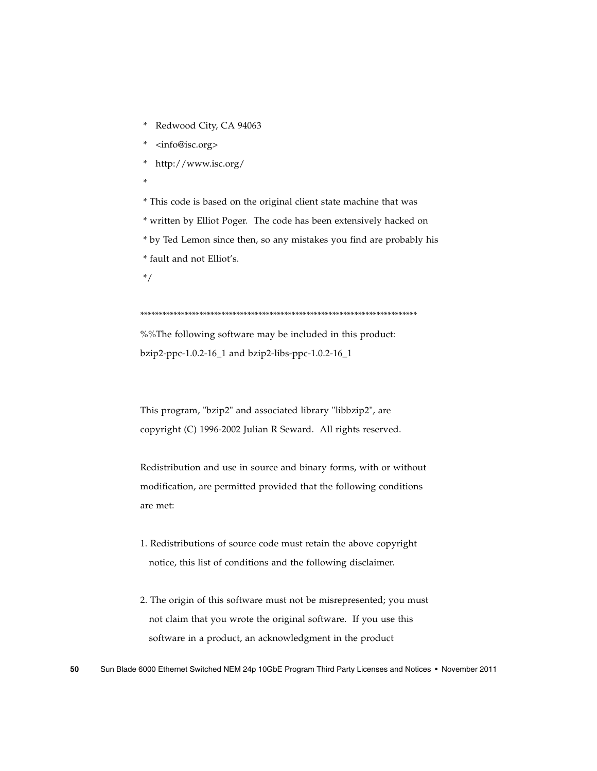- \* Redwood City, CA 94063
- \* <info@isc.org>
- \* http://www.isc.org/
- \*

\* This code is based on the original client state machine that was \* written by Elliot Poger. The code has been extensively hacked on \* by Ted Lemon since then, so any mistakes you find are probably his \* fault and not Elliot's.

\*/

\*\*\*\*\*\*\*\*\*\*\*\*\*\*\*\*\*\*\*\*\*\*\*\*\*\*\*\*\*\*\*\*\*\*\*\*\*\*\*\*\*\*\*\*\*\*\*\*\*\*\*\*\*\*\*\*\*\*\*\*\*\*\*\*\*\*\*\*\*\*\*\*\*\*\* %%The following software may be included in this product:

bzip2-ppc-1.0.2-16\_1 and bzip2-libs-ppc-1.0.2-16\_1

This program, "bzip2" and associated library "libbzip2", are copyright (C) 1996-2002 Julian R Seward. All rights reserved.

Redistribution and use in source and binary forms, with or without modification, are permitted provided that the following conditions are met:

- 1. Redistributions of source code must retain the above copyright notice, this list of conditions and the following disclaimer.
- 2. The origin of this software must not be misrepresented; you must not claim that you wrote the original software. If you use this software in a product, an acknowledgment in the product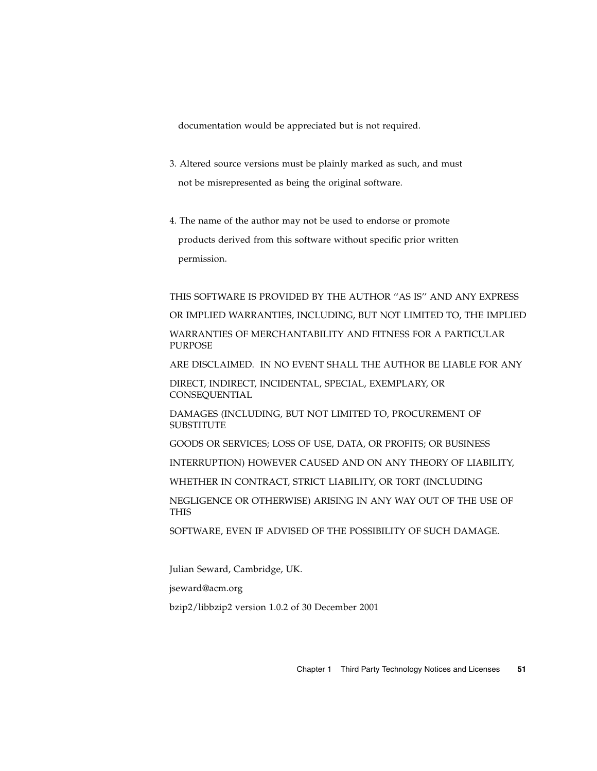documentation would be appreciated but is not required.

- 3. Altered source versions must be plainly marked as such, and must not be misrepresented as being the original software.
- 4. The name of the author may not be used to endorse or promote products derived from this software without specific prior written permission.

THIS SOFTWARE IS PROVIDED BY THE AUTHOR ''AS IS'' AND ANY EXPRESS OR IMPLIED WARRANTIES, INCLUDING, BUT NOT LIMITED TO, THE IMPLIED WARRANTIES OF MERCHANTABILITY AND FITNESS FOR A PARTICULAR **PURPOSE** ARE DISCLAIMED. IN NO EVENT SHALL THE AUTHOR BE LIABLE FOR ANY DIRECT, INDIRECT, INCIDENTAL, SPECIAL, EXEMPLARY, OR CONSEQUENTIAL DAMAGES (INCLUDING, BUT NOT LIMITED TO, PROCUREMENT OF **SUBSTITUTE** GOODS OR SERVICES; LOSS OF USE, DATA, OR PROFITS; OR BUSINESS INTERRUPTION) HOWEVER CAUSED AND ON ANY THEORY OF LIABILITY, WHETHER IN CONTRACT, STRICT LIABILITY, OR TORT (INCLUDING

NEGLIGENCE OR OTHERWISE) ARISING IN ANY WAY OUT OF THE USE OF **THIS** 

SOFTWARE, EVEN IF ADVISED OF THE POSSIBILITY OF SUCH DAMAGE.

Julian Seward, Cambridge, UK.

jseward@acm.org

bzip2/libbzip2 version 1.0.2 of 30 December 2001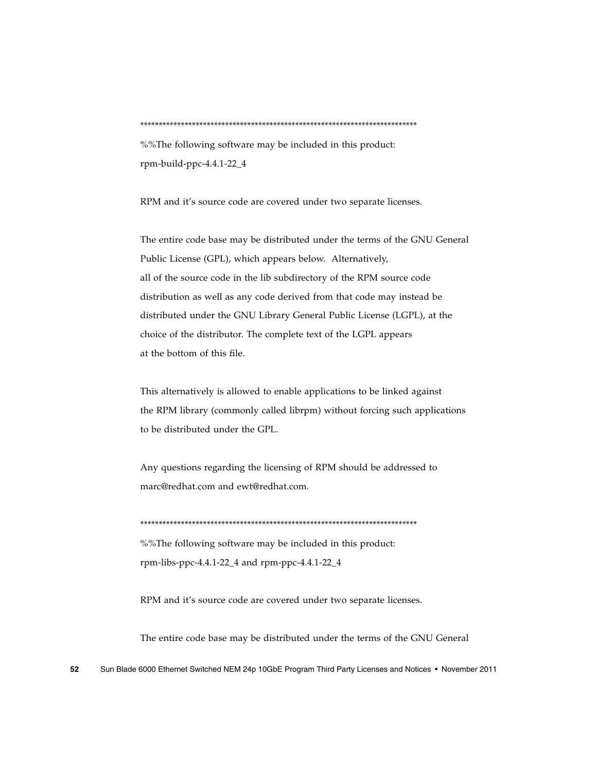%%The following software may be included in this product: rpm-build-ppc-4.4.1-22 $_4$ 

RPM and it's source code are covered under two separate licenses.

The entire code base may be distributed under the terms of the GNU General Public License (GPL), which appears below. Alternatively, all of the source code in the lib subdirectory of the RPM source code distribution as well as any code derived from that code may instead be distributed under the GNU Library General Public License (LGPL), at the choice of the distributor. The complete text of the LGPL appears at the bottom of this file.

This alternatively is allowed to enable applications to be linked against the RPM library (commonly called librpm) without forcing such applications to be distributed under the GPL.

Any questions regarding the licensing of RPM should be addressed to marc@redhat.com and ewt@redhat.com.

%%The following software may be included in this product: rpm-libs-ppc-4.4.1-22\_4 and rpm-ppc-4.4.1-22\_4

RPM and it's source code are covered under two separate licenses.

The entire code base may be distributed under the terms of the GNU General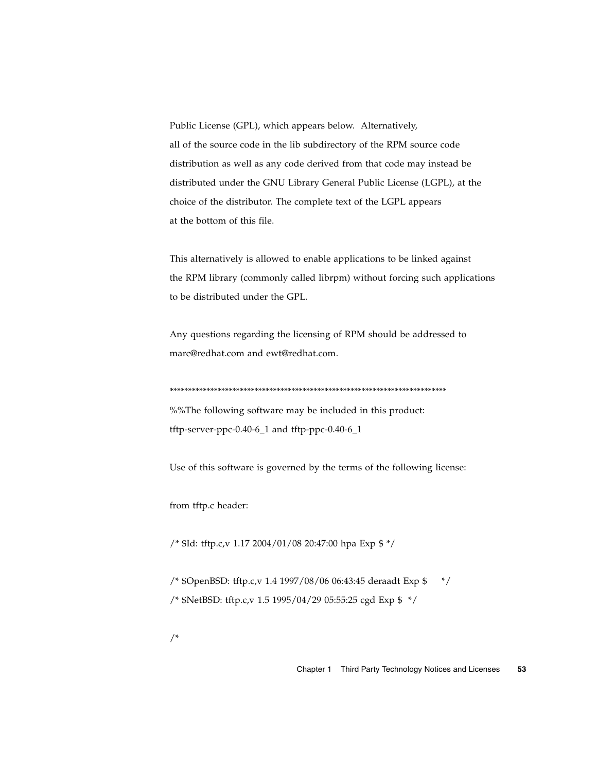Public License (GPL), which appears below. Alternatively, all of the source code in the lib subdirectory of the RPM source code distribution as well as any code derived from that code may instead be distributed under the GNU Library General Public License (LGPL), at the choice of the distributor. The complete text of the LGPL appears at the bottom of this file.

This alternatively is allowed to enable applications to be linked against the RPM library (commonly called librpm) without forcing such applications to be distributed under the GPL.

Any questions regarding the licensing of RPM should be addressed to marc@redhat.com and ewt@redhat.com.

%%The following software may be included in this product: tftp-server-ppc-0.40-6\_1 and tftp-ppc-0.40-6\_1

Use of this software is governed by the terms of the following license:

from tftp.c header:

/\* \$Id: tftp.c,v 1.17 2004/01/08 20:47:00 hpa Exp  $\frac{1}{2}$  \*/

 $*$  / /\* \$OpenBSD: tftp.c,v 1.4 1997/08/06 06:43:45 deraadt Exp \$ /\* \$NetBSD: tftp.c,v 1.5 1995/04/29 05:55:25 cgd Exp  $\frac{1}{2}$  \*/

 $/$ \*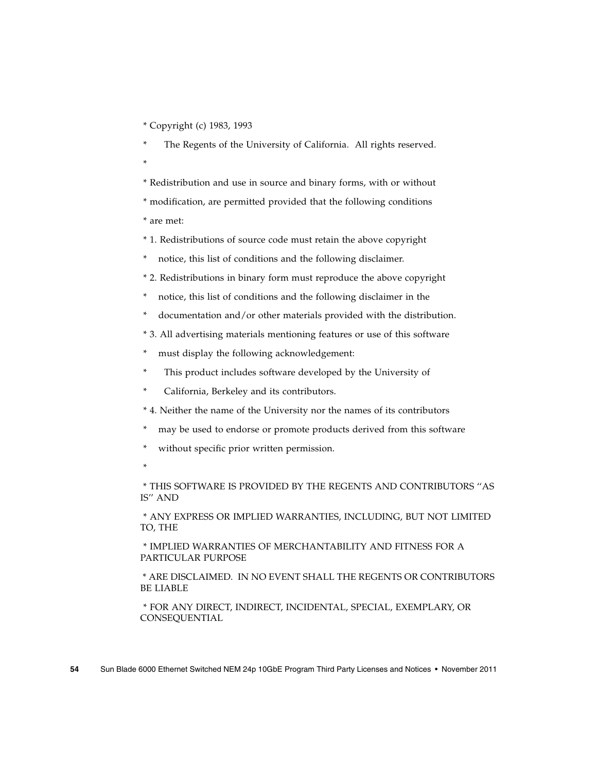\* Copyright (c) 1983, 1993

The Regents of the University of California. All rights reserved.

\*

\* Redistribution and use in source and binary forms, with or without \* modification, are permitted provided that the following conditions

\* are met:

\* 1. Redistributions of source code must retain the above copyright

\* notice, this list of conditions and the following disclaimer.

\* 2. Redistributions in binary form must reproduce the above copyright

\* notice, this list of conditions and the following disclaimer in the

\* documentation and/or other materials provided with the distribution.

\* 3. All advertising materials mentioning features or use of this software

- \* must display the following acknowledgement:
- This product includes software developed by the University of
- California, Berkeley and its contributors.

\* 4. Neither the name of the University nor the names of its contributors

\* may be used to endorse or promote products derived from this software

\* without specific prior written permission.

\*

\* THIS SOFTWARE IS PROVIDED BY THE REGENTS AND CONTRIBUTORS ''AS IS'' AND

\* ANY EXPRESS OR IMPLIED WARRANTIES, INCLUDING, BUT NOT LIMITED TO, THE

\* IMPLIED WARRANTIES OF MERCHANTABILITY AND FITNESS FOR A PARTICULAR PURPOSE

\* ARE DISCLAIMED. IN NO EVENT SHALL THE REGENTS OR CONTRIBUTORS BE LIABLE

\* FOR ANY DIRECT, INDIRECT, INCIDENTAL, SPECIAL, EXEMPLARY, OR **CONSEQUENTIAL**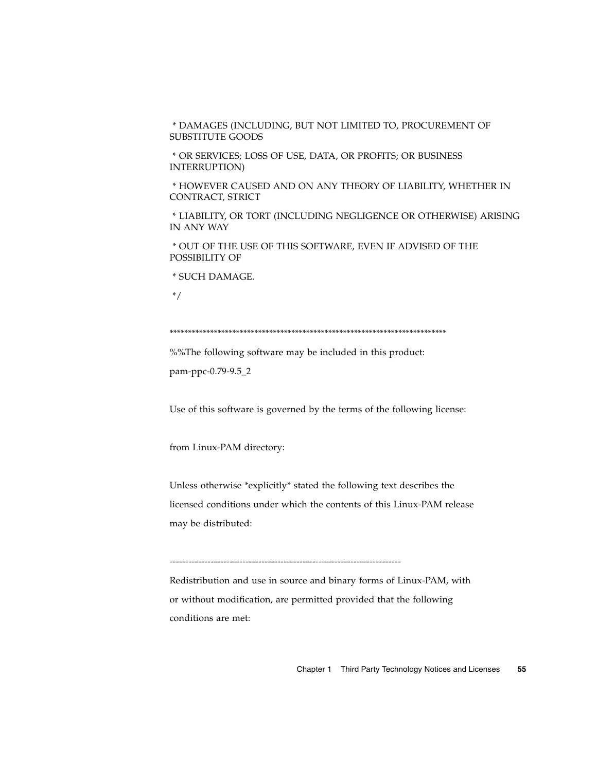\* DAMAGES (INCLUDING, BUT NOT LIMITED TO, PROCUREMENT OF SUBSTITUTE GOODS

\* OR SERVICES; LOSS OF USE, DATA, OR PROFITS; OR BUSINESS INTERRUPTION)

\* HOWEVER CAUSED AND ON ANY THEORY OF LIABILITY, WHETHER IN CONTRACT, STRICT

\* LIABILITY, OR TORT (INCLUDING NEGLIGENCE OR OTHERWISE) ARISING IN ANY WAY

\* OUT OF THE USE OF THIS SOFTWARE, EVEN IF ADVISED OF THE POSSIBILITY OF

\* SUCH DAMAGE.

\*/

\*\*\*\*\*\*\*\*\*\*\*\*\*\*\*\*\*\*\*\*\*\*\*\*\*\*\*\*\*\*\*\*\*\*\*\*\*\*\*\*\*\*\*\*\*\*\*\*\*\*\*\*\*\*\*\*\*\*\*\*\*\*\*\*\*\*\*\*\*\*\*\*\*\*\*

%%The following software may be included in this product:

pam-ppc-0.79-9.5\_2

Use of this software is governed by the terms of the following license:

from Linux-PAM directory:

Unless otherwise \*explicitly\* stated the following text describes the licensed conditions under which the contents of this Linux-PAM release may be distributed:

-------------------------------------------------------------------------

Redistribution and use in source and binary forms of Linux-PAM, with or without modification, are permitted provided that the following conditions are met: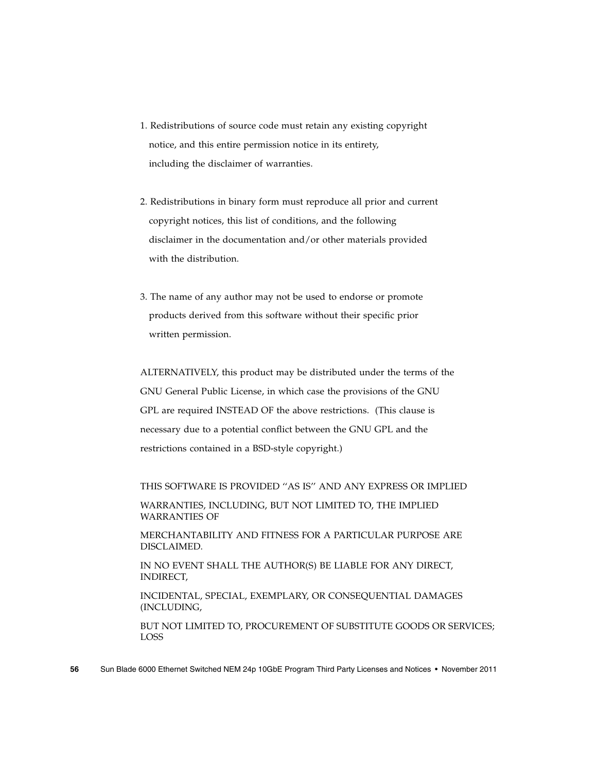- 1. Redistributions of source code must retain any existing copyright notice, and this entire permission notice in its entirety, including the disclaimer of warranties.
- 2. Redistributions in binary form must reproduce all prior and current copyright notices, this list of conditions, and the following disclaimer in the documentation and/or other materials provided with the distribution.
- 3. The name of any author may not be used to endorse or promote products derived from this software without their specific prior written permission.

ALTERNATIVELY, this product may be distributed under the terms of the GNU General Public License, in which case the provisions of the GNU GPL are required INSTEAD OF the above restrictions. (This clause is necessary due to a potential conflict between the GNU GPL and the restrictions contained in a BSD-style copyright.)

THIS SOFTWARE IS PROVIDED ''AS IS'' AND ANY EXPRESS OR IMPLIED

WARRANTIES, INCLUDING, BUT NOT LIMITED TO, THE IMPLIED WARRANTIES OF

MERCHANTABILITY AND FITNESS FOR A PARTICULAR PURPOSE ARE DISCLAIMED.

IN NO EVENT SHALL THE AUTHOR(S) BE LIABLE FOR ANY DIRECT, INDIRECT,

INCIDENTAL, SPECIAL, EXEMPLARY, OR CONSEQUENTIAL DAMAGES (INCLUDING,

BUT NOT LIMITED TO, PROCUREMENT OF SUBSTITUTE GOODS OR SERVICES; LOSS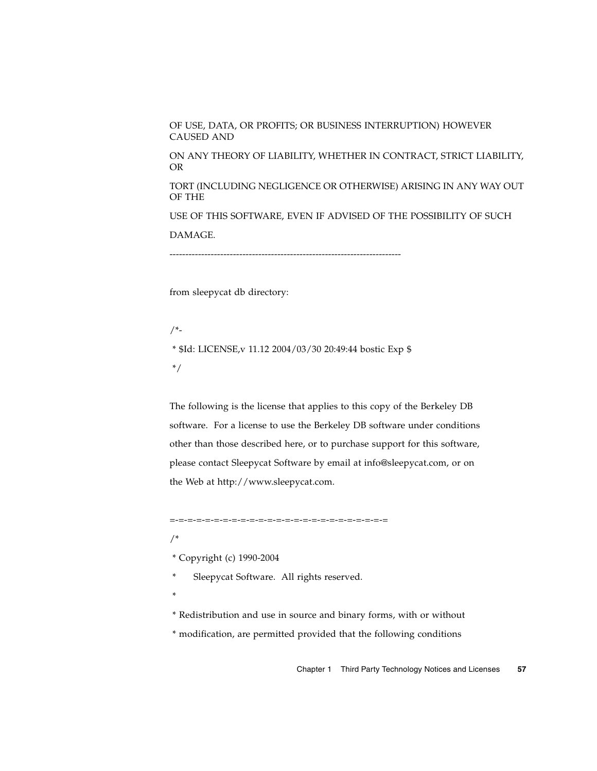OF USE, DATA, OR PROFITS; OR BUSINESS INTERRUPTION) HOWEVER CAUSED AND

ON ANY THEORY OF LIABILITY, WHETHER IN CONTRACT, STRICT LIABILITY, OR

TORT (INCLUDING NEGLIGENCE OR OTHERWISE) ARISING IN ANY WAY OUT OF THE

USE OF THIS SOFTWARE, EVEN IF ADVISED OF THE POSSIBILITY OF SUCH DAMAGE.

-------------------------------------------------------------------------

from sleepycat db directory:

/\*-

\* \$Id: LICENSE,v 11.12 2004/03/30 20:49:44 bostic Exp \$ \*/

The following is the license that applies to this copy of the Berkeley DB software. For a license to use the Berkeley DB software under conditions other than those described here, or to purchase support for this software, please contact Sleepycat Software by email at info@sleepycat.com, or on the Web at http://www.sleepycat.com.

=-=-=-=-=-=-=-=-=-=-=-=-=-=-=-=-=-=-=-=-=-=-=-=-= /\*

- \* Copyright (c) 1990-2004
- \* Sleepycat Software. All rights reserved.
- \*
- \* Redistribution and use in source and binary forms, with or without
- \* modification, are permitted provided that the following conditions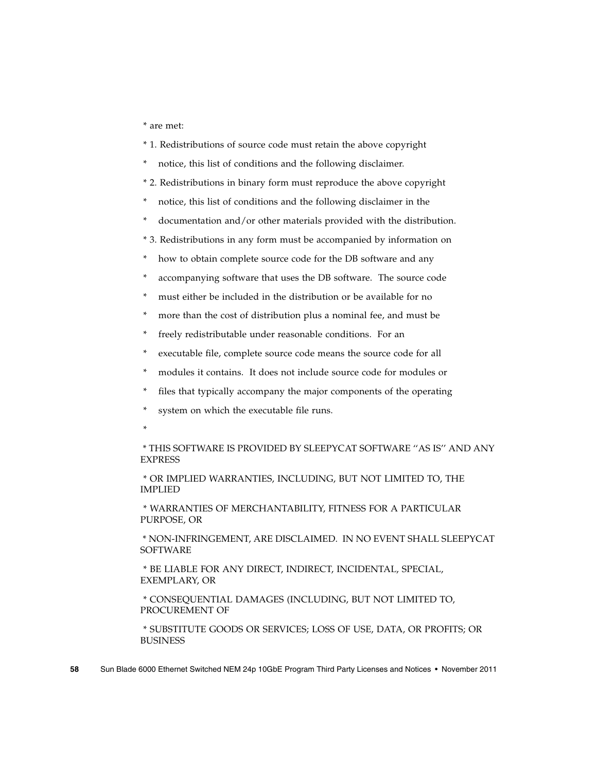\* are met:

\* 1. Redistributions of source code must retain the above copyright

\* notice, this list of conditions and the following disclaimer.

\* 2. Redistributions in binary form must reproduce the above copyright

notice, this list of conditions and the following disclaimer in the

documentation and/or other materials provided with the distribution.

\* 3. Redistributions in any form must be accompanied by information on

- \* how to obtain complete source code for the DB software and any
- \* accompanying software that uses the DB software. The source code
- must either be included in the distribution or be available for no
- \* more than the cost of distribution plus a nominal fee, and must be
- \* freely redistributable under reasonable conditions. For an
- \* executable file, complete source code means the source code for all
- modules it contains. It does not include source code for modules or
- \* files that typically accompany the major components of the operating
- \* system on which the executable file runs.
- \*

\* THIS SOFTWARE IS PROVIDED BY SLEEPYCAT SOFTWARE ''AS IS'' AND ANY **EXPRESS** 

\* OR IMPLIED WARRANTIES, INCLUDING, BUT NOT LIMITED TO, THE IMPLIED

\* WARRANTIES OF MERCHANTABILITY, FITNESS FOR A PARTICULAR PURPOSE, OR

\* NON-INFRINGEMENT, ARE DISCLAIMED. IN NO EVENT SHALL SLEEPYCAT SOFTWARE

\* BE LIABLE FOR ANY DIRECT, INDIRECT, INCIDENTAL, SPECIAL, EXEMPLARY, OR

\* CONSEQUENTIAL DAMAGES (INCLUDING, BUT NOT LIMITED TO, PROCUREMENT OF

\* SUBSTITUTE GOODS OR SERVICES; LOSS OF USE, DATA, OR PROFITS; OR BUSINESS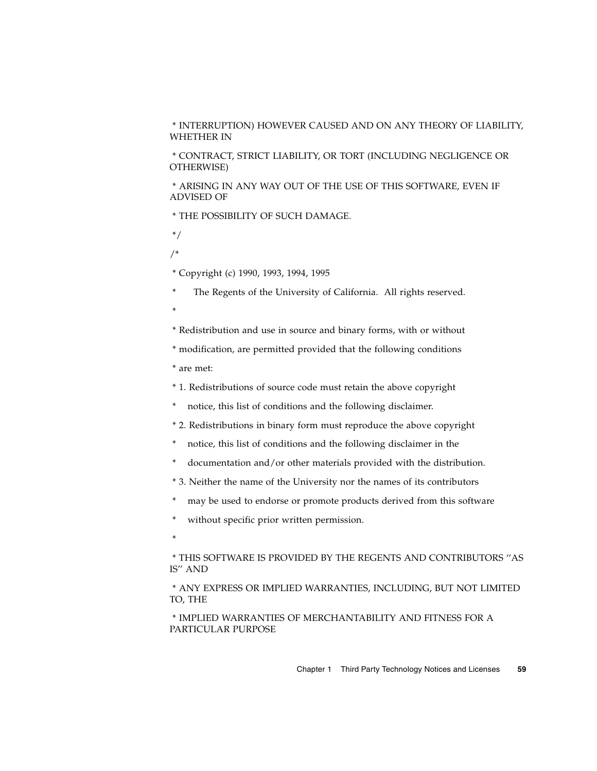\* INTERRUPTION) HOWEVER CAUSED AND ON ANY THEORY OF LIABILITY, WHETHER IN

\* CONTRACT, STRICT LIABILITY, OR TORT (INCLUDING NEGLIGENCE OR OTHERWISE)

\* ARISING IN ANY WAY OUT OF THE USE OF THIS SOFTWARE, EVEN IF ADVISED OF

\* THE POSSIBILITY OF SUCH DAMAGE.

\*/

/\*

\* Copyright (c) 1990, 1993, 1994, 1995

The Regents of the University of California. All rights reserved.

\*

\* Redistribution and use in source and binary forms, with or without

- \* modification, are permitted provided that the following conditions
- \* are met:

\* 1. Redistributions of source code must retain the above copyright

- notice, this list of conditions and the following disclaimer.
- \* 2. Redistributions in binary form must reproduce the above copyright
- \* notice, this list of conditions and the following disclaimer in the
- \* documentation and/or other materials provided with the distribution.
- \* 3. Neither the name of the University nor the names of its contributors
- \* may be used to endorse or promote products derived from this software
- \* without specific prior written permission.
- \*

\* THIS SOFTWARE IS PROVIDED BY THE REGENTS AND CONTRIBUTORS ''AS IS'' AND

\* ANY EXPRESS OR IMPLIED WARRANTIES, INCLUDING, BUT NOT LIMITED TO, THE

\* IMPLIED WARRANTIES OF MERCHANTABILITY AND FITNESS FOR A PARTICULAR PURPOSE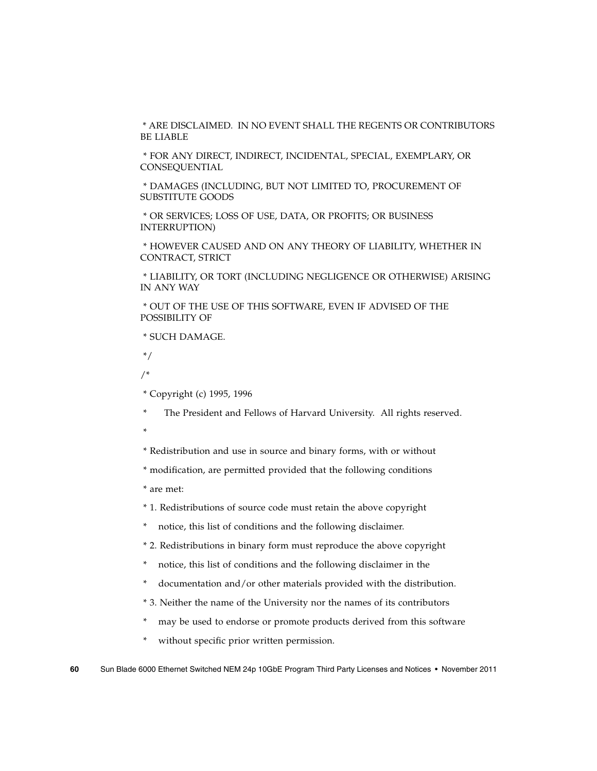\* ARE DISCLAIMED. IN NO EVENT SHALL THE REGENTS OR CONTRIBUTORS BE LIABLE

\* FOR ANY DIRECT, INDIRECT, INCIDENTAL, SPECIAL, EXEMPLARY, OR CONSEQUENTIAL

\* DAMAGES (INCLUDING, BUT NOT LIMITED TO, PROCUREMENT OF SUBSTITUTE GOODS

\* OR SERVICES; LOSS OF USE, DATA, OR PROFITS; OR BUSINESS INTERRUPTION)

\* HOWEVER CAUSED AND ON ANY THEORY OF LIABILITY, WHETHER IN CONTRACT, STRICT

\* LIABILITY, OR TORT (INCLUDING NEGLIGENCE OR OTHERWISE) ARISING IN ANY WAY

\* OUT OF THE USE OF THIS SOFTWARE, EVEN IF ADVISED OF THE POSSIBILITY OF

\* SUCH DAMAGE.

\*/

/\*

\* Copyright (c) 1995, 1996

\* The President and Fellows of Harvard University. All rights reserved.

\*

\* Redistribution and use in source and binary forms, with or without

\* modification, are permitted provided that the following conditions

\* are met:

\* 1. Redistributions of source code must retain the above copyright

\* notice, this list of conditions and the following disclaimer.

\* 2. Redistributions in binary form must reproduce the above copyright

\* notice, this list of conditions and the following disclaimer in the

\* documentation and/or other materials provided with the distribution.

\* 3. Neither the name of the University nor the names of its contributors

may be used to endorse or promote products derived from this software

without specific prior written permission.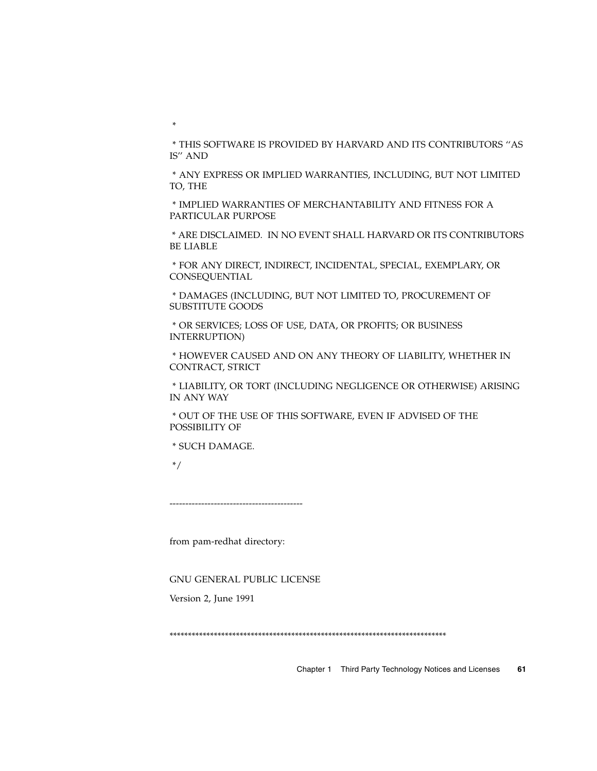\* THIS SOFTWARE IS PROVIDED BY HARVARD AND ITS CONTRIBUTORS ''AS IS'' AND

\* ANY EXPRESS OR IMPLIED WARRANTIES, INCLUDING, BUT NOT LIMITED TO, THE

\* IMPLIED WARRANTIES OF MERCHANTABILITY AND FITNESS FOR A PARTICULAR PURPOSE

\* ARE DISCLAIMED. IN NO EVENT SHALL HARVARD OR ITS CONTRIBUTORS BE LIABLE

\* FOR ANY DIRECT, INDIRECT, INCIDENTAL, SPECIAL, EXEMPLARY, OR CONSEQUENTIAL

\* DAMAGES (INCLUDING, BUT NOT LIMITED TO, PROCUREMENT OF SUBSTITUTE GOODS

\* OR SERVICES; LOSS OF USE, DATA, OR PROFITS; OR BUSINESS INTERRUPTION)

\* HOWEVER CAUSED AND ON ANY THEORY OF LIABILITY, WHETHER IN CONTRACT, STRICT

\* LIABILITY, OR TORT (INCLUDING NEGLIGENCE OR OTHERWISE) ARISING IN ANY WAY

\* OUT OF THE USE OF THIS SOFTWARE, EVEN IF ADVISED OF THE POSSIBILITY OF

\* SUCH DAMAGE.

\*/

\*

------------------------------------------

from pam-redhat directory:

GNU GENERAL PUBLIC LICENSE

Version 2, June 1991

\*\*\*\*\*\*\*\*\*\*\*\*\*\*\*\*\*\*\*\*\*\*\*\*\*\*\*\*\*\*\*\*\*\*\*\*\*\*\*\*\*\*\*\*\*\*\*\*\*\*\*\*\*\*\*\*\*\*\*\*\*\*\*\*\*\*\*\*\*\*\*\*\*\*\*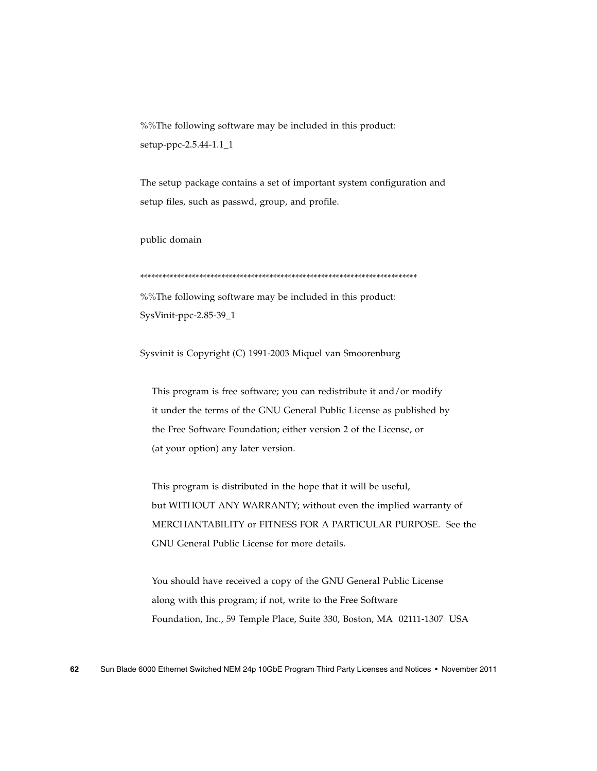%%The following software may be included in this product: setup-ppc-2.5.44-1.1\_1

The setup package contains a set of important system configuration and setup files, such as passwd, group, and profile.

public domain

\*\*\*\*\*\*\*\*\*\*\*\*\*\*\*\*\*\*\*\*\*\*\*\*\*\*\*\*\*\*\*\*\*\*\*\*\*\*\*\*\*\*\*\*\*\*\*\*\*\*\*\*\*\*\*\*\*\*\*\*\*\*\*\*\*\*\*\*\*\*\*\*\*\*\* %%The following software may be included in this product: SysVinit-ppc-2.85-39\_1

Sysvinit is Copyright (C) 1991-2003 Miquel van Smoorenburg

This program is free software; you can redistribute it and/or modify it under the terms of the GNU General Public License as published by the Free Software Foundation; either version 2 of the License, or (at your option) any later version.

This program is distributed in the hope that it will be useful, but WITHOUT ANY WARRANTY; without even the implied warranty of MERCHANTABILITY or FITNESS FOR A PARTICULAR PURPOSE. See the GNU General Public License for more details.

You should have received a copy of the GNU General Public License along with this program; if not, write to the Free Software Foundation, Inc., 59 Temple Place, Suite 330, Boston, MA 02111-1307 USA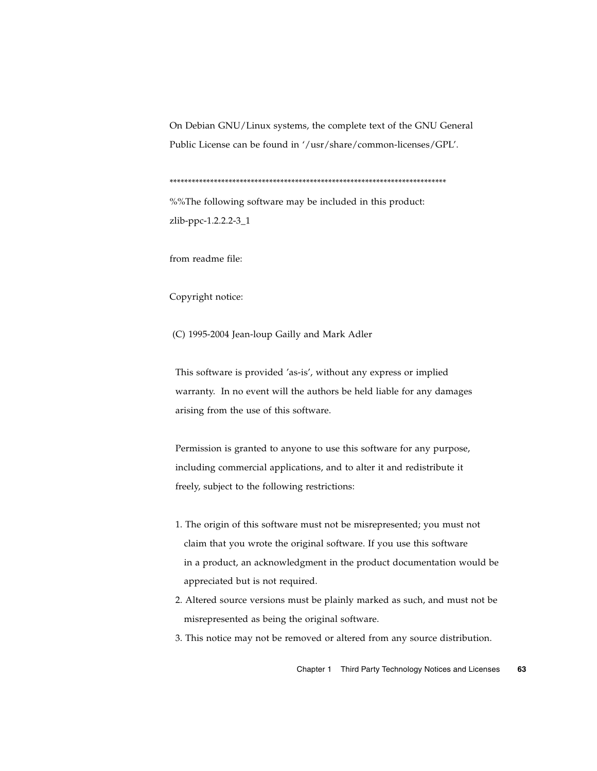On Debian GNU/Linux systems, the complete text of the GNU General Public License can be found in '/usr/share/common-licenses/GPL'.

\*\*\*\*\*\*\*\*\*\*\*\*\*\*\*\*\*\*\*\*\*\*\*\*\*\*\*\*\*\*\*\*\*\*\*\*\*\*\*\*\*\*\*\*\*\*\*\*\*\*\*\*\*\*\*\*\*\*\*\*\*\*\*\*\*\*\*\*\*\*\*\*\*\*\* %%The following software may be included in this product: zlib-ppc-1.2.2.2-3\_1

from readme file:

Copyright notice:

(C) 1995-2004 Jean-loup Gailly and Mark Adler

This software is provided 'as-is', without any express or implied warranty. In no event will the authors be held liable for any damages arising from the use of this software.

Permission is granted to anyone to use this software for any purpose, including commercial applications, and to alter it and redistribute it freely, subject to the following restrictions:

- 1. The origin of this software must not be misrepresented; you must not claim that you wrote the original software. If you use this software in a product, an acknowledgment in the product documentation would be appreciated but is not required.
- 2. Altered source versions must be plainly marked as such, and must not be misrepresented as being the original software.
- 3. This notice may not be removed or altered from any source distribution.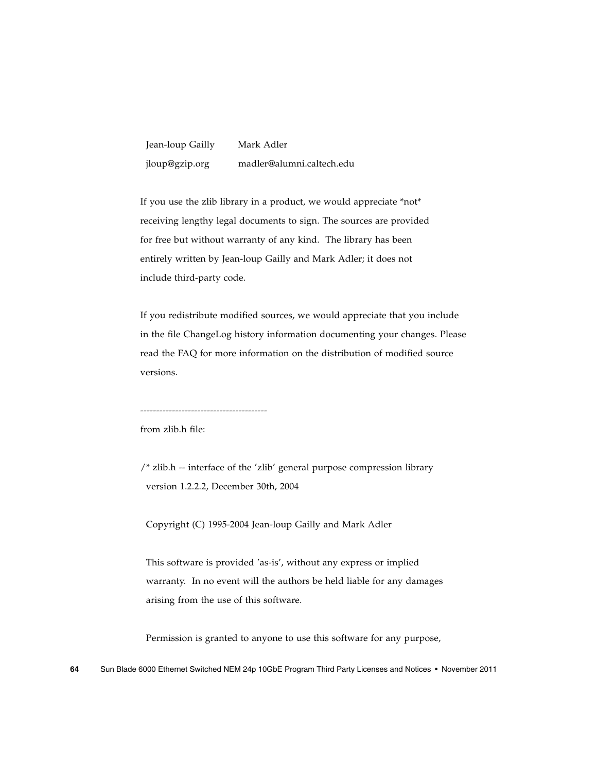Jean-loup Gailly Mark Adler jloup@gzip.org madler@alumni.caltech.edu

If you use the zlib library in a product, we would appreciate \*not\* receiving lengthy legal documents to sign. The sources are provided for free but without warranty of any kind. The library has been entirely written by Jean-loup Gailly and Mark Adler; it does not include third-party code.

If you redistribute modified sources, we would appreciate that you include in the file ChangeLog history information documenting your changes. Please read the FAQ for more information on the distribution of modified source versions.

----------------------------------------

from zlib.h file:

 $/*$  zlib.h -- interface of the 'zlib' general purpose compression library version 1.2.2.2, December 30th, 2004

Copyright (C) 1995-2004 Jean-loup Gailly and Mark Adler

This software is provided 'as-is', without any express or implied warranty. In no event will the authors be held liable for any damages arising from the use of this software.

Permission is granted to anyone to use this software for any purpose,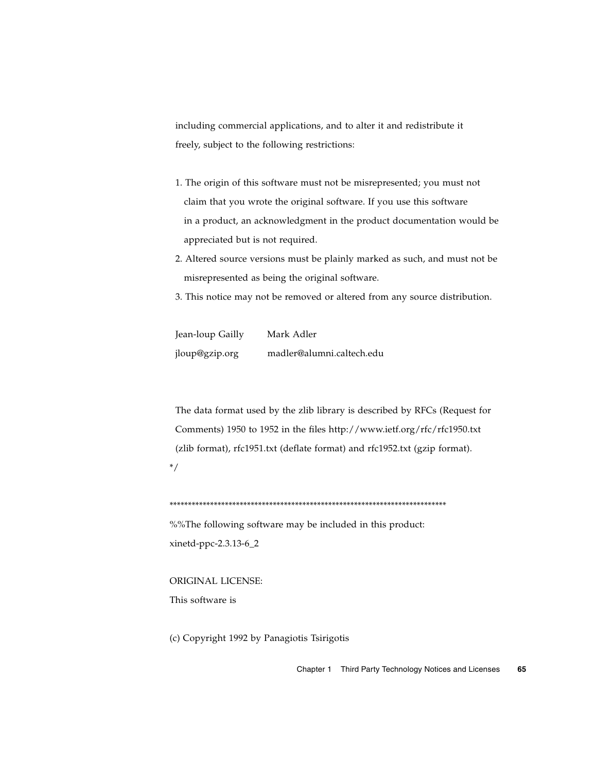including commercial applications, and to alter it and redistribute it freely, subject to the following restrictions:

- 1. The origin of this software must not be misrepresented; you must not claim that you wrote the original software. If you use this software in a product, an acknowledgment in the product documentation would be appreciated but is not required.
- 2. Altered source versions must be plainly marked as such, and must not be misrepresented as being the original software.
- 3. This notice may not be removed or altered from any source distribution.

Jean-loup Gailly Mark Adler jloup@gzip.org madler@alumni.caltech.edu

The data format used by the zlib library is described by RFCs (Request for Comments) 1950 to 1952 in the files http://www.ietf.org/rfc/rfc1950.txt (zlib format), rfc1951.txt (deflate format) and rfc1952.txt (gzip format).  $*$  /

%%The following software may be included in this product: xinetd-ppc-2.3.13-6\_2

**ORIGINAL LICENSE:** 

This software is

(c) Copyright 1992 by Panagiotis Tsirigotis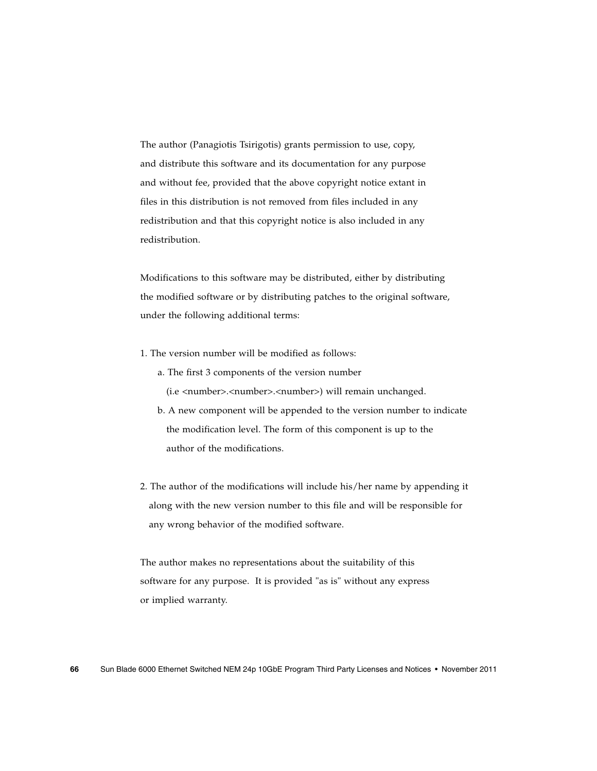The author (Panagiotis Tsirigotis) grants permission to use, copy, and distribute this software and its documentation for any purpose and without fee, provided that the above copyright notice extant in files in this distribution is not removed from files included in any redistribution and that this copyright notice is also included in any redistribution.

Modifications to this software may be distributed, either by distributing the modified software or by distributing patches to the original software, under the following additional terms:

- 1. The version number will be modified as follows:
	- a. The first 3 components of the version number (i.e <number>.<number>.<number>) will remain unchanged.
	- b. A new component will be appended to the version number to indicate the modification level. The form of this component is up to the author of the modifications.
- 2. The author of the modifications will include his/her name by appending it along with the new version number to this file and will be responsible for any wrong behavior of the modified software.

The author makes no representations about the suitability of this software for any purpose. It is provided "as is" without any express or implied warranty.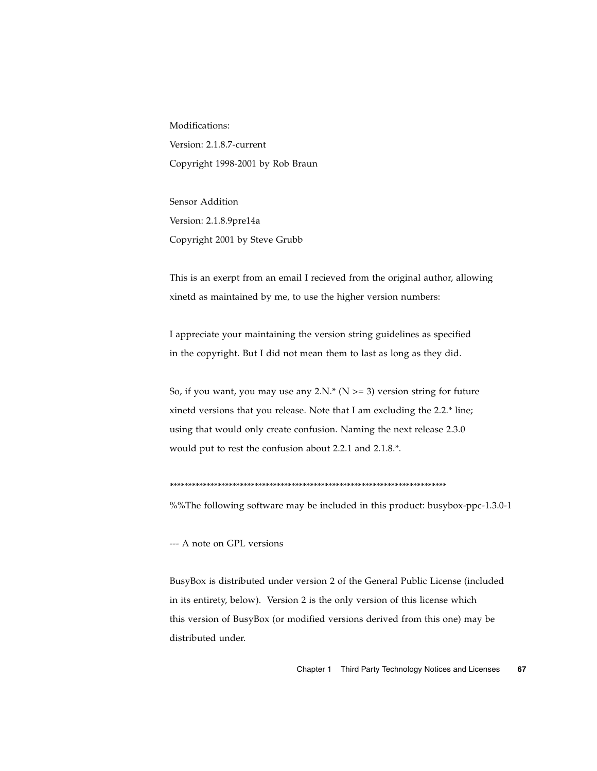Modifications: Version: 2.1.8.7-current Copyright 1998-2001 by Rob Braun

Sensor Addition Version: 2.1.8.9pre14a Copyright 2001 by Steve Grubb

This is an exerpt from an email I recieved from the original author, allowing xinetd as maintained by me, to use the higher version numbers:

I appreciate your maintaining the version string guidelines as specified in the copyright. But I did not mean them to last as long as they did.

So, if you want, you may use any  $2.N.*(N \ge 3)$  version string for future xinetd versions that you release. Note that I am excluding the 2.2.\* line; using that would only create confusion. Naming the next release 2.3.0 would put to rest the confusion about 2.2.1 and 2.1.8.\*.

%%The following software may be included in this product: busybox-ppc-1.3.0-1

--- A note on GPL versions

BusyBox is distributed under version 2 of the General Public License (included in its entirety, below). Version 2 is the only version of this license which this version of BusyBox (or modified versions derived from this one) may be distributed under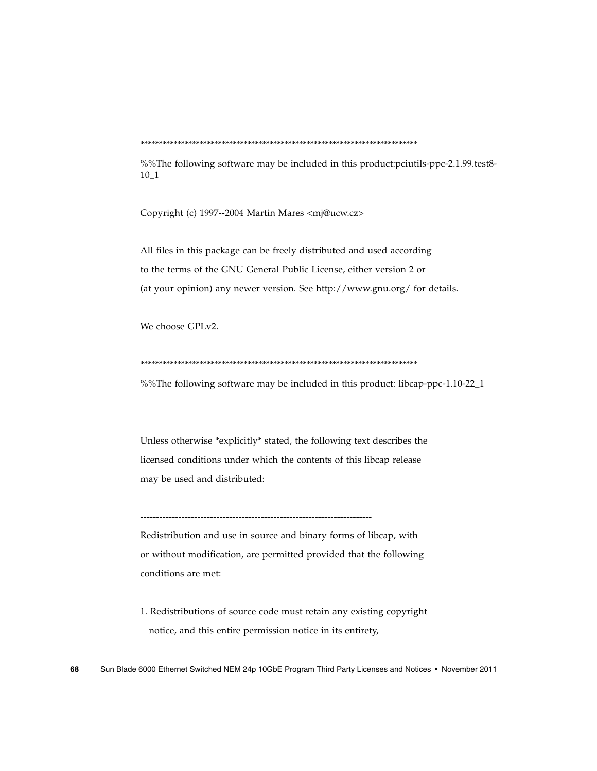%%The following software may be included in this product: pciutils-ppc-2.1.99.test8- $10<sub>1</sub>$ 

Copyright (c) 1997--2004 Martin Mares <mj@ucw.cz>

All files in this package can be freely distributed and used according to the terms of the GNU General Public License, either version 2 or (at your opinion) any newer version. See http://www.gnu.org/ for details.

We choose GPLv2.

#### 

%%The following software may be included in this product: libcap-ppc-1.10-22\_1

Unless otherwise \*explicitly\* stated, the following text describes the licensed conditions under which the contents of this libcap release may be used and distributed:

Redistribution and use in source and binary forms of libcap, with or without modification, are permitted provided that the following conditions are met:

1. Redistributions of source code must retain any existing copyright notice, and this entire permission notice in its entirety,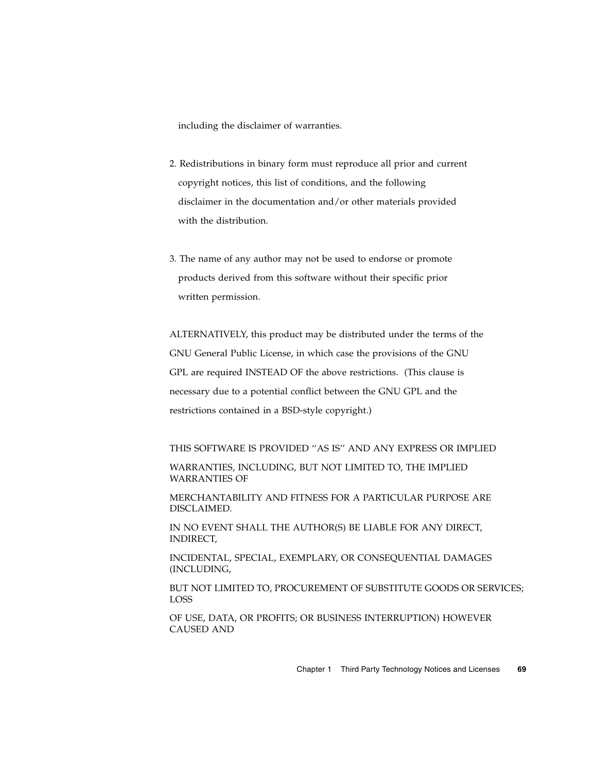including the disclaimer of warranties.

- 2. Redistributions in binary form must reproduce all prior and current copyright notices, this list of conditions, and the following disclaimer in the documentation and/or other materials provided with the distribution.
- 3. The name of any author may not be used to endorse or promote products derived from this software without their specific prior written permission.

ALTERNATIVELY, this product may be distributed under the terms of the GNU General Public License, in which case the provisions of the GNU GPL are required INSTEAD OF the above restrictions. (This clause is necessary due to a potential conflict between the GNU GPL and the restrictions contained in a BSD-style copyright.)

THIS SOFTWARE IS PROVIDED ''AS IS'' AND ANY EXPRESS OR IMPLIED

WARRANTIES, INCLUDING, BUT NOT LIMITED TO, THE IMPLIED WARRANTIES OF

MERCHANTABILITY AND FITNESS FOR A PARTICULAR PURPOSE ARE DISCLAIMED.

IN NO EVENT SHALL THE AUTHOR(S) BE LIABLE FOR ANY DIRECT, INDIRECT,

INCIDENTAL, SPECIAL, EXEMPLARY, OR CONSEQUENTIAL DAMAGES (INCLUDING,

BUT NOT LIMITED TO, PROCUREMENT OF SUBSTITUTE GOODS OR SERVICES; LOSS

OF USE, DATA, OR PROFITS; OR BUSINESS INTERRUPTION) HOWEVER CAUSED AND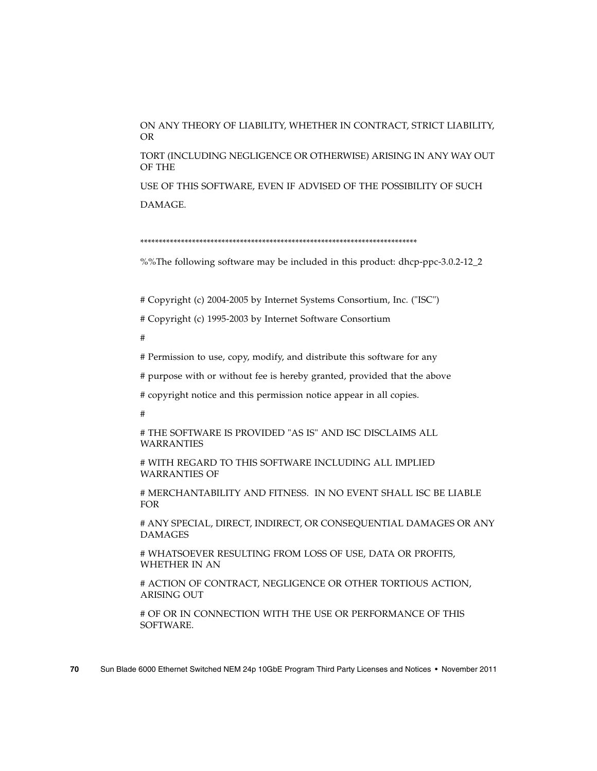ON ANY THEORY OF LIABILITY, WHETHER IN CONTRACT, STRICT LIABILITY, OR

TORT (INCLUDING NEGLIGENCE OR OTHERWISE) ARISING IN ANY WAY OUT OF THE

USE OF THIS SOFTWARE, EVEN IF ADVISED OF THE POSSIBILITY OF SUCH DAMAGE.

\*\*\*\*\*\*\*\*\*\*\*\*\*\*\*\*\*\*\*\*\*\*\*\*\*\*\*\*\*\*\*\*\*\*\*\*\*\*\*\*\*\*\*\*\*\*\*\*\*\*\*\*\*\*\*\*\*\*\*\*\*\*\*\*\*\*\*\*\*\*\*\*\*\*\*

%%The following software may be included in this product: dhcp-ppc-3.0.2-12\_2

# Copyright (c) 2004-2005 by Internet Systems Consortium, Inc. ("ISC")

# Copyright (c) 1995-2003 by Internet Software Consortium

#

# Permission to use, copy, modify, and distribute this software for any

# purpose with or without fee is hereby granted, provided that the above

# copyright notice and this permission notice appear in all copies.

#

# THE SOFTWARE IS PROVIDED "AS IS" AND ISC DISCLAIMS ALL WARRANTIES

# WITH REGARD TO THIS SOFTWARE INCLUDING ALL IMPLIED WARRANTIES OF

# MERCHANTABILITY AND FITNESS. IN NO EVENT SHALL ISC BE LIABLE FOR

# ANY SPECIAL, DIRECT, INDIRECT, OR CONSEQUENTIAL DAMAGES OR ANY DAMAGES

# WHATSOEVER RESULTING FROM LOSS OF USE, DATA OR PROFITS, WHETHER IN AN

# ACTION OF CONTRACT, NEGLIGENCE OR OTHER TORTIOUS ACTION, ARISING OUT

# OF OR IN CONNECTION WITH THE USE OR PERFORMANCE OF THIS **SOFTWARE**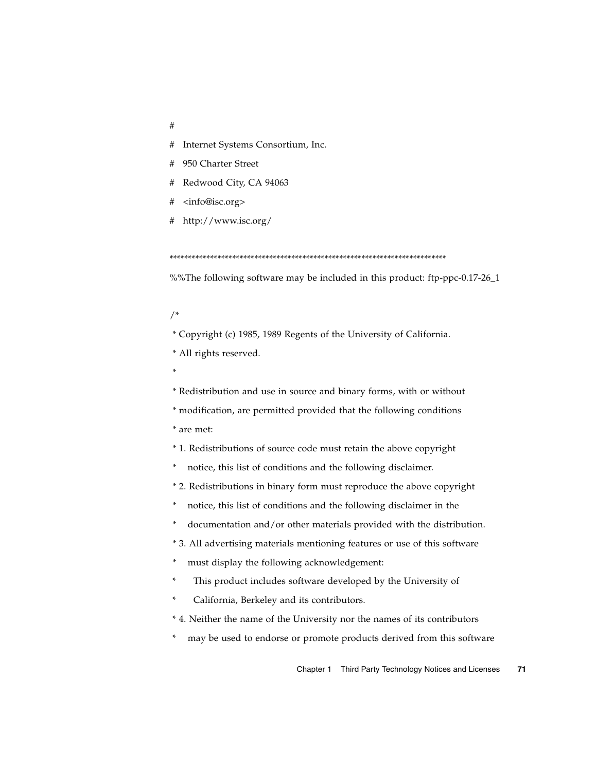- #
- # Internet Systems Consortium, Inc.
- # 950 Charter Street
- # Redwood City, CA 94063
- # <info@isc.org>
- # http://www.isc.org/

\*\*\*\*\*\*\*\*\*\*\*\*\*\*\*\*\*\*\*\*\*\*\*\*\*\*\*\*\*\*\*\*\*\*\*\*\*\*\*\*\*\*\*\*\*\*\*\*\*\*\*\*\*\*\*\*\*\*\*\*\*\*\*\*\*\*\*\*\*\*\*\*\*\*\*

%%The following software may be included in this product: ftp-ppc-0.17-26\_1

### /\*

\* Copyright (c) 1985, 1989 Regents of the University of California.

\* All rights reserved.

\*

\* Redistribution and use in source and binary forms, with or without

\* modification, are permitted provided that the following conditions

\* are met:

\* 1. Redistributions of source code must retain the above copyright

\* notice, this list of conditions and the following disclaimer.

\* 2. Redistributions in binary form must reproduce the above copyright

\* notice, this list of conditions and the following disclaimer in the

documentation and/or other materials provided with the distribution.

\* 3. All advertising materials mentioning features or use of this software

- \* must display the following acknowledgement:
- \* This product includes software developed by the University of
- California, Berkeley and its contributors.

\* 4. Neither the name of the University nor the names of its contributors

may be used to endorse or promote products derived from this software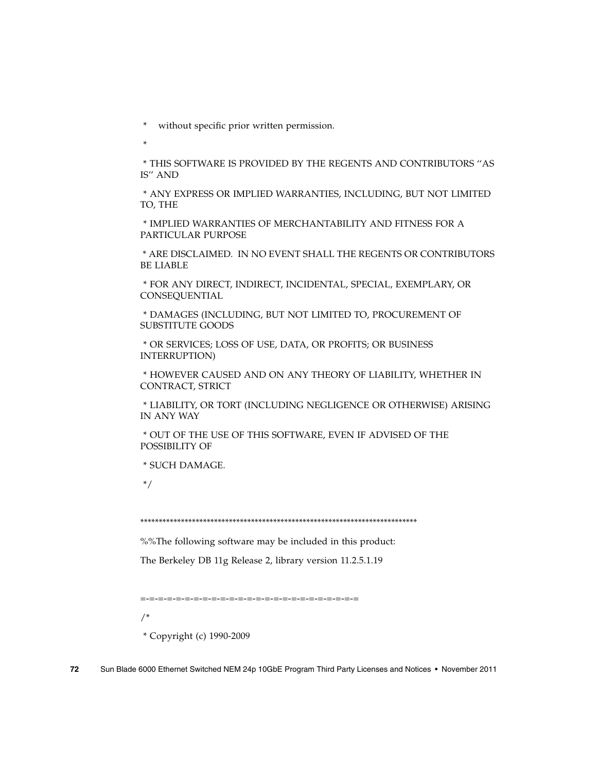\* without specific prior written permission.

\*

\* THIS SOFTWARE IS PROVIDED BY THE REGENTS AND CONTRIBUTORS ''AS IS'' AND

\* ANY EXPRESS OR IMPLIED WARRANTIES, INCLUDING, BUT NOT LIMITED TO, THE

\* IMPLIED WARRANTIES OF MERCHANTABILITY AND FITNESS FOR A PARTICULAR PURPOSE

\* ARE DISCLAIMED. IN NO EVENT SHALL THE REGENTS OR CONTRIBUTORS BE LIABLE

\* FOR ANY DIRECT, INDIRECT, INCIDENTAL, SPECIAL, EXEMPLARY, OR CONSEQUENTIAL

\* DAMAGES (INCLUDING, BUT NOT LIMITED TO, PROCUREMENT OF SUBSTITUTE GOODS

\* OR SERVICES; LOSS OF USE, DATA, OR PROFITS; OR BUSINESS INTERRUPTION)

\* HOWEVER CAUSED AND ON ANY THEORY OF LIABILITY, WHETHER IN CONTRACT, STRICT

\* LIABILITY, OR TORT (INCLUDING NEGLIGENCE OR OTHERWISE) ARISING IN ANY WAY

\* OUT OF THE USE OF THIS SOFTWARE, EVEN IF ADVISED OF THE POSSIBILITY OF

\* SUCH DAMAGE.

\*/

\*\*\*\*\*\*\*\*\*\*\*\*\*\*\*\*\*\*\*\*\*\*\*\*\*\*\*\*\*\*\*\*\*\*\*\*\*\*\*\*\*\*\*\*\*\*\*\*\*\*\*\*\*\*\*\*\*\*\*\*\*\*\*\*\*\*\*\*\*\*\*\*\*\*\*

%%The following software may be included in this product:

The Berkeley DB 11g Release 2, library version 11.2.5.1.19

=-=-=-=-=-=-=-=-=-=-=-=-=-=-=-=-=-=-=-=-=-=-=-=-=

/\*

\* Copyright (c) 1990-2009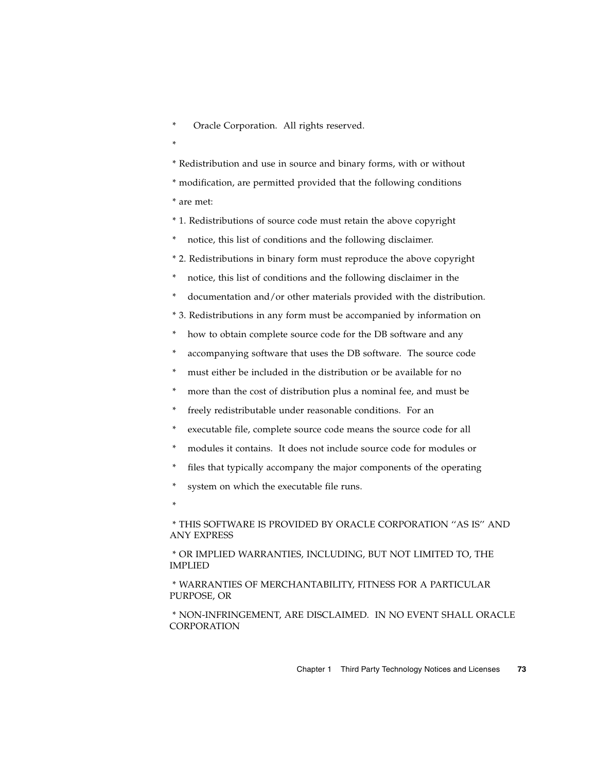\* Oracle Corporation. All rights reserved.

\*

\* Redistribution and use in source and binary forms, with or without \* modification, are permitted provided that the following conditions \* are met:

\* 1. Redistributions of source code must retain the above copyright

\* notice, this list of conditions and the following disclaimer.

\* 2. Redistributions in binary form must reproduce the above copyright

\* notice, this list of conditions and the following disclaimer in the

documentation and/or other materials provided with the distribution.

\* 3. Redistributions in any form must be accompanied by information on

- \* how to obtain complete source code for the DB software and any
- \* accompanying software that uses the DB software. The source code
- must either be included in the distribution or be available for no
- \* more than the cost of distribution plus a nominal fee, and must be
- \* freely redistributable under reasonable conditions. For an
- \* executable file, complete source code means the source code for all
- \* modules it contains. It does not include source code for modules or
- \* files that typically accompany the major components of the operating
- \* system on which the executable file runs.
- \*

# \* THIS SOFTWARE IS PROVIDED BY ORACLE CORPORATION ''AS IS'' AND ANY EXPRESS

\* OR IMPLIED WARRANTIES, INCLUDING, BUT NOT LIMITED TO, THE IMPLIED

\* WARRANTIES OF MERCHANTABILITY, FITNESS FOR A PARTICULAR PURPOSE, OR

\* NON-INFRINGEMENT, ARE DISCLAIMED. IN NO EVENT SHALL ORACLE CORPORATION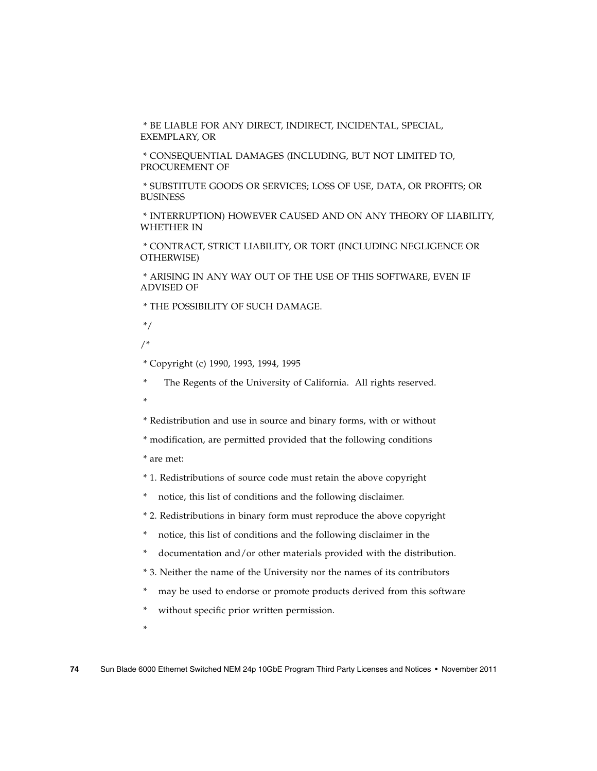\* BE LIABLE FOR ANY DIRECT, INDIRECT, INCIDENTAL, SPECIAL, EXEMPLARY, OR

\* CONSEQUENTIAL DAMAGES (INCLUDING, BUT NOT LIMITED TO, PROCUREMENT OF

\* SUBSTITUTE GOODS OR SERVICES; LOSS OF USE, DATA, OR PROFITS; OR **BUSINESS** 

\* INTERRUPTION) HOWEVER CAUSED AND ON ANY THEORY OF LIABILITY, WHETHER IN

\* CONTRACT, STRICT LIABILITY, OR TORT (INCLUDING NEGLIGENCE OR OTHERWISE)

\* ARISING IN ANY WAY OUT OF THE USE OF THIS SOFTWARE, EVEN IF ADVISED OF

\* THE POSSIBILITY OF SUCH DAMAGE.

\*/

/\*

\* Copyright (c) 1990, 1993, 1994, 1995

The Regents of the University of California. All rights reserved.

\*

\* Redistribution and use in source and binary forms, with or without

\* modification, are permitted provided that the following conditions

\* are met:

\* 1. Redistributions of source code must retain the above copyright

\* notice, this list of conditions and the following disclaimer.

\* 2. Redistributions in binary form must reproduce the above copyright

- \* notice, this list of conditions and the following disclaimer in the
- \* documentation and/or other materials provided with the distribution.
- \* 3. Neither the name of the University nor the names of its contributors
- \* may be used to endorse or promote products derived from this software

\* without specific prior written permission.

\*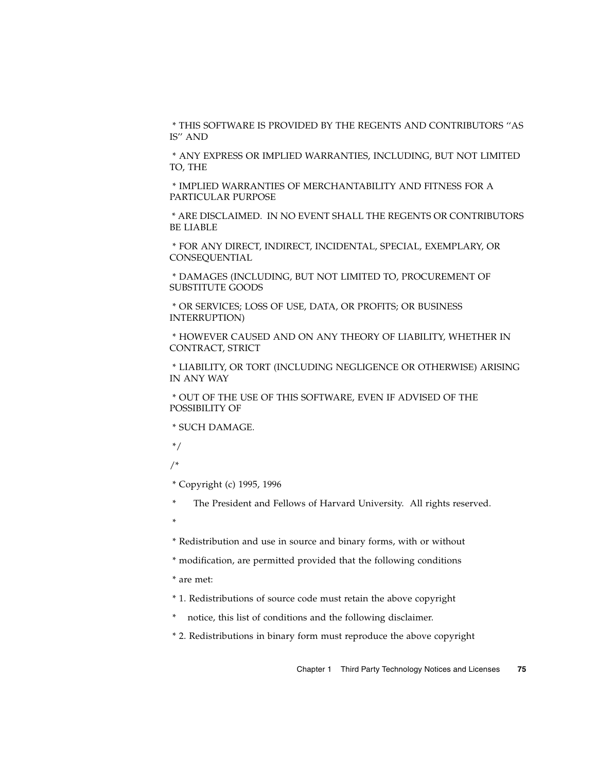\* THIS SOFTWARE IS PROVIDED BY THE REGENTS AND CONTRIBUTORS ''AS IS'' AND

\* ANY EXPRESS OR IMPLIED WARRANTIES, INCLUDING, BUT NOT LIMITED TO, THE

\* IMPLIED WARRANTIES OF MERCHANTABILITY AND FITNESS FOR A PARTICULAR PURPOSE

\* ARE DISCLAIMED. IN NO EVENT SHALL THE REGENTS OR CONTRIBUTORS BE LIABLE

\* FOR ANY DIRECT, INDIRECT, INCIDENTAL, SPECIAL, EXEMPLARY, OR CONSEQUENTIAL

\* DAMAGES (INCLUDING, BUT NOT LIMITED TO, PROCUREMENT OF SUBSTITUTE GOODS

\* OR SERVICES; LOSS OF USE, DATA, OR PROFITS; OR BUSINESS INTERRUPTION)

\* HOWEVER CAUSED AND ON ANY THEORY OF LIABILITY, WHETHER IN CONTRACT, STRICT

\* LIABILITY, OR TORT (INCLUDING NEGLIGENCE OR OTHERWISE) ARISING IN ANY WAY

\* OUT OF THE USE OF THIS SOFTWARE, EVEN IF ADVISED OF THE POSSIBILITY OF

\* SUCH DAMAGE.

\*/

/\*

\* Copyright (c) 1995, 1996

\* The President and Fellows of Harvard University. All rights reserved.

\*

\* Redistribution and use in source and binary forms, with or without

\* modification, are permitted provided that the following conditions

\* are met:

\* 1. Redistributions of source code must retain the above copyright

\* notice, this list of conditions and the following disclaimer.

\* 2. Redistributions in binary form must reproduce the above copyright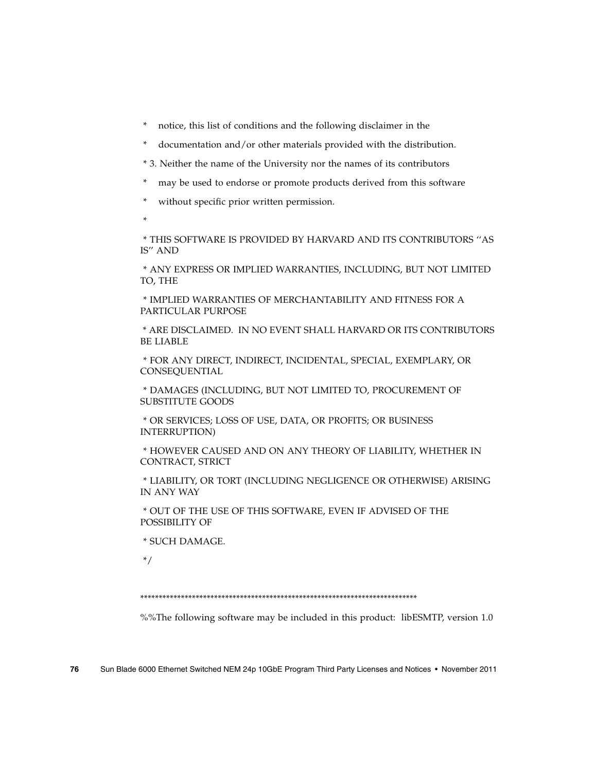\* notice, this list of conditions and the following disclaimer in the

\* documentation and/or other materials provided with the distribution.

\* 3. Neither the name of the University nor the names of its contributors

\* may be used to endorse or promote products derived from this software

\* without specific prior written permission.

\*

\* THIS SOFTWARE IS PROVIDED BY HARVARD AND ITS CONTRIBUTORS ''AS IS'' AND

\* ANY EXPRESS OR IMPLIED WARRANTIES, INCLUDING, BUT NOT LIMITED TO, THE

\* IMPLIED WARRANTIES OF MERCHANTABILITY AND FITNESS FOR A PARTICULAR PURPOSE

\* ARE DISCLAIMED. IN NO EVENT SHALL HARVARD OR ITS CONTRIBUTORS BE LIABLE

\* FOR ANY DIRECT, INDIRECT, INCIDENTAL, SPECIAL, EXEMPLARY, OR CONSEQUENTIAL

\* DAMAGES (INCLUDING, BUT NOT LIMITED TO, PROCUREMENT OF SUBSTITUTE GOODS

\* OR SERVICES; LOSS OF USE, DATA, OR PROFITS; OR BUSINESS INTERRUPTION)

\* HOWEVER CAUSED AND ON ANY THEORY OF LIABILITY, WHETHER IN CONTRACT, STRICT

\* LIABILITY, OR TORT (INCLUDING NEGLIGENCE OR OTHERWISE) ARISING IN ANY WAY

\* OUT OF THE USE OF THIS SOFTWARE, EVEN IF ADVISED OF THE POSSIBILITY OF

\* SUCH DAMAGE.

\*/

\*\*\*\*\*\*\*\*\*\*\*\*\*\*\*\*\*\*\*\*\*\*\*\*\*\*\*\*\*\*\*\*\*\*\*\*\*\*\*\*\*\*\*\*\*\*\*\*\*\*\*\*\*\*\*\*\*\*\*\*\*\*\*\*\*\*\*\*\*\*\*\*\*\*\*

%%The following software may be included in this product: libESMTP, version 1.0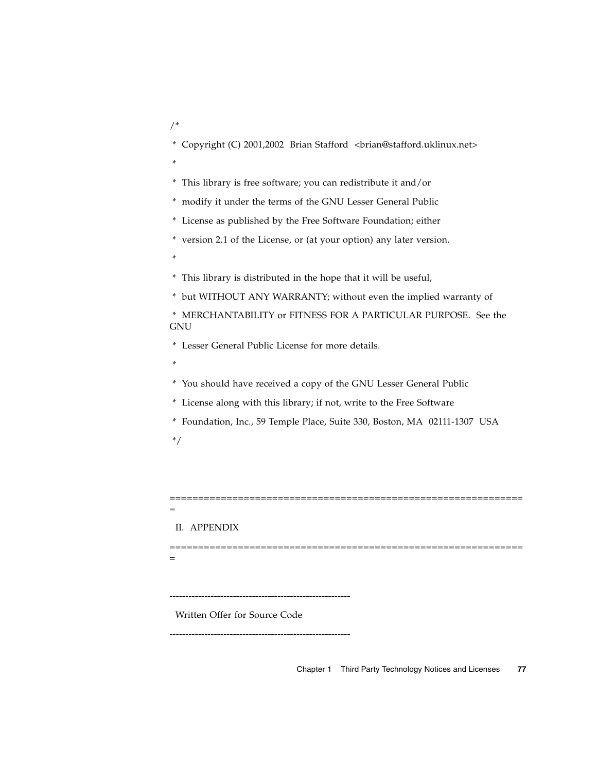/\*

\* Copyright (C) 2001,2002 Brian Stafford <brian@stafford.uklinux.net>

\*

\* This library is free software; you can redistribute it and/or

\* modify it under the terms of the GNU Lesser General Public

\* License as published by the Free Software Foundation; either

\* version 2.1 of the License, or (at your option) any later version.

\*

\* This library is distributed in the hope that it will be useful,

\* but WITHOUT ANY WARRANTY; without even the implied warranty of

\* MERCHANTABILITY or FITNESS FOR A PARTICULAR PURPOSE. See the GNU

\* Lesser General Public License for more details.

\*

\* You should have received a copy of the GNU Lesser General Public

\* License along with this library; if not, write to the Free Software

\* Foundation, Inc., 59 Temple Place, Suite 330, Boston, MA 02111-1307 USA

\*/

= II. APPENDIX ============================================================== =

==============================================================

---------------------------------------------------------

Written Offer for Source Code

---------------------------------------------------------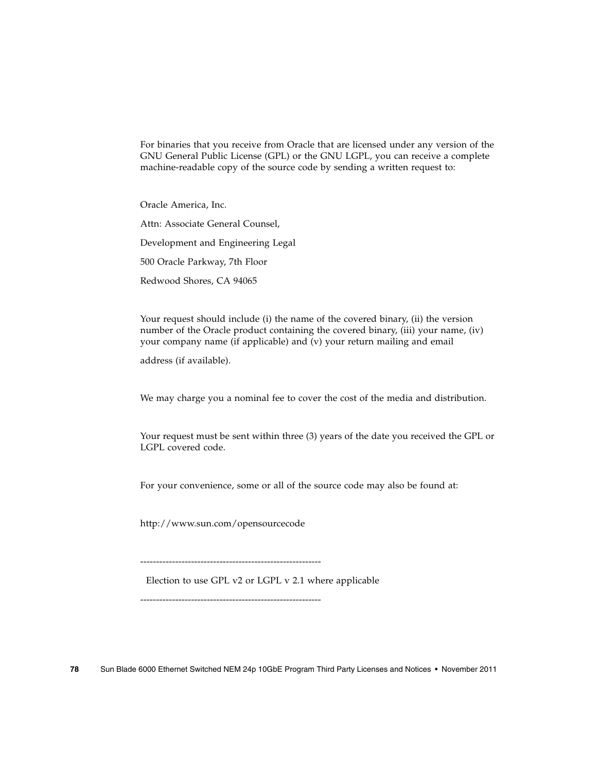For binaries that you receive from Oracle that are licensed under any version of the GNU General Public License (GPL) or the GNU LGPL, you can receive a complete machine-readable copy of the source code by sending a written request to:

Oracle America, Inc.

Attn: Associate General Counsel, Development and Engineering Legal 500 Oracle Parkway, 7th Floor Redwood Shores, CA 94065

Your request should include (i) the name of the covered binary, (ii) the version number of the Oracle product containing the covered binary, (iii) your name, (iv) your company name (if applicable) and (v) your return mailing and email

address (if available).

We may charge you a nominal fee to cover the cost of the media and distribution.

Your request must be sent within three (3) years of the date you received the GPL or LGPL covered code.

For your convenience, some or all of the source code may also be found at:

http://www.sun.com/opensourcecode

---------------------------------------------------------

Election to use GPL v2 or LGPL v 2.1 where applicable

---------------------------------------------------------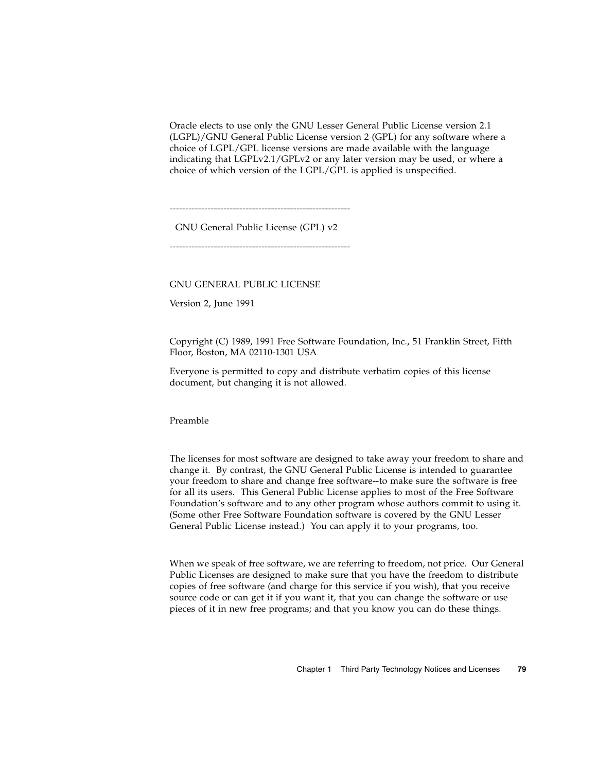Oracle elects to use only the GNU Lesser General Public License version 2.1 (LGPL)/GNU General Public License version 2 (GPL) for any software where a choice of LGPL/GPL license versions are made available with the language indicating that LGPLv2.1/GPLv2 or any later version may be used, or where a choice of which version of the LGPL/GPL is applied is unspecified.

---------------------------------------------------------

GNU General Public License (GPL) v2

---------------------------------------------------------

GNU GENERAL PUBLIC LICENSE

Version 2, June 1991

Copyright (C) 1989, 1991 Free Software Foundation, Inc., 51 Franklin Street, Fifth Floor, Boston, MA 02110-1301 USA

Everyone is permitted to copy and distribute verbatim copies of this license document, but changing it is not allowed.

Preamble

The licenses for most software are designed to take away your freedom to share and change it. By contrast, the GNU General Public License is intended to guarantee your freedom to share and change free software--to make sure the software is free for all its users. This General Public License applies to most of the Free Software Foundation's software and to any other program whose authors commit to using it. (Some other Free Software Foundation software is covered by the GNU Lesser General Public License instead.) You can apply it to your programs, too.

When we speak of free software, we are referring to freedom, not price. Our General Public Licenses are designed to make sure that you have the freedom to distribute copies of free software (and charge for this service if you wish), that you receive source code or can get it if you want it, that you can change the software or use pieces of it in new free programs; and that you know you can do these things.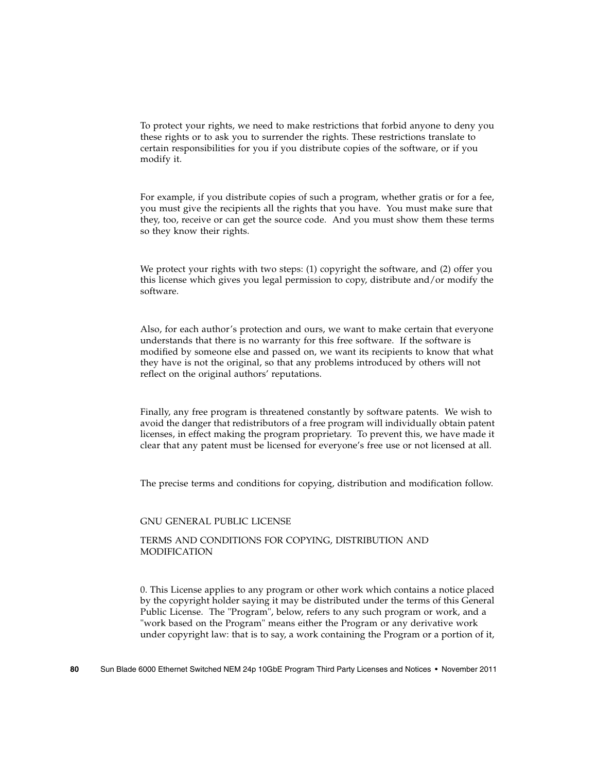To protect your rights, we need to make restrictions that forbid anyone to deny you these rights or to ask you to surrender the rights. These restrictions translate to certain responsibilities for you if you distribute copies of the software, or if you modify it.

For example, if you distribute copies of such a program, whether gratis or for a fee, you must give the recipients all the rights that you have. You must make sure that they, too, receive or can get the source code. And you must show them these terms so they know their rights.

We protect your rights with two steps: (1) copyright the software, and (2) offer you this license which gives you legal permission to copy, distribute and/or modify the software.

Also, for each author's protection and ours, we want to make certain that everyone understands that there is no warranty for this free software. If the software is modified by someone else and passed on, we want its recipients to know that what they have is not the original, so that any problems introduced by others will not reflect on the original authors' reputations.

Finally, any free program is threatened constantly by software patents. We wish to avoid the danger that redistributors of a free program will individually obtain patent licenses, in effect making the program proprietary. To prevent this, we have made it clear that any patent must be licensed for everyone's free use or not licensed at all.

The precise terms and conditions for copying, distribution and modification follow.

## GNU GENERAL PUBLIC LICENSE

# TERMS AND CONDITIONS FOR COPYING, DISTRIBUTION AND MODIFICATION

0. This License applies to any program or other work which contains a notice placed by the copyright holder saying it may be distributed under the terms of this General Public License. The "Program", below, refers to any such program or work, and a "work based on the Program" means either the Program or any derivative work under copyright law: that is to say, a work containing the Program or a portion of it,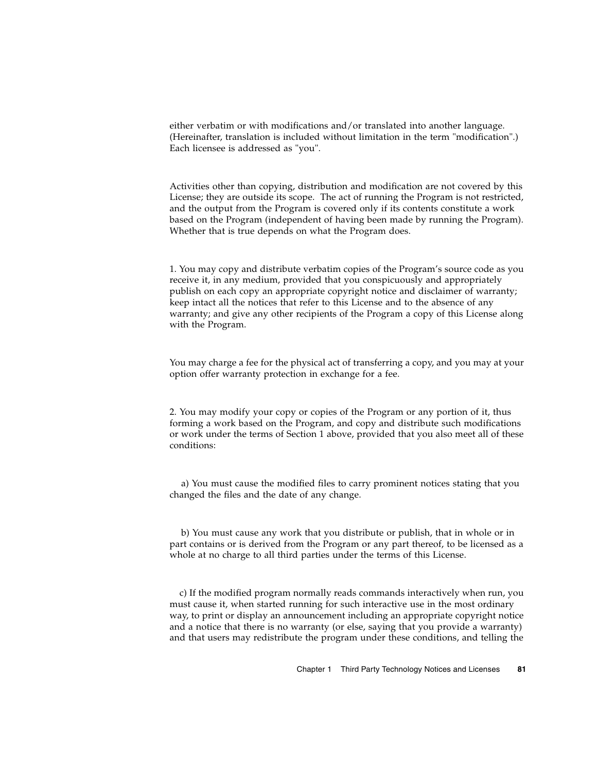either verbatim or with modifications and/or translated into another language. (Hereinafter, translation is included without limitation in the term "modification".) Each licensee is addressed as "you".

Activities other than copying, distribution and modification are not covered by this License; they are outside its scope. The act of running the Program is not restricted, and the output from the Program is covered only if its contents constitute a work based on the Program (independent of having been made by running the Program). Whether that is true depends on what the Program does.

1. You may copy and distribute verbatim copies of the Program's source code as you receive it, in any medium, provided that you conspicuously and appropriately publish on each copy an appropriate copyright notice and disclaimer of warranty; keep intact all the notices that refer to this License and to the absence of any warranty; and give any other recipients of the Program a copy of this License along with the Program.

You may charge a fee for the physical act of transferring a copy, and you may at your option offer warranty protection in exchange for a fee.

2. You may modify your copy or copies of the Program or any portion of it, thus forming a work based on the Program, and copy and distribute such modifications or work under the terms of Section 1 above, provided that you also meet all of these conditions:

a) You must cause the modified files to carry prominent notices stating that you changed the files and the date of any change.

b) You must cause any work that you distribute or publish, that in whole or in part contains or is derived from the Program or any part thereof, to be licensed as a whole at no charge to all third parties under the terms of this License.

c) If the modified program normally reads commands interactively when run, you must cause it, when started running for such interactive use in the most ordinary way, to print or display an announcement including an appropriate copyright notice and a notice that there is no warranty (or else, saying that you provide a warranty) and that users may redistribute the program under these conditions, and telling the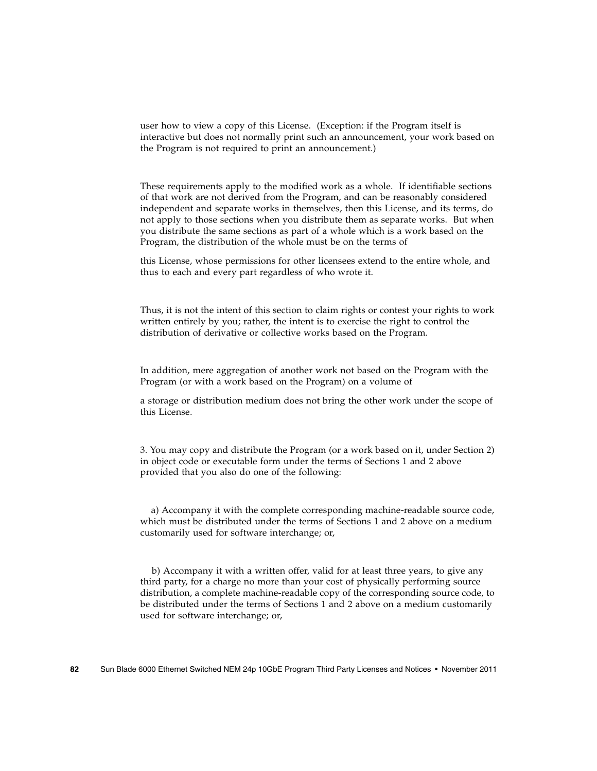user how to view a copy of this License. (Exception: if the Program itself is interactive but does not normally print such an announcement, your work based on the Program is not required to print an announcement.)

These requirements apply to the modified work as a whole. If identifiable sections of that work are not derived from the Program, and can be reasonably considered independent and separate works in themselves, then this License, and its terms, do not apply to those sections when you distribute them as separate works. But when you distribute the same sections as part of a whole which is a work based on the Program, the distribution of the whole must be on the terms of

this License, whose permissions for other licensees extend to the entire whole, and thus to each and every part regardless of who wrote it.

Thus, it is not the intent of this section to claim rights or contest your rights to work written entirely by you; rather, the intent is to exercise the right to control the distribution of derivative or collective works based on the Program.

In addition, mere aggregation of another work not based on the Program with the Program (or with a work based on the Program) on a volume of

a storage or distribution medium does not bring the other work under the scope of this License.

3. You may copy and distribute the Program (or a work based on it, under Section 2) in object code or executable form under the terms of Sections 1 and 2 above provided that you also do one of the following:

a) Accompany it with the complete corresponding machine-readable source code, which must be distributed under the terms of Sections 1 and 2 above on a medium customarily used for software interchange; or,

b) Accompany it with a written offer, valid for at least three years, to give any third party, for a charge no more than your cost of physically performing source distribution, a complete machine-readable copy of the corresponding source code, to be distributed under the terms of Sections 1 and 2 above on a medium customarily used for software interchange; or,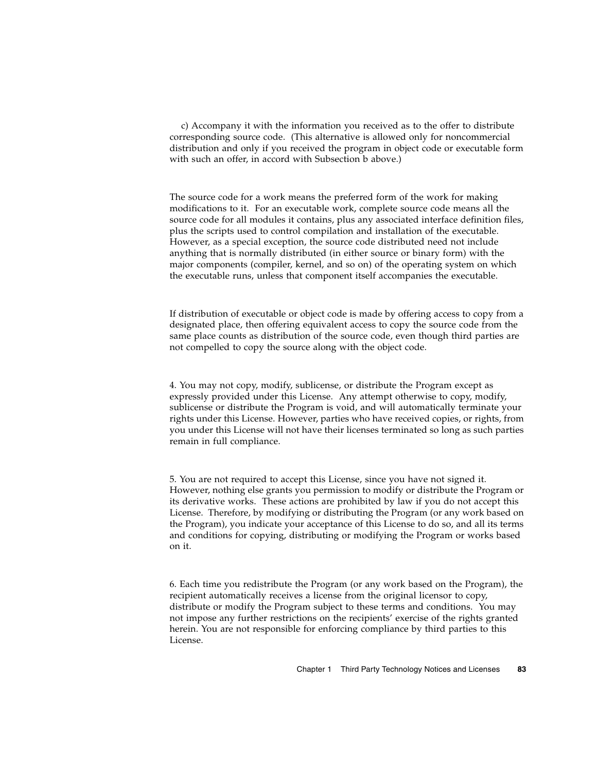c) Accompany it with the information you received as to the offer to distribute corresponding source code. (This alternative is allowed only for noncommercial distribution and only if you received the program in object code or executable form with such an offer, in accord with Subsection b above.)

The source code for a work means the preferred form of the work for making modifications to it. For an executable work, complete source code means all the source code for all modules it contains, plus any associated interface definition files, plus the scripts used to control compilation and installation of the executable. However, as a special exception, the source code distributed need not include anything that is normally distributed (in either source or binary form) with the major components (compiler, kernel, and so on) of the operating system on which the executable runs, unless that component itself accompanies the executable.

If distribution of executable or object code is made by offering access to copy from a designated place, then offering equivalent access to copy the source code from the same place counts as distribution of the source code, even though third parties are not compelled to copy the source along with the object code.

4. You may not copy, modify, sublicense, or distribute the Program except as expressly provided under this License. Any attempt otherwise to copy, modify, sublicense or distribute the Program is void, and will automatically terminate your rights under this License. However, parties who have received copies, or rights, from you under this License will not have their licenses terminated so long as such parties remain in full compliance.

5. You are not required to accept this License, since you have not signed it. However, nothing else grants you permission to modify or distribute the Program or its derivative works. These actions are prohibited by law if you do not accept this License. Therefore, by modifying or distributing the Program (or any work based on the Program), you indicate your acceptance of this License to do so, and all its terms and conditions for copying, distributing or modifying the Program or works based on it.

6. Each time you redistribute the Program (or any work based on the Program), the recipient automatically receives a license from the original licensor to copy, distribute or modify the Program subject to these terms and conditions. You may not impose any further restrictions on the recipients' exercise of the rights granted herein. You are not responsible for enforcing compliance by third parties to this License.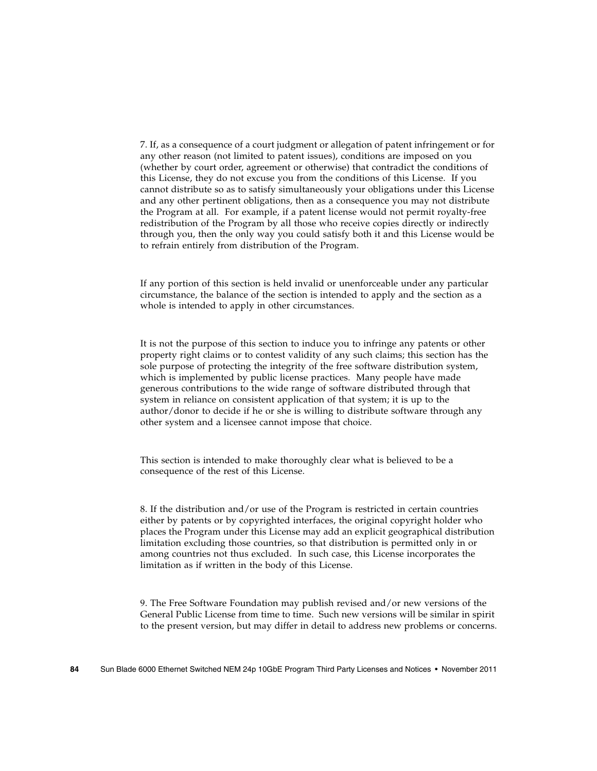7. If, as a consequence of a court judgment or allegation of patent infringement or for any other reason (not limited to patent issues), conditions are imposed on you (whether by court order, agreement or otherwise) that contradict the conditions of this License, they do not excuse you from the conditions of this License. If you cannot distribute so as to satisfy simultaneously your obligations under this License and any other pertinent obligations, then as a consequence you may not distribute the Program at all. For example, if a patent license would not permit royalty-free redistribution of the Program by all those who receive copies directly or indirectly through you, then the only way you could satisfy both it and this License would be to refrain entirely from distribution of the Program.

If any portion of this section is held invalid or unenforceable under any particular circumstance, the balance of the section is intended to apply and the section as a whole is intended to apply in other circumstances.

It is not the purpose of this section to induce you to infringe any patents or other property right claims or to contest validity of any such claims; this section has the sole purpose of protecting the integrity of the free software distribution system, which is implemented by public license practices. Many people have made generous contributions to the wide range of software distributed through that system in reliance on consistent application of that system; it is up to the author/donor to decide if he or she is willing to distribute software through any other system and a licensee cannot impose that choice.

This section is intended to make thoroughly clear what is believed to be a consequence of the rest of this License.

8. If the distribution and/or use of the Program is restricted in certain countries either by patents or by copyrighted interfaces, the original copyright holder who places the Program under this License may add an explicit geographical distribution limitation excluding those countries, so that distribution is permitted only in or among countries not thus excluded. In such case, this License incorporates the limitation as if written in the body of this License.

9. The Free Software Foundation may publish revised and/or new versions of the General Public License from time to time. Such new versions will be similar in spirit to the present version, but may differ in detail to address new problems or concerns.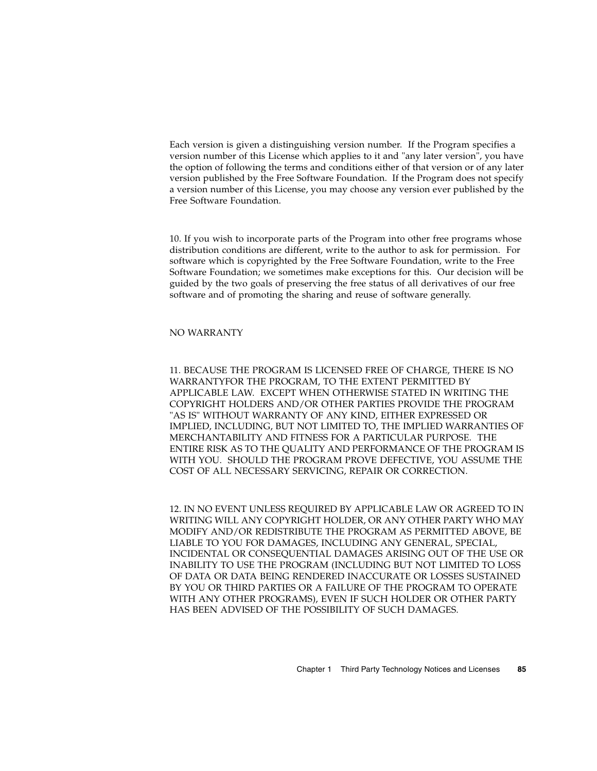Each version is given a distinguishing version number. If the Program specifies a version number of this License which applies to it and "any later version", you have the option of following the terms and conditions either of that version or of any later version published by the Free Software Foundation. If the Program does not specify a version number of this License, you may choose any version ever published by the Free Software Foundation.

10. If you wish to incorporate parts of the Program into other free programs whose distribution conditions are different, write to the author to ask for permission. For software which is copyrighted by the Free Software Foundation, write to the Free Software Foundation; we sometimes make exceptions for this. Our decision will be guided by the two goals of preserving the free status of all derivatives of our free software and of promoting the sharing and reuse of software generally.

#### NO WARRANTY

11. BECAUSE THE PROGRAM IS LICENSED FREE OF CHARGE, THERE IS NO WARRANTYFOR THE PROGRAM, TO THE EXTENT PERMITTED BY APPLICABLE LAW. EXCEPT WHEN OTHERWISE STATED IN WRITING THE COPYRIGHT HOLDERS AND/OR OTHER PARTIES PROVIDE THE PROGRAM "AS IS" WITHOUT WARRANTY OF ANY KIND, EITHER EXPRESSED OR IMPLIED, INCLUDING, BUT NOT LIMITED TO, THE IMPLIED WARRANTIES OF MERCHANTABILITY AND FITNESS FOR A PARTICULAR PURPOSE. THE ENTIRE RISK AS TO THE QUALITY AND PERFORMANCE OF THE PROGRAM IS WITH YOU. SHOULD THE PROGRAM PROVE DEFECTIVE, YOU ASSUME THE COST OF ALL NECESSARY SERVICING, REPAIR OR CORRECTION.

12. IN NO EVENT UNLESS REQUIRED BY APPLICABLE LAW OR AGREED TO IN WRITING WILL ANY COPYRIGHT HOLDER, OR ANY OTHER PARTY WHO MAY MODIFY AND/OR REDISTRIBUTE THE PROGRAM AS PERMITTED ABOVE, BE LIABLE TO YOU FOR DAMAGES, INCLUDING ANY GENERAL, SPECIAL, INCIDENTAL OR CONSEQUENTIAL DAMAGES ARISING OUT OF THE USE OR INABILITY TO USE THE PROGRAM (INCLUDING BUT NOT LIMITED TO LOSS OF DATA OR DATA BEING RENDERED INACCURATE OR LOSSES SUSTAINED BY YOU OR THIRD PARTIES OR A FAILURE OF THE PROGRAM TO OPERATE WITH ANY OTHER PROGRAMS), EVEN IF SUCH HOLDER OR OTHER PARTY HAS BEEN ADVISED OF THE POSSIBILITY OF SUCH DAMAGES.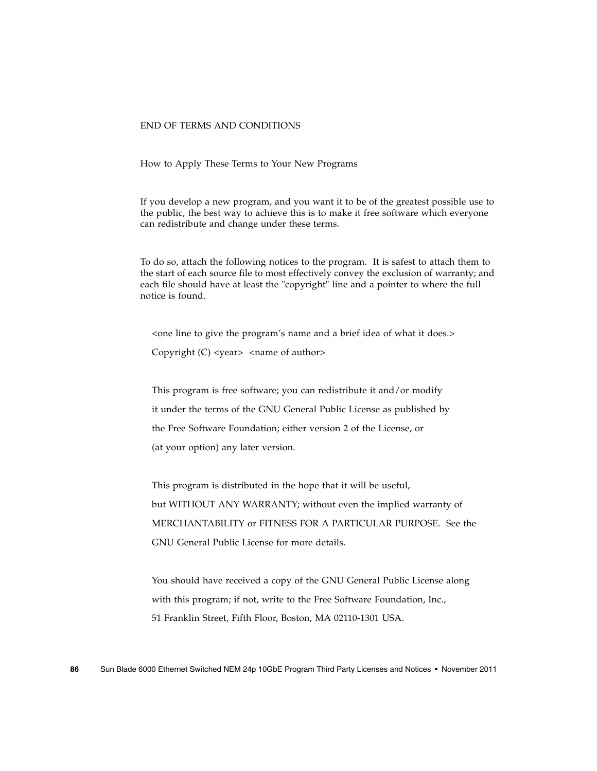#### END OF TERMS AND CONDITIONS

How to Apply These Terms to Your New Programs

If you develop a new program, and you want it to be of the greatest possible use to the public, the best way to achieve this is to make it free software which everyone can redistribute and change under these terms.

To do so, attach the following notices to the program. It is safest to attach them to the start of each source file to most effectively convey the exclusion of warranty; and each file should have at least the "copyright" line and a pointer to where the full notice is found.

<one line to give the program's name and a brief idea of what it does.> Copyright  $(C)$  <year> <name of author>

This program is free software; you can redistribute it and/or modify it under the terms of the GNU General Public License as published by the Free Software Foundation; either version 2 of the License, or (at your option) any later version.

This program is distributed in the hope that it will be useful, but WITHOUT ANY WARRANTY; without even the implied warranty of MERCHANTABILITY or FITNESS FOR A PARTICULAR PURPOSE. See the GNU General Public License for more details.

You should have received a copy of the GNU General Public License along with this program; if not, write to the Free Software Foundation, Inc., 51 Franklin Street, Fifth Floor, Boston, MA 02110-1301 USA.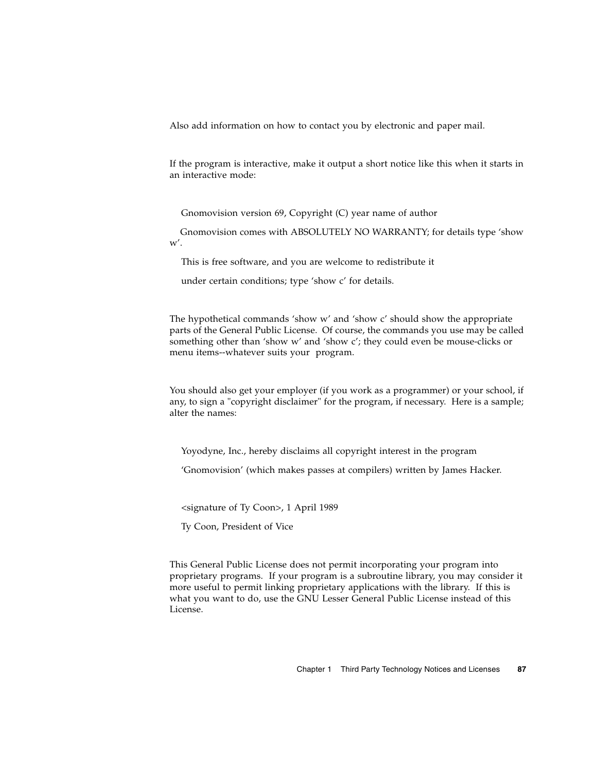Also add information on how to contact you by electronic and paper mail.

If the program is interactive, make it output a short notice like this when it starts in an interactive mode:

Gnomovision version 69, Copyright (C) year name of author

Gnomovision comes with ABSOLUTELY NO WARRANTY; for details type 'show  $w'$ .

This is free software, and you are welcome to redistribute it

under certain conditions; type 'show c' for details.

The hypothetical commands 'show w' and 'show c' should show the appropriate parts of the General Public License. Of course, the commands you use may be called something other than 'show w' and 'show c'; they could even be mouse-clicks or menu items--whatever suits your program.

You should also get your employer (if you work as a programmer) or your school, if any, to sign a "copyright disclaimer" for the program, if necessary. Here is a sample; alter the names:

Yoyodyne, Inc., hereby disclaims all copyright interest in the program

'Gnomovision' (which makes passes at compilers) written by James Hacker.

<signature of Ty Coon>, 1 April 1989

Ty Coon, President of Vice

This General Public License does not permit incorporating your program into proprietary programs. If your program is a subroutine library, you may consider it more useful to permit linking proprietary applications with the library. If this is what you want to do, use the GNU Lesser General Public License instead of this License.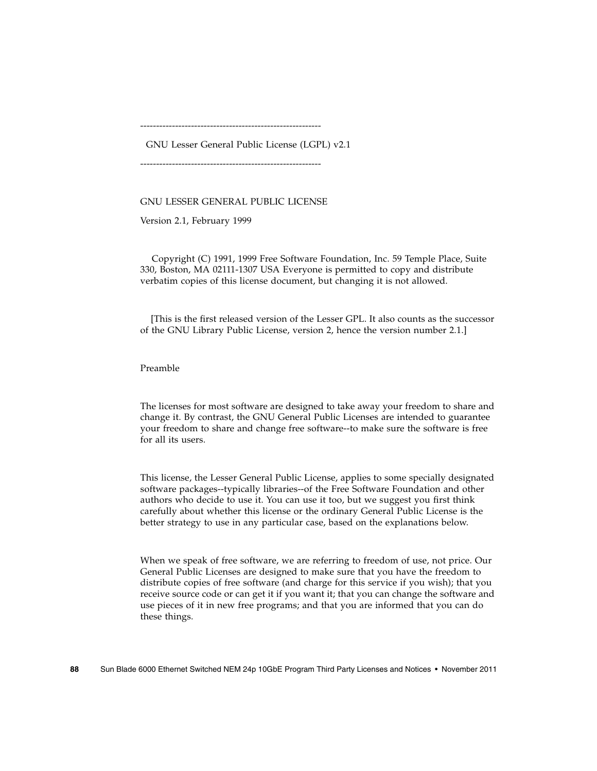---------------------------------------------------------

GNU Lesser General Public License (LGPL) v2.1

---------------------------------------------------------

GNU LESSER GENERAL PUBLIC LICENSE

Version 2.1, February 1999

Copyright (C) 1991, 1999 Free Software Foundation, Inc. 59 Temple Place, Suite 330, Boston, MA 02111-1307 USA Everyone is permitted to copy and distribute verbatim copies of this license document, but changing it is not allowed.

[This is the first released version of the Lesser GPL. It also counts as the successor of the GNU Library Public License, version 2, hence the version number 2.1.]

Preamble

The licenses for most software are designed to take away your freedom to share and change it. By contrast, the GNU General Public Licenses are intended to guarantee your freedom to share and change free software--to make sure the software is free for all its users.

This license, the Lesser General Public License, applies to some specially designated software packages--typically libraries--of the Free Software Foundation and other authors who decide to use it. You can use it too, but we suggest you first think carefully about whether this license or the ordinary General Public License is the better strategy to use in any particular case, based on the explanations below.

When we speak of free software, we are referring to freedom of use, not price. Our General Public Licenses are designed to make sure that you have the freedom to distribute copies of free software (and charge for this service if you wish); that you receive source code or can get it if you want it; that you can change the software and use pieces of it in new free programs; and that you are informed that you can do these things.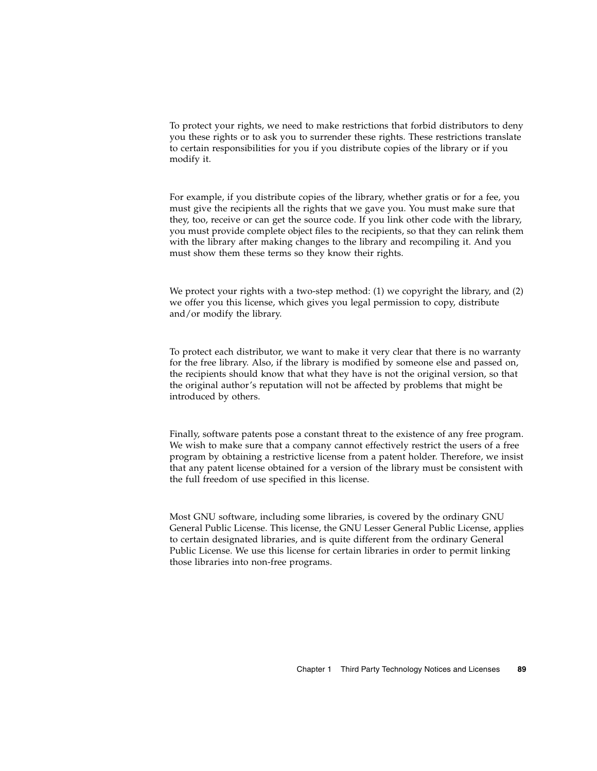To protect your rights, we need to make restrictions that forbid distributors to deny you these rights or to ask you to surrender these rights. These restrictions translate to certain responsibilities for you if you distribute copies of the library or if you modify it.

For example, if you distribute copies of the library, whether gratis or for a fee, you must give the recipients all the rights that we gave you. You must make sure that they, too, receive or can get the source code. If you link other code with the library, you must provide complete object files to the recipients, so that they can relink them with the library after making changes to the library and recompiling it. And you must show them these terms so they know their rights.

We protect your rights with a two-step method: (1) we copyright the library, and (2) we offer you this license, which gives you legal permission to copy, distribute and/or modify the library.

To protect each distributor, we want to make it very clear that there is no warranty for the free library. Also, if the library is modified by someone else and passed on, the recipients should know that what they have is not the original version, so that the original author's reputation will not be affected by problems that might be introduced by others.

Finally, software patents pose a constant threat to the existence of any free program. We wish to make sure that a company cannot effectively restrict the users of a free program by obtaining a restrictive license from a patent holder. Therefore, we insist that any patent license obtained for a version of the library must be consistent with the full freedom of use specified in this license.

Most GNU software, including some libraries, is covered by the ordinary GNU General Public License. This license, the GNU Lesser General Public License, applies to certain designated libraries, and is quite different from the ordinary General Public License. We use this license for certain libraries in order to permit linking those libraries into non-free programs.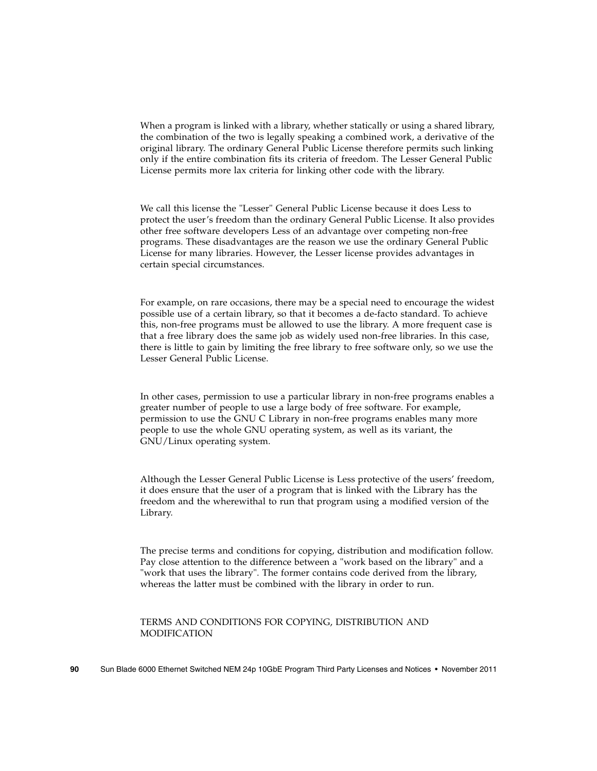When a program is linked with a library, whether statically or using a shared library, the combination of the two is legally speaking a combined work, a derivative of the original library. The ordinary General Public License therefore permits such linking only if the entire combination fits its criteria of freedom. The Lesser General Public License permits more lax criteria for linking other code with the library.

We call this license the "Lesser" General Public License because it does Less to protect the user's freedom than the ordinary General Public License. It also provides other free software developers Less of an advantage over competing non-free programs. These disadvantages are the reason we use the ordinary General Public License for many libraries. However, the Lesser license provides advantages in certain special circumstances.

For example, on rare occasions, there may be a special need to encourage the widest possible use of a certain library, so that it becomes a de-facto standard. To achieve this, non-free programs must be allowed to use the library. A more frequent case is that a free library does the same job as widely used non-free libraries. In this case, there is little to gain by limiting the free library to free software only, so we use the Lesser General Public License.

In other cases, permission to use a particular library in non-free programs enables a greater number of people to use a large body of free software. For example, permission to use the GNU C Library in non-free programs enables many more people to use the whole GNU operating system, as well as its variant, the GNU/Linux operating system.

Although the Lesser General Public License is Less protective of the users' freedom, it does ensure that the user of a program that is linked with the Library has the freedom and the wherewithal to run that program using a modified version of the Library.

The precise terms and conditions for copying, distribution and modification follow. Pay close attention to the difference between a "work based on the library" and a "work that uses the library". The former contains code derived from the library, whereas the latter must be combined with the library in order to run.

# TERMS AND CONDITIONS FOR COPYING, DISTRIBUTION AND MODIFICATION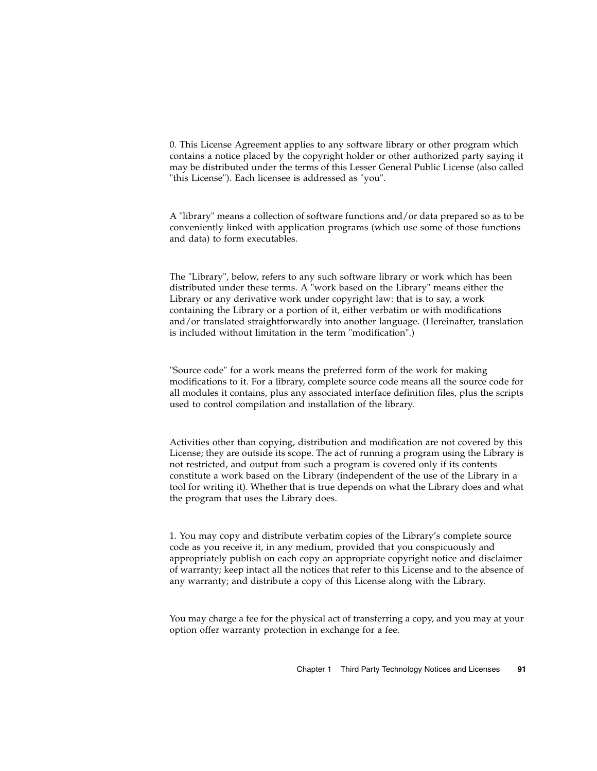0. This License Agreement applies to any software library or other program which contains a notice placed by the copyright holder or other authorized party saying it may be distributed under the terms of this Lesser General Public License (also called "this License"). Each licensee is addressed as "you".

A "library" means a collection of software functions and/or data prepared so as to be conveniently linked with application programs (which use some of those functions and data) to form executables.

The "Library", below, refers to any such software library or work which has been distributed under these terms. A "work based on the Library" means either the Library or any derivative work under copyright law: that is to say, a work containing the Library or a portion of it, either verbatim or with modifications and/or translated straightforwardly into another language. (Hereinafter, translation is included without limitation in the term "modification".)

"Source code" for a work means the preferred form of the work for making modifications to it. For a library, complete source code means all the source code for all modules it contains, plus any associated interface definition files, plus the scripts used to control compilation and installation of the library.

Activities other than copying, distribution and modification are not covered by this License; they are outside its scope. The act of running a program using the Library is not restricted, and output from such a program is covered only if its contents constitute a work based on the Library (independent of the use of the Library in a tool for writing it). Whether that is true depends on what the Library does and what the program that uses the Library does.

1. You may copy and distribute verbatim copies of the Library's complete source code as you receive it, in any medium, provided that you conspicuously and appropriately publish on each copy an appropriate copyright notice and disclaimer of warranty; keep intact all the notices that refer to this License and to the absence of any warranty; and distribute a copy of this License along with the Library.

You may charge a fee for the physical act of transferring a copy, and you may at your option offer warranty protection in exchange for a fee.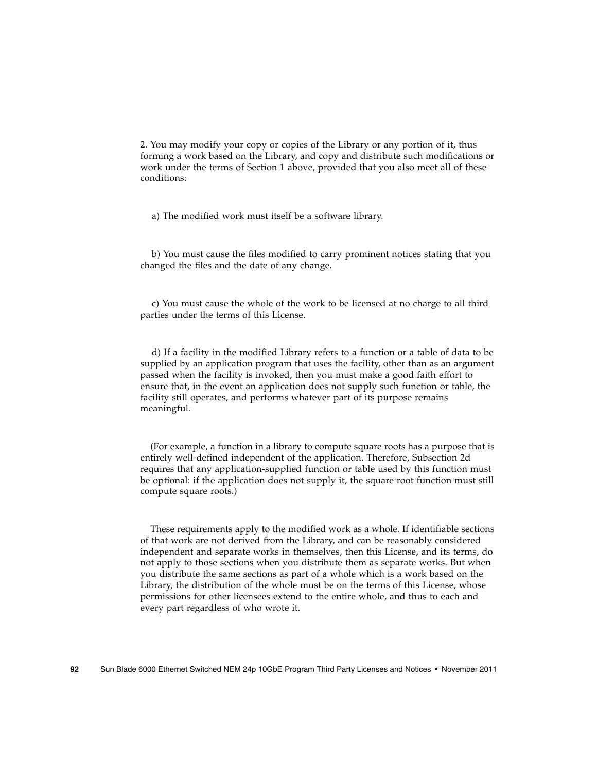2. You may modify your copy or copies of the Library or any portion of it, thus forming a work based on the Library, and copy and distribute such modifications or work under the terms of Section 1 above, provided that you also meet all of these conditions:

a) The modified work must itself be a software library.

b) You must cause the files modified to carry prominent notices stating that you changed the files and the date of any change.

c) You must cause the whole of the work to be licensed at no charge to all third parties under the terms of this License.

d) If a facility in the modified Library refers to a function or a table of data to be supplied by an application program that uses the facility, other than as an argument passed when the facility is invoked, then you must make a good faith effort to ensure that, in the event an application does not supply such function or table, the facility still operates, and performs whatever part of its purpose remains meaningful.

(For example, a function in a library to compute square roots has a purpose that is entirely well-defined independent of the application. Therefore, Subsection 2d requires that any application-supplied function or table used by this function must be optional: if the application does not supply it, the square root function must still compute square roots.)

These requirements apply to the modified work as a whole. If identifiable sections of that work are not derived from the Library, and can be reasonably considered independent and separate works in themselves, then this License, and its terms, do not apply to those sections when you distribute them as separate works. But when you distribute the same sections as part of a whole which is a work based on the Library, the distribution of the whole must be on the terms of this License, whose permissions for other licensees extend to the entire whole, and thus to each and every part regardless of who wrote it.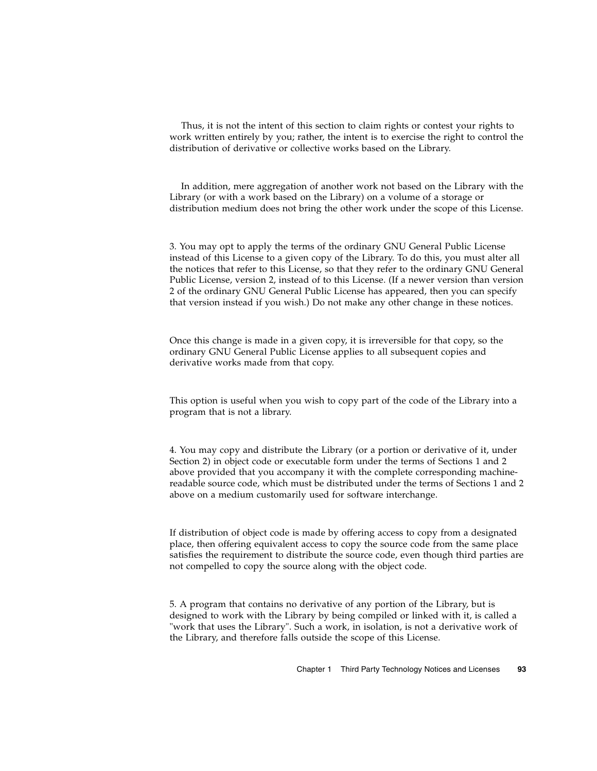Thus, it is not the intent of this section to claim rights or contest your rights to work written entirely by you; rather, the intent is to exercise the right to control the distribution of derivative or collective works based on the Library.

In addition, mere aggregation of another work not based on the Library with the Library (or with a work based on the Library) on a volume of a storage or distribution medium does not bring the other work under the scope of this License.

3. You may opt to apply the terms of the ordinary GNU General Public License instead of this License to a given copy of the Library. To do this, you must alter all the notices that refer to this License, so that they refer to the ordinary GNU General Public License, version 2, instead of to this License. (If a newer version than version 2 of the ordinary GNU General Public License has appeared, then you can specify that version instead if you wish.) Do not make any other change in these notices.

Once this change is made in a given copy, it is irreversible for that copy, so the ordinary GNU General Public License applies to all subsequent copies and derivative works made from that copy.

This option is useful when you wish to copy part of the code of the Library into a program that is not a library.

4. You may copy and distribute the Library (or a portion or derivative of it, under Section 2) in object code or executable form under the terms of Sections 1 and 2 above provided that you accompany it with the complete corresponding machinereadable source code, which must be distributed under the terms of Sections 1 and 2 above on a medium customarily used for software interchange.

If distribution of object code is made by offering access to copy from a designated place, then offering equivalent access to copy the source code from the same place satisfies the requirement to distribute the source code, even though third parties are not compelled to copy the source along with the object code.

5. A program that contains no derivative of any portion of the Library, but is designed to work with the Library by being compiled or linked with it, is called a "work that uses the Library". Such a work, in isolation, is not a derivative work of the Library, and therefore falls outside the scope of this License.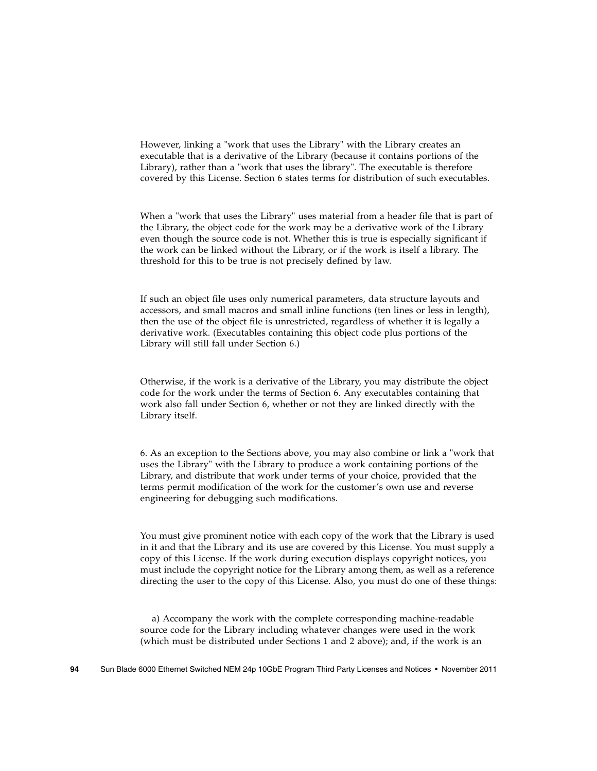However, linking a "work that uses the Library" with the Library creates an executable that is a derivative of the Library (because it contains portions of the Library), rather than a "work that uses the library". The executable is therefore covered by this License. Section 6 states terms for distribution of such executables.

When a "work that uses the Library" uses material from a header file that is part of the Library, the object code for the work may be a derivative work of the Library even though the source code is not. Whether this is true is especially significant if the work can be linked without the Library, or if the work is itself a library. The threshold for this to be true is not precisely defined by law.

If such an object file uses only numerical parameters, data structure layouts and accessors, and small macros and small inline functions (ten lines or less in length), then the use of the object file is unrestricted, regardless of whether it is legally a derivative work. (Executables containing this object code plus portions of the Library will still fall under Section 6.)

Otherwise, if the work is a derivative of the Library, you may distribute the object code for the work under the terms of Section 6. Any executables containing that work also fall under Section 6, whether or not they are linked directly with the Library itself.

6. As an exception to the Sections above, you may also combine or link a "work that uses the Library" with the Library to produce a work containing portions of the Library, and distribute that work under terms of your choice, provided that the terms permit modification of the work for the customer's own use and reverse engineering for debugging such modifications.

You must give prominent notice with each copy of the work that the Library is used in it and that the Library and its use are covered by this License. You must supply a copy of this License. If the work during execution displays copyright notices, you must include the copyright notice for the Library among them, as well as a reference directing the user to the copy of this License. Also, you must do one of these things:

a) Accompany the work with the complete corresponding machine-readable source code for the Library including whatever changes were used in the work (which must be distributed under Sections 1 and 2 above); and, if the work is an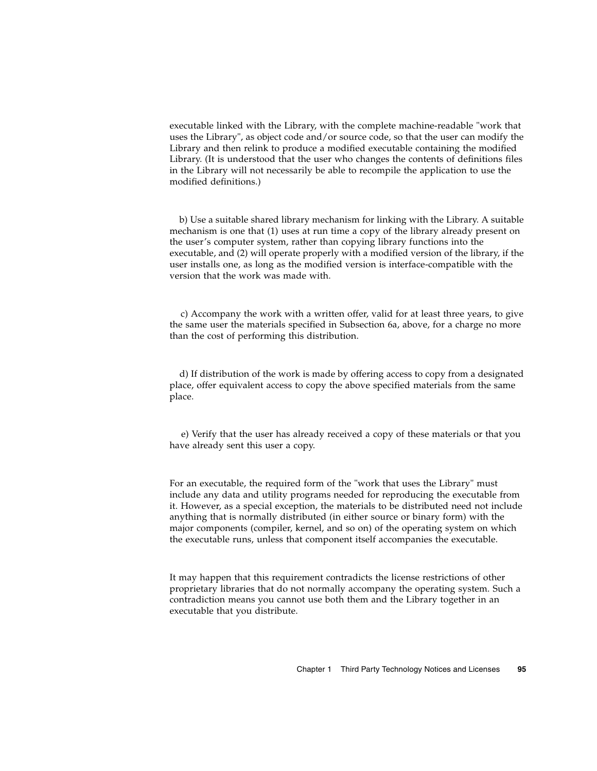executable linked with the Library, with the complete machine-readable "work that uses the Library", as object code and/or source code, so that the user can modify the Library and then relink to produce a modified executable containing the modified Library. (It is understood that the user who changes the contents of definitions files in the Library will not necessarily be able to recompile the application to use the modified definitions.)

b) Use a suitable shared library mechanism for linking with the Library. A suitable mechanism is one that (1) uses at run time a copy of the library already present on the user's computer system, rather than copying library functions into the executable, and (2) will operate properly with a modified version of the library, if the user installs one, as long as the modified version is interface-compatible with the version that the work was made with.

c) Accompany the work with a written offer, valid for at least three years, to give the same user the materials specified in Subsection 6a, above, for a charge no more than the cost of performing this distribution.

d) If distribution of the work is made by offering access to copy from a designated place, offer equivalent access to copy the above specified materials from the same place.

e) Verify that the user has already received a copy of these materials or that you have already sent this user a copy.

For an executable, the required form of the "work that uses the Library" must include any data and utility programs needed for reproducing the executable from it. However, as a special exception, the materials to be distributed need not include anything that is normally distributed (in either source or binary form) with the major components (compiler, kernel, and so on) of the operating system on which the executable runs, unless that component itself accompanies the executable.

It may happen that this requirement contradicts the license restrictions of other proprietary libraries that do not normally accompany the operating system. Such a contradiction means you cannot use both them and the Library together in an executable that you distribute.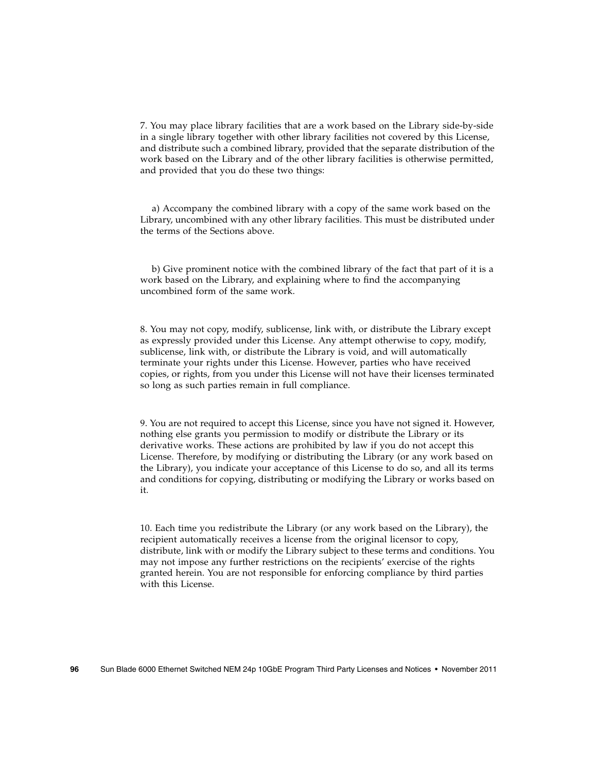7. You may place library facilities that are a work based on the Library side-by-side in a single library together with other library facilities not covered by this License, and distribute such a combined library, provided that the separate distribution of the work based on the Library and of the other library facilities is otherwise permitted, and provided that you do these two things:

a) Accompany the combined library with a copy of the same work based on the Library, uncombined with any other library facilities. This must be distributed under the terms of the Sections above.

b) Give prominent notice with the combined library of the fact that part of it is a work based on the Library, and explaining where to find the accompanying uncombined form of the same work.

8. You may not copy, modify, sublicense, link with, or distribute the Library except as expressly provided under this License. Any attempt otherwise to copy, modify, sublicense, link with, or distribute the Library is void, and will automatically terminate your rights under this License. However, parties who have received copies, or rights, from you under this License will not have their licenses terminated so long as such parties remain in full compliance.

9. You are not required to accept this License, since you have not signed it. However, nothing else grants you permission to modify or distribute the Library or its derivative works. These actions are prohibited by law if you do not accept this License. Therefore, by modifying or distributing the Library (or any work based on the Library), you indicate your acceptance of this License to do so, and all its terms and conditions for copying, distributing or modifying the Library or works based on it.

10. Each time you redistribute the Library (or any work based on the Library), the recipient automatically receives a license from the original licensor to copy, distribute, link with or modify the Library subject to these terms and conditions. You may not impose any further restrictions on the recipients' exercise of the rights granted herein. You are not responsible for enforcing compliance by third parties with this License.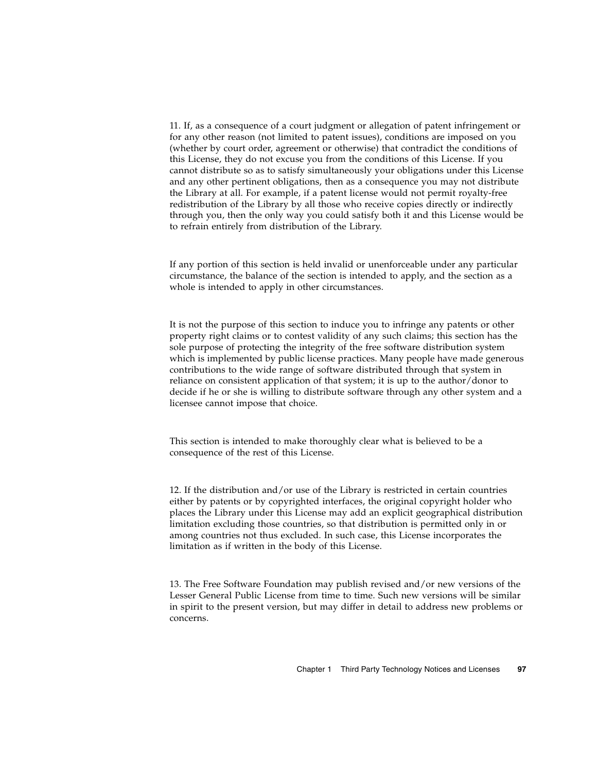11. If, as a consequence of a court judgment or allegation of patent infringement or for any other reason (not limited to patent issues), conditions are imposed on you (whether by court order, agreement or otherwise) that contradict the conditions of this License, they do not excuse you from the conditions of this License. If you cannot distribute so as to satisfy simultaneously your obligations under this License and any other pertinent obligations, then as a consequence you may not distribute the Library at all. For example, if a patent license would not permit royalty-free redistribution of the Library by all those who receive copies directly or indirectly through you, then the only way you could satisfy both it and this License would be to refrain entirely from distribution of the Library.

If any portion of this section is held invalid or unenforceable under any particular circumstance, the balance of the section is intended to apply, and the section as a whole is intended to apply in other circumstances.

It is not the purpose of this section to induce you to infringe any patents or other property right claims or to contest validity of any such claims; this section has the sole purpose of protecting the integrity of the free software distribution system which is implemented by public license practices. Many people have made generous contributions to the wide range of software distributed through that system in reliance on consistent application of that system; it is up to the author/donor to decide if he or she is willing to distribute software through any other system and a licensee cannot impose that choice.

This section is intended to make thoroughly clear what is believed to be a consequence of the rest of this License.

12. If the distribution and/or use of the Library is restricted in certain countries either by patents or by copyrighted interfaces, the original copyright holder who places the Library under this License may add an explicit geographical distribution limitation excluding those countries, so that distribution is permitted only in or among countries not thus excluded. In such case, this License incorporates the limitation as if written in the body of this License.

13. The Free Software Foundation may publish revised and/or new versions of the Lesser General Public License from time to time. Such new versions will be similar in spirit to the present version, but may differ in detail to address new problems or concerns.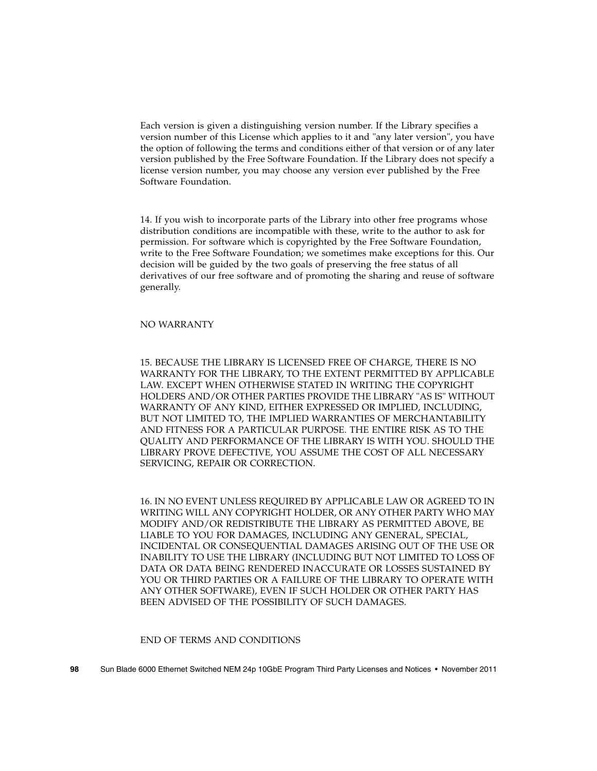Each version is given a distinguishing version number. If the Library specifies a version number of this License which applies to it and "any later version", you have the option of following the terms and conditions either of that version or of any later version published by the Free Software Foundation. If the Library does not specify a license version number, you may choose any version ever published by the Free Software Foundation.

14. If you wish to incorporate parts of the Library into other free programs whose distribution conditions are incompatible with these, write to the author to ask for permission. For software which is copyrighted by the Free Software Foundation, write to the Free Software Foundation; we sometimes make exceptions for this. Our decision will be guided by the two goals of preserving the free status of all derivatives of our free software and of promoting the sharing and reuse of software generally.

## NO WARRANTY

15. BECAUSE THE LIBRARY IS LICENSED FREE OF CHARGE, THERE IS NO WARRANTY FOR THE LIBRARY, TO THE EXTENT PERMITTED BY APPLICABLE LAW. EXCEPT WHEN OTHERWISE STATED IN WRITING THE COPYRIGHT HOLDERS AND/OR OTHER PARTIES PROVIDE THE LIBRARY "AS IS" WITHOUT WARRANTY OF ANY KIND, EITHER EXPRESSED OR IMPLIED, INCLUDING, BUT NOT LIMITED TO, THE IMPLIED WARRANTIES OF MERCHANTABILITY AND FITNESS FOR A PARTICULAR PURPOSE. THE ENTIRE RISK AS TO THE QUALITY AND PERFORMANCE OF THE LIBRARY IS WITH YOU. SHOULD THE LIBRARY PROVE DEFECTIVE, YOU ASSUME THE COST OF ALL NECESSARY SERVICING, REPAIR OR CORRECTION.

16. IN NO EVENT UNLESS REQUIRED BY APPLICABLE LAW OR AGREED TO IN WRITING WILL ANY COPYRIGHT HOLDER, OR ANY OTHER PARTY WHO MAY MODIFY AND/OR REDISTRIBUTE THE LIBRARY AS PERMITTED ABOVE, BE LIABLE TO YOU FOR DAMAGES, INCLUDING ANY GENERAL, SPECIAL, INCIDENTAL OR CONSEQUENTIAL DAMAGES ARISING OUT OF THE USE OR INABILITY TO USE THE LIBRARY (INCLUDING BUT NOT LIMITED TO LOSS OF DATA OR DATA BEING RENDERED INACCURATE OR LOSSES SUSTAINED BY YOU OR THIRD PARTIES OR A FAILURE OF THE LIBRARY TO OPERATE WITH ANY OTHER SOFTWARE), EVEN IF SUCH HOLDER OR OTHER PARTY HAS BEEN ADVISED OF THE POSSIBILITY OF SUCH DAMAGES.

END OF TERMS AND CONDITIONS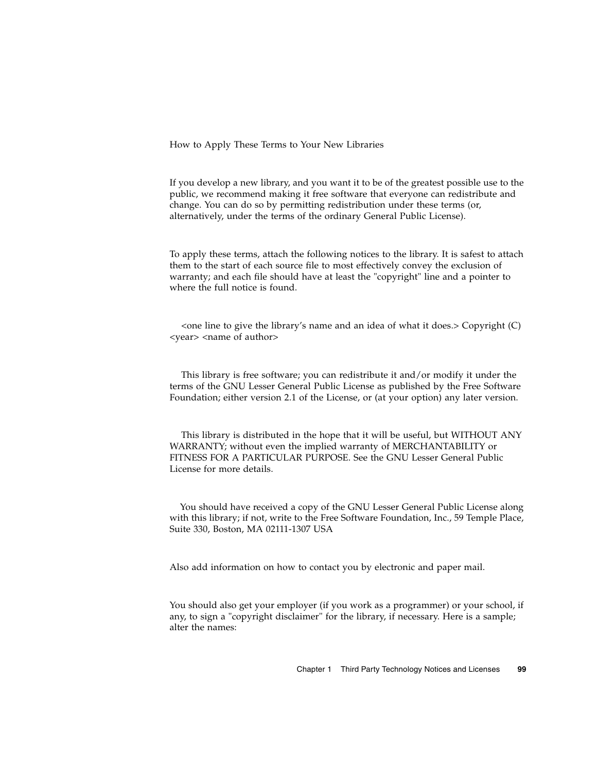How to Apply These Terms to Your New Libraries

If you develop a new library, and you want it to be of the greatest possible use to the public, we recommend making it free software that everyone can redistribute and change. You can do so by permitting redistribution under these terms (or, alternatively, under the terms of the ordinary General Public License).

To apply these terms, attach the following notices to the library. It is safest to attach them to the start of each source file to most effectively convey the exclusion of warranty; and each file should have at least the "copyright" line and a pointer to where the full notice is found.

 $\leq$  cone line to give the library's name and an idea of what it does.  $\geq$  Copyright (C) <year> <name of author>

This library is free software; you can redistribute it and/or modify it under the terms of the GNU Lesser General Public License as published by the Free Software Foundation; either version 2.1 of the License, or (at your option) any later version.

This library is distributed in the hope that it will be useful, but WITHOUT ANY WARRANTY; without even the implied warranty of MERCHANTABILITY or FITNESS FOR A PARTICULAR PURPOSE. See the GNU Lesser General Public License for more details.

You should have received a copy of the GNU Lesser General Public License along with this library; if not, write to the Free Software Foundation, Inc., 59 Temple Place, Suite 330, Boston, MA 02111-1307 USA

Also add information on how to contact you by electronic and paper mail.

You should also get your employer (if you work as a programmer) or your school, if any, to sign a "copyright disclaimer" for the library, if necessary. Here is a sample; alter the names: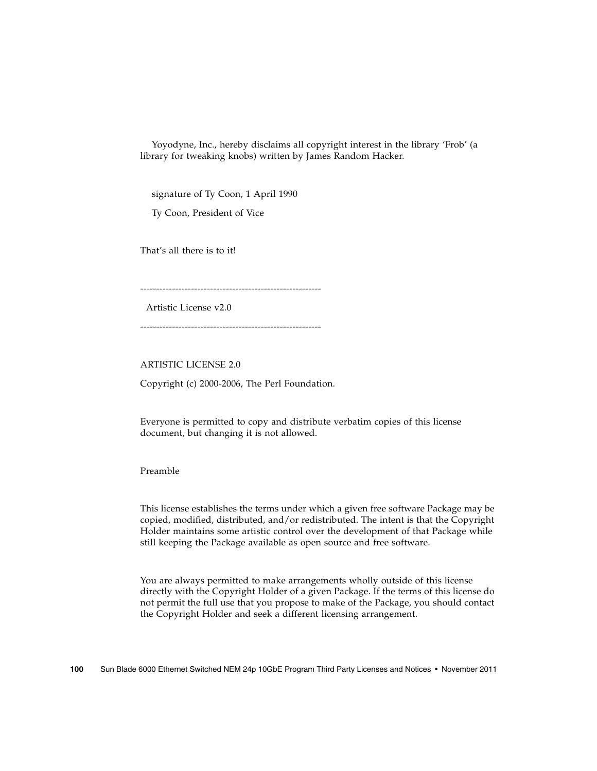Yoyodyne, Inc., hereby disclaims all copyright interest in the library 'Frob' (a library for tweaking knobs) written by James Random Hacker.

signature of Ty Coon, 1 April 1990

Ty Coon, President of Vice

That's all there is to it!

---------------------------------------------------------

Artistic License v2.0

---------------------------------------------------------

ARTISTIC LICENSE 2.0

Copyright (c) 2000-2006, The Perl Foundation.

Everyone is permitted to copy and distribute verbatim copies of this license document, but changing it is not allowed.

Preamble

This license establishes the terms under which a given free software Package may be copied, modified, distributed, and/or redistributed. The intent is that the Copyright Holder maintains some artistic control over the development of that Package while still keeping the Package available as open source and free software.

You are always permitted to make arrangements wholly outside of this license directly with the Copyright Holder of a given Package. If the terms of this license do not permit the full use that you propose to make of the Package, you should contact the Copyright Holder and seek a different licensing arrangement.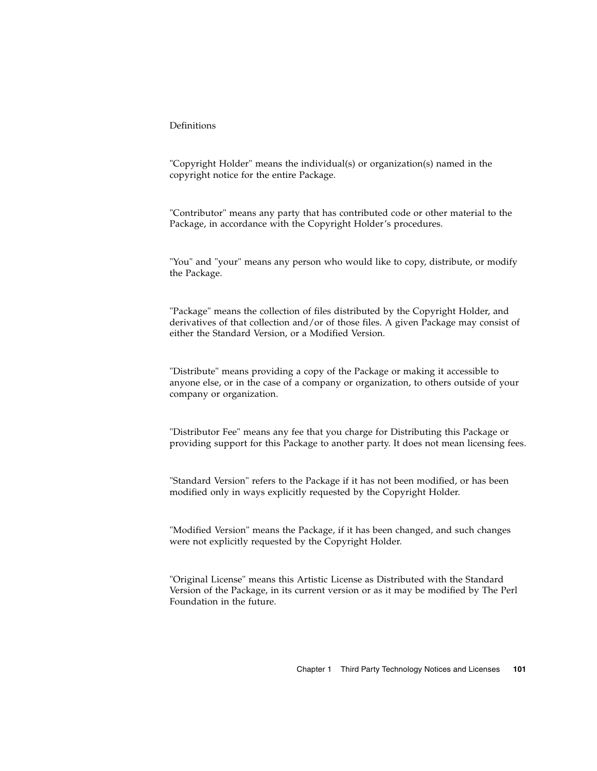Definitions

"Copyright Holder" means the individual(s) or organization(s) named in the copyright notice for the entire Package.

"Contributor" means any party that has contributed code or other material to the Package, in accordance with the Copyright Holder's procedures.

"You" and "your" means any person who would like to copy, distribute, or modify the Package.

"Package" means the collection of files distributed by the Copyright Holder, and derivatives of that collection and/or of those files. A given Package may consist of either the Standard Version, or a Modified Version.

"Distribute" means providing a copy of the Package or making it accessible to anyone else, or in the case of a company or organization, to others outside of your company or organization.

"Distributor Fee" means any fee that you charge for Distributing this Package or providing support for this Package to another party. It does not mean licensing fees.

"Standard Version" refers to the Package if it has not been modified, or has been modified only in ways explicitly requested by the Copyright Holder.

"Modified Version" means the Package, if it has been changed, and such changes were not explicitly requested by the Copyright Holder.

"Original License" means this Artistic License as Distributed with the Standard Version of the Package, in its current version or as it may be modified by The Perl Foundation in the future.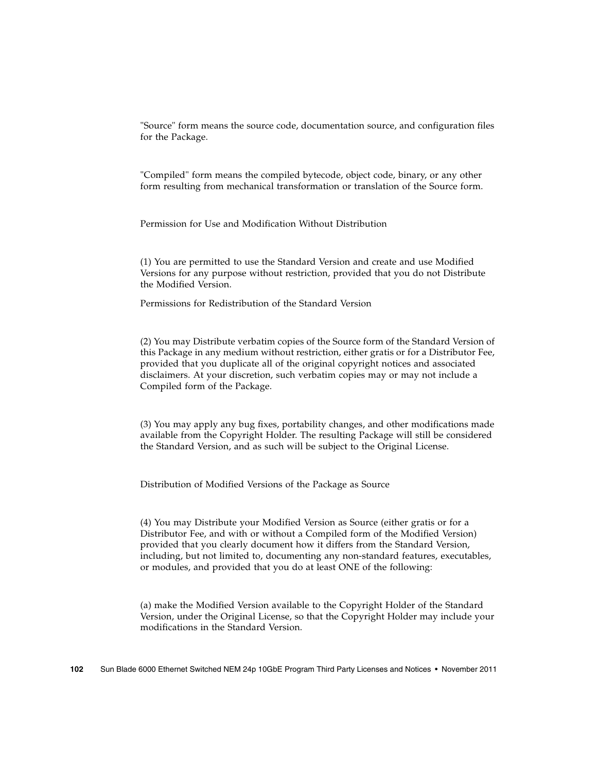"Source" form means the source code, documentation source, and configuration files for the Package.

"Compiled" form means the compiled bytecode, object code, binary, or any other form resulting from mechanical transformation or translation of the Source form.

Permission for Use and Modification Without Distribution

(1) You are permitted to use the Standard Version and create and use Modified Versions for any purpose without restriction, provided that you do not Distribute the Modified Version.

Permissions for Redistribution of the Standard Version

(2) You may Distribute verbatim copies of the Source form of the Standard Version of this Package in any medium without restriction, either gratis or for a Distributor Fee, provided that you duplicate all of the original copyright notices and associated disclaimers. At your discretion, such verbatim copies may or may not include a Compiled form of the Package.

(3) You may apply any bug fixes, portability changes, and other modifications made available from the Copyright Holder. The resulting Package will still be considered the Standard Version, and as such will be subject to the Original License.

Distribution of Modified Versions of the Package as Source

(4) You may Distribute your Modified Version as Source (either gratis or for a Distributor Fee, and with or without a Compiled form of the Modified Version) provided that you clearly document how it differs from the Standard Version, including, but not limited to, documenting any non-standard features, executables, or modules, and provided that you do at least ONE of the following:

(a) make the Modified Version available to the Copyright Holder of the Standard Version, under the Original License, so that the Copyright Holder may include your modifications in the Standard Version.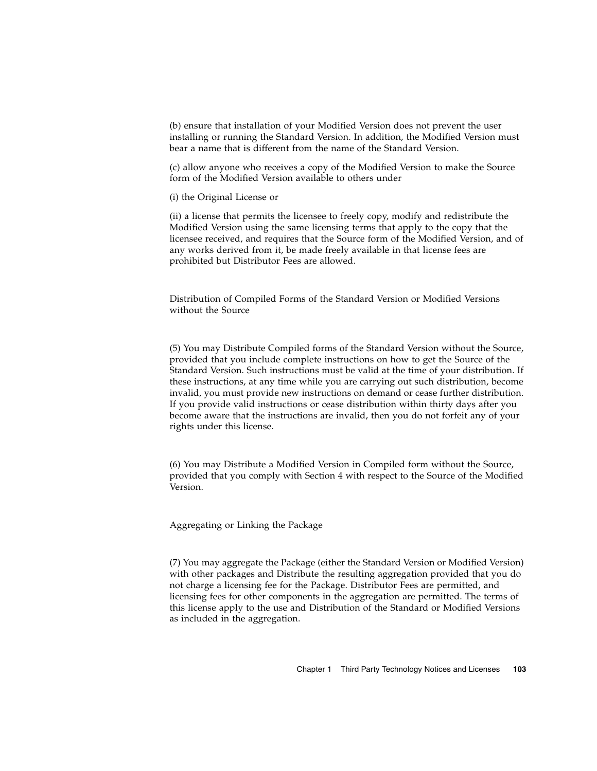(b) ensure that installation of your Modified Version does not prevent the user installing or running the Standard Version. In addition, the Modified Version must bear a name that is different from the name of the Standard Version.

(c) allow anyone who receives a copy of the Modified Version to make the Source form of the Modified Version available to others under

(i) the Original License or

(ii) a license that permits the licensee to freely copy, modify and redistribute the Modified Version using the same licensing terms that apply to the copy that the licensee received, and requires that the Source form of the Modified Version, and of any works derived from it, be made freely available in that license fees are prohibited but Distributor Fees are allowed.

Distribution of Compiled Forms of the Standard Version or Modified Versions without the Source

(5) You may Distribute Compiled forms of the Standard Version without the Source, provided that you include complete instructions on how to get the Source of the Standard Version. Such instructions must be valid at the time of your distribution. If these instructions, at any time while you are carrying out such distribution, become invalid, you must provide new instructions on demand or cease further distribution. If you provide valid instructions or cease distribution within thirty days after you become aware that the instructions are invalid, then you do not forfeit any of your rights under this license.

(6) You may Distribute a Modified Version in Compiled form without the Source, provided that you comply with Section 4 with respect to the Source of the Modified Version.

Aggregating or Linking the Package

(7) You may aggregate the Package (either the Standard Version or Modified Version) with other packages and Distribute the resulting aggregation provided that you do not charge a licensing fee for the Package. Distributor Fees are permitted, and licensing fees for other components in the aggregation are permitted. The terms of this license apply to the use and Distribution of the Standard or Modified Versions as included in the aggregation.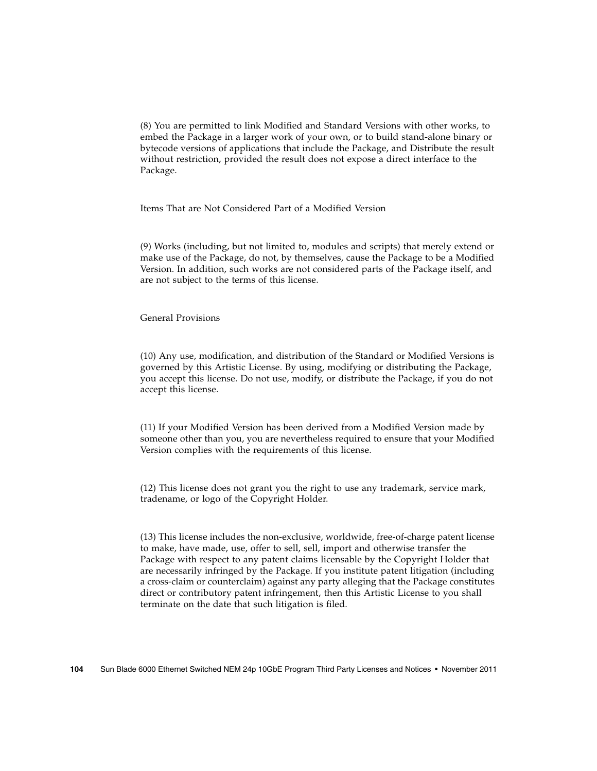(8) You are permitted to link Modified and Standard Versions with other works, to embed the Package in a larger work of your own, or to build stand-alone binary or bytecode versions of applications that include the Package, and Distribute the result without restriction, provided the result does not expose a direct interface to the Package.

Items That are Not Considered Part of a Modified Version

(9) Works (including, but not limited to, modules and scripts) that merely extend or make use of the Package, do not, by themselves, cause the Package to be a Modified Version. In addition, such works are not considered parts of the Package itself, and are not subject to the terms of this license.

General Provisions

(10) Any use, modification, and distribution of the Standard or Modified Versions is governed by this Artistic License. By using, modifying or distributing the Package, you accept this license. Do not use, modify, or distribute the Package, if you do not accept this license.

(11) If your Modified Version has been derived from a Modified Version made by someone other than you, you are nevertheless required to ensure that your Modified Version complies with the requirements of this license.

(12) This license does not grant you the right to use any trademark, service mark, tradename, or logo of the Copyright Holder.

(13) This license includes the non-exclusive, worldwide, free-of-charge patent license to make, have made, use, offer to sell, sell, import and otherwise transfer the Package with respect to any patent claims licensable by the Copyright Holder that are necessarily infringed by the Package. If you institute patent litigation (including a cross-claim or counterclaim) against any party alleging that the Package constitutes direct or contributory patent infringement, then this Artistic License to you shall terminate on the date that such litigation is filed.